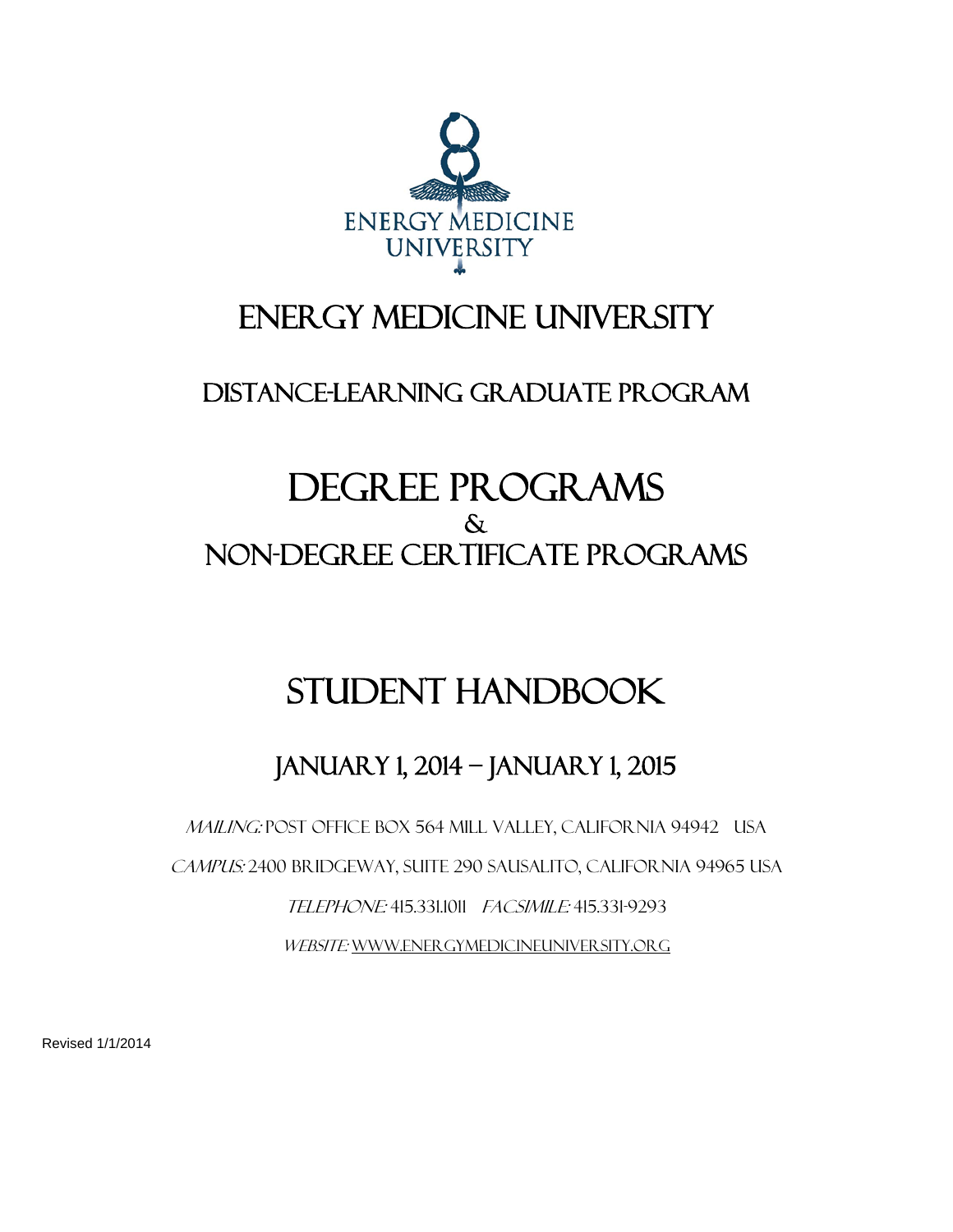

## Energy Medicine University

### Distance-Learning Graduate Program

# DEGREE PROGRAMS Non-Degree Certificate Programs

# STUDENT HANDBOOK

### January 1, 2014 – January 1, 2015

Mailing: Post Office Box 564 Mill Valley, California 94942 USA Campus: 2400 Bridgeway, Suite 290 Sausalito, California 94965 USA Telephone: 415.331.1011 Facsimile: 415.331-9293

Website: www.EnergyMedicineUniversity.org

Revised 1/1/2014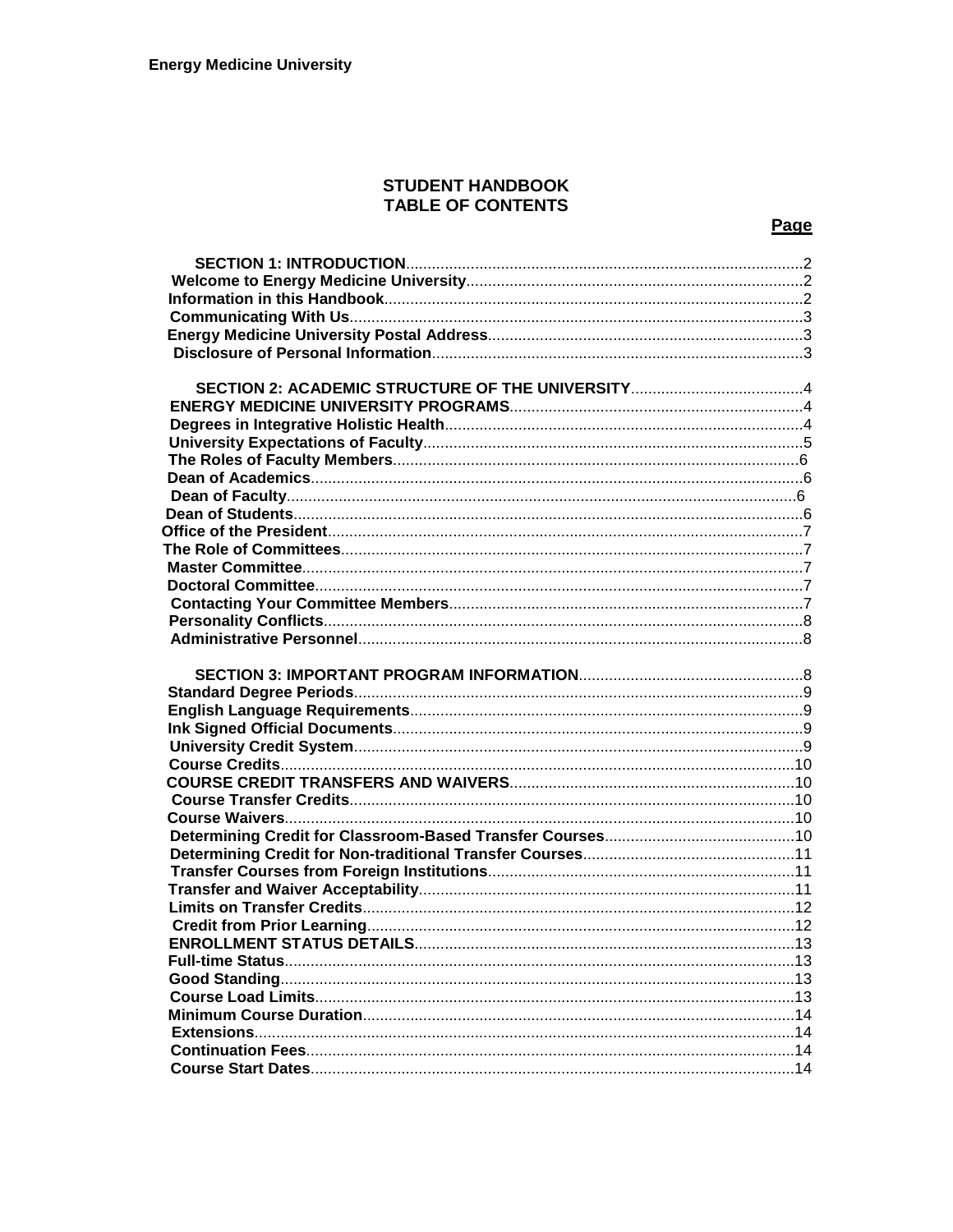#### **STUDENT HANDBOOK TABLE OF CONTENTS**

#### Page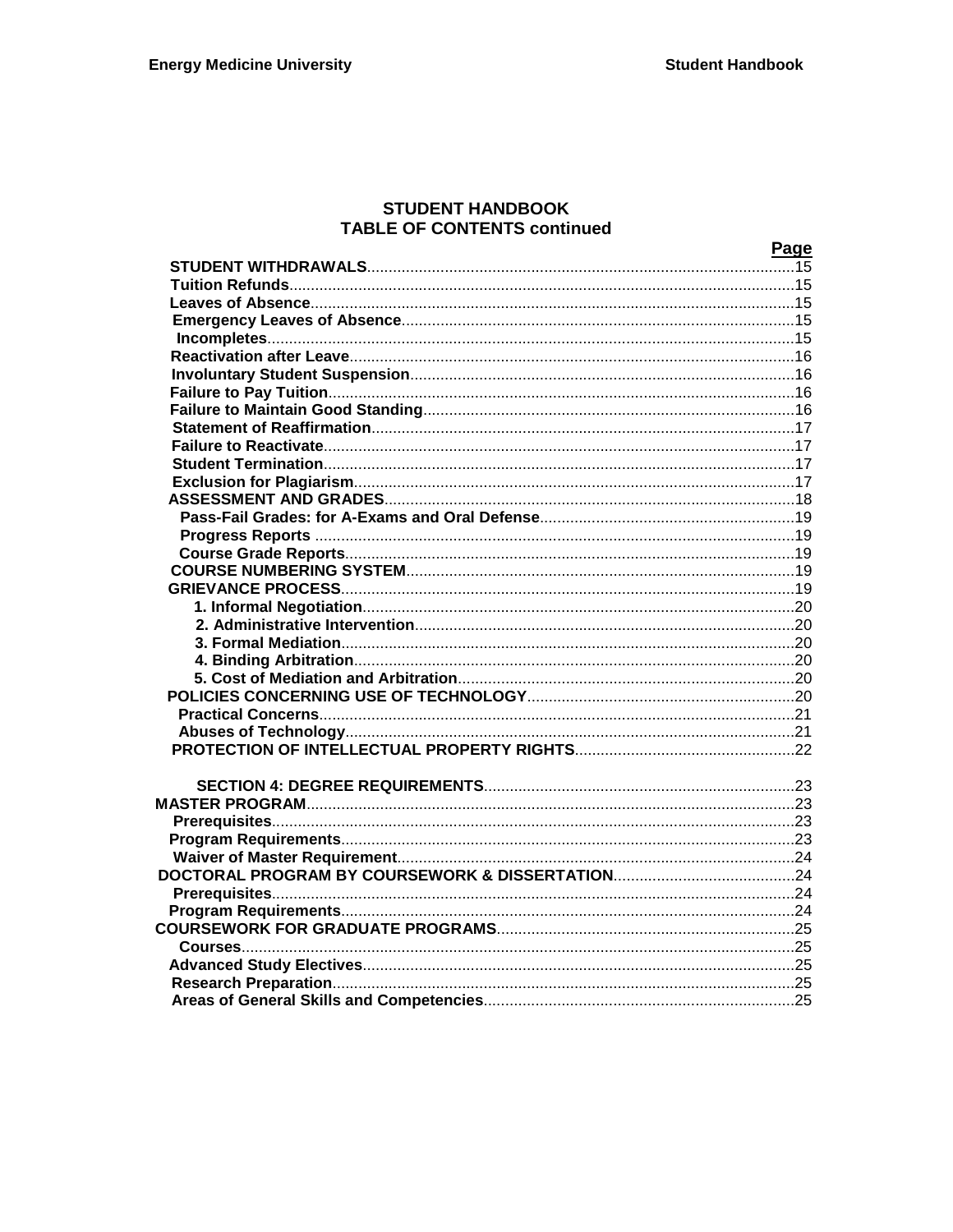| Page |
|------|
|      |
|      |
|      |
|      |
|      |
|      |
|      |
|      |
|      |
|      |
|      |
|      |
|      |
|      |
|      |
|      |
|      |
|      |
|      |
|      |
|      |
|      |
|      |
|      |
|      |
|      |
|      |
|      |
|      |
|      |
|      |
|      |
|      |
|      |
|      |
|      |
|      |
|      |
|      |
|      |
|      |
|      |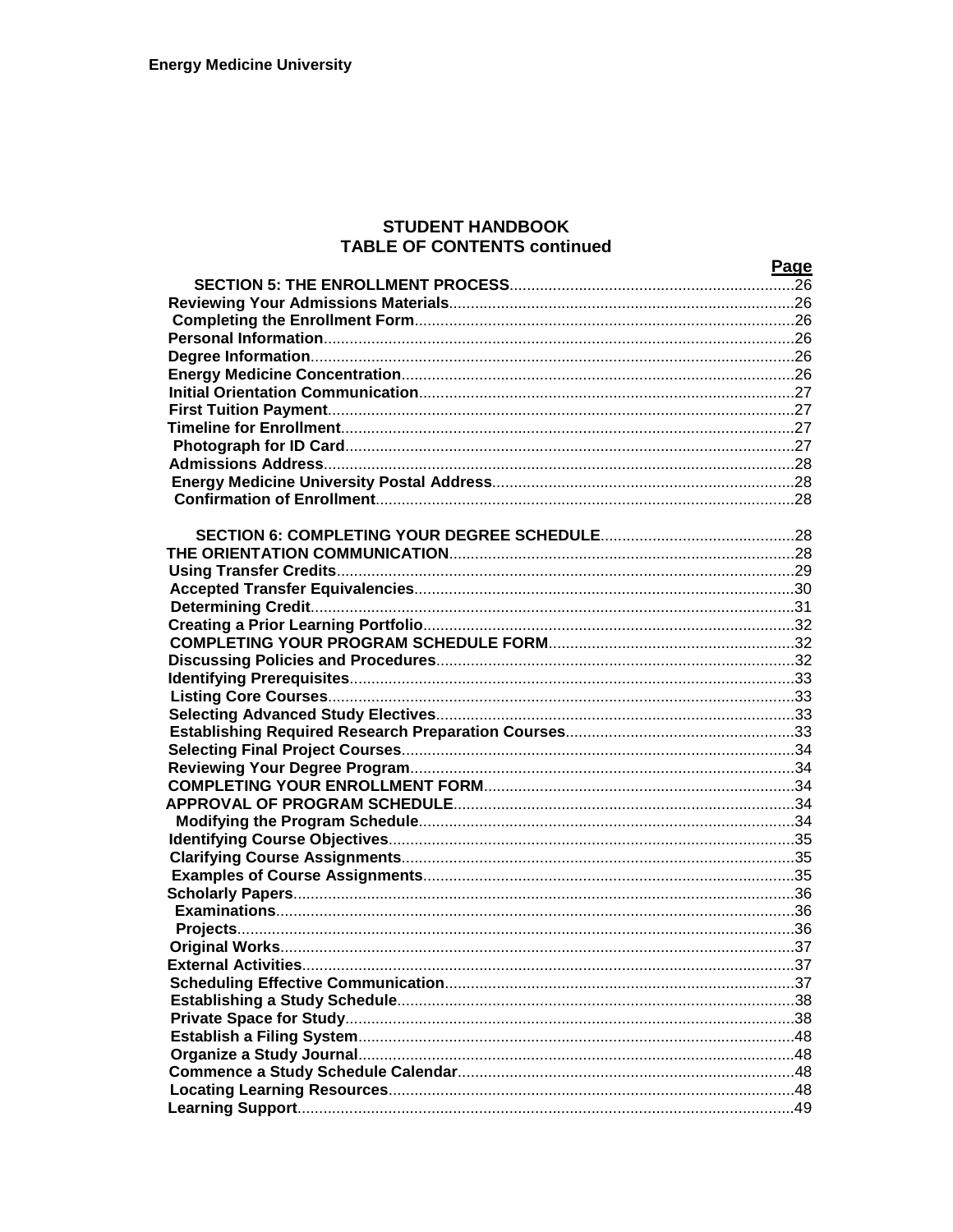| Page |
|------|
|      |
|      |
|      |
|      |
|      |
|      |
|      |
|      |
|      |
|      |
|      |
|      |
|      |
|      |
|      |
|      |
|      |
|      |
|      |
|      |
|      |
|      |
|      |
|      |
|      |
|      |
|      |
|      |
|      |
|      |
|      |
|      |
|      |
|      |
|      |
|      |
|      |
|      |
|      |
|      |
|      |
|      |
|      |
|      |
|      |
|      |
|      |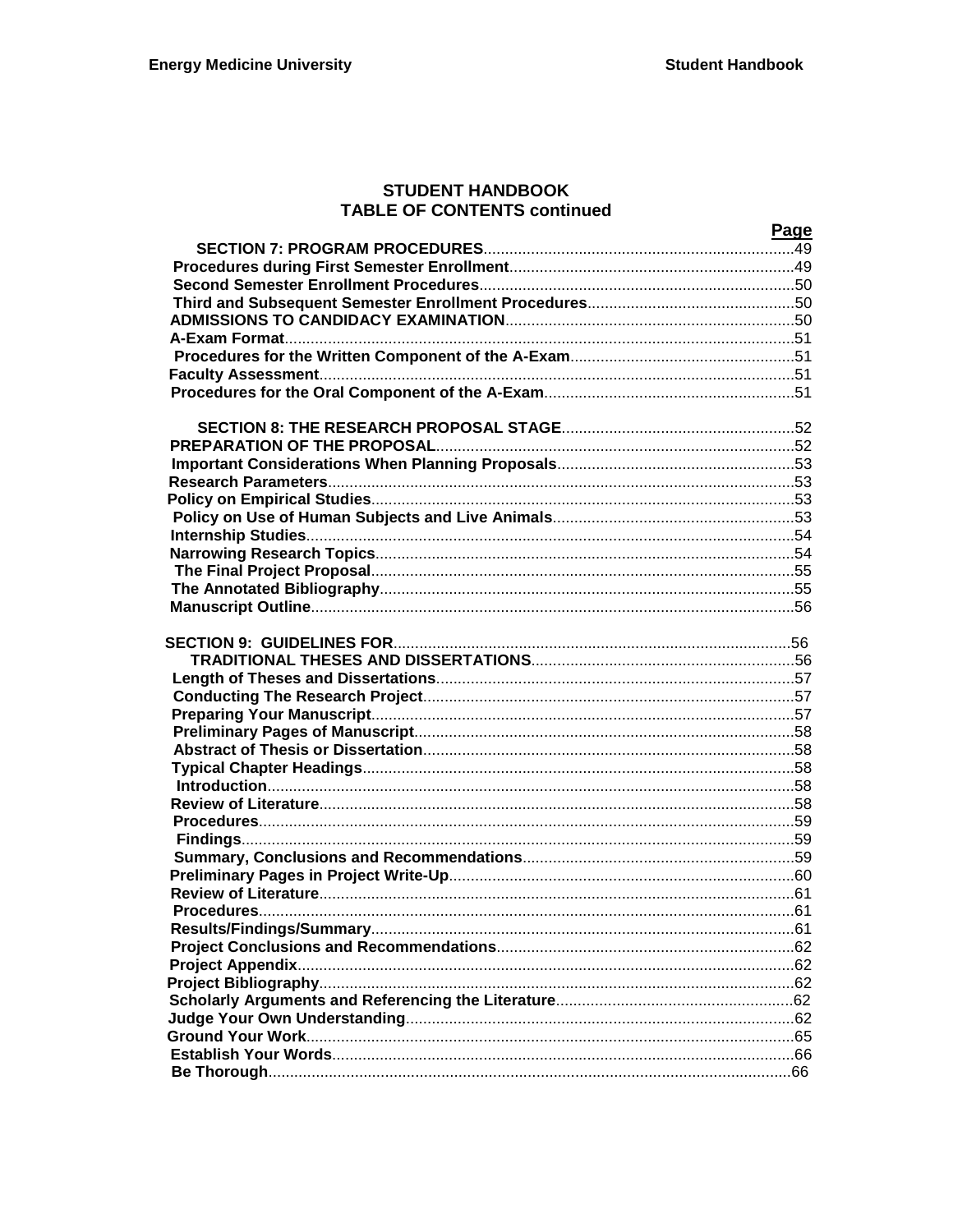| Page |
|------|
|      |
|      |
|      |
|      |
|      |
|      |
|      |
|      |
|      |
|      |
|      |
|      |
|      |
|      |
|      |
|      |
|      |
|      |
|      |
|      |
|      |
|      |
|      |
|      |
|      |
|      |
|      |
|      |
|      |
|      |
|      |
|      |
|      |
|      |
|      |
|      |
|      |
|      |
|      |
|      |
|      |
|      |
|      |
|      |
|      |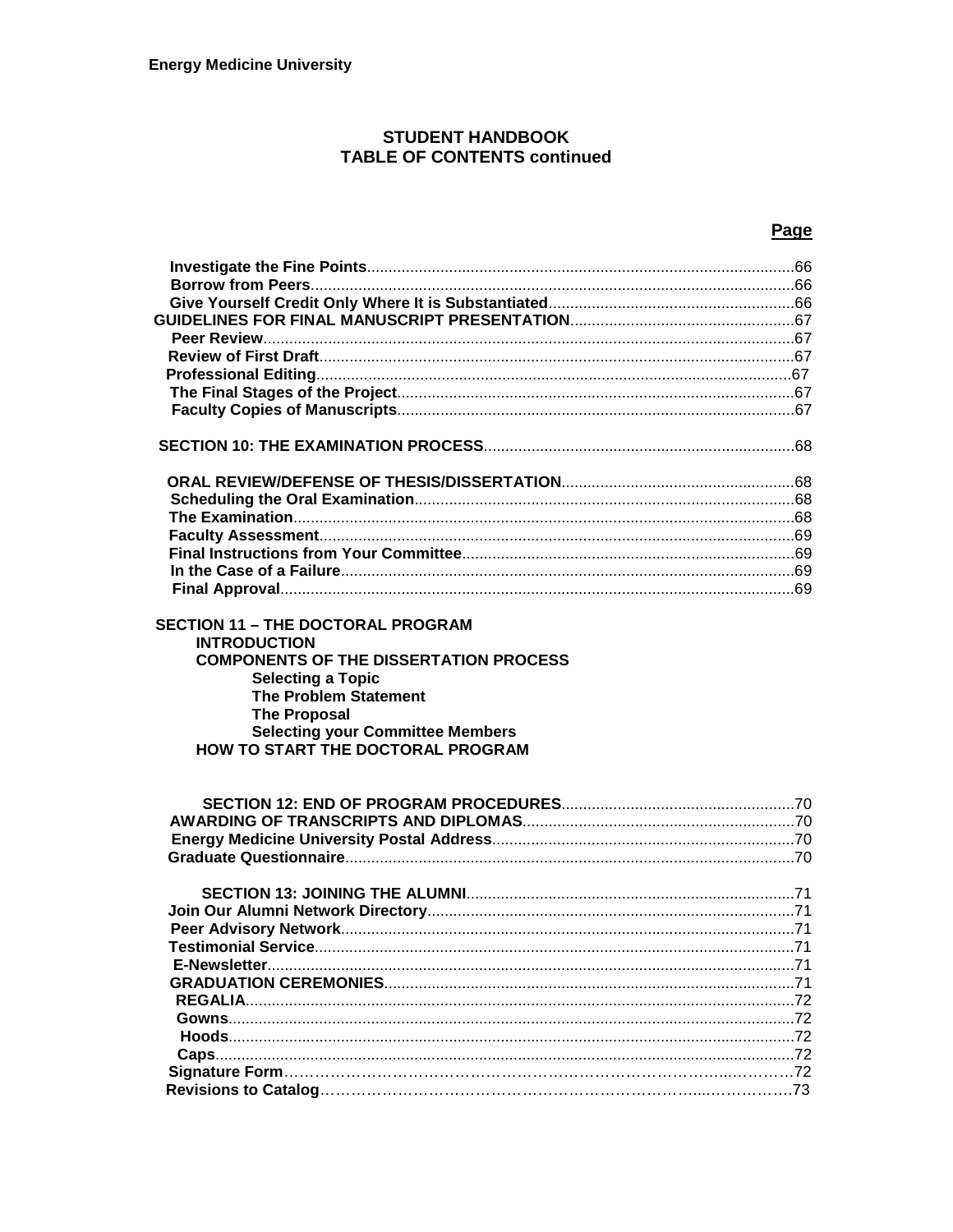#### Page

| <b>SECTION 11 - THE DOCTORAL PROGRAM</b>      |  |
|-----------------------------------------------|--|
| <b>INTRODUCTION</b>                           |  |
| <b>COMPONENTS OF THE DISSERTATION PROCESS</b> |  |
| <b>Selecting a Topic</b>                      |  |
| <b>The Problem Statement</b>                  |  |
| <b>The Proposal</b>                           |  |
| <b>Selecting your Committee Members</b>       |  |
| HOW TO START THE DOCTORAL PROGRAM             |  |
|                                               |  |
|                                               |  |
|                                               |  |
|                                               |  |
|                                               |  |
|                                               |  |
|                                               |  |
|                                               |  |
|                                               |  |
|                                               |  |
|                                               |  |
|                                               |  |
|                                               |  |
|                                               |  |
|                                               |  |
|                                               |  |
|                                               |  |
|                                               |  |
|                                               |  |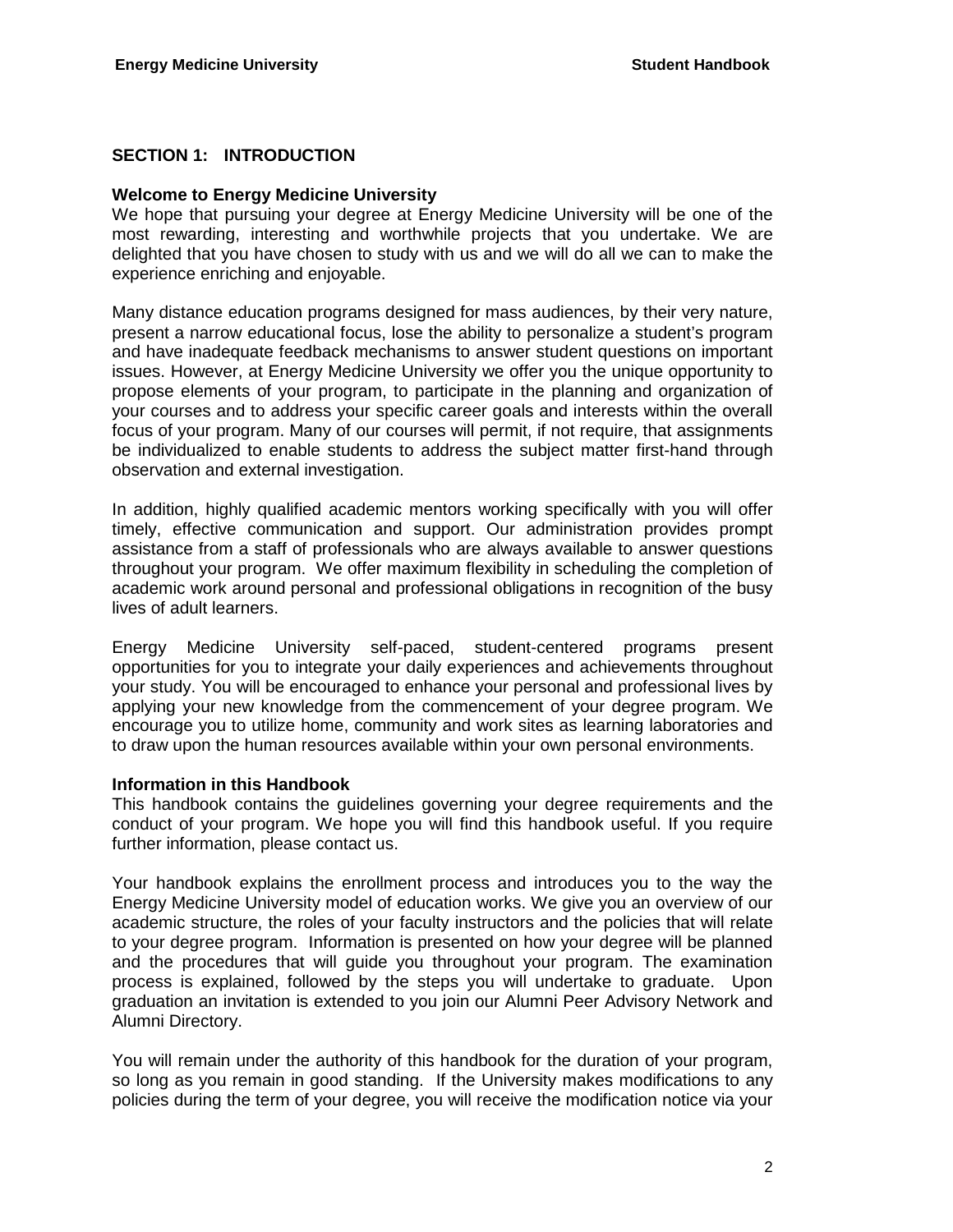#### **SECTION 1: INTRODUCTION**

#### **Welcome to Energy Medicine University**

We hope that pursuing your degree at Energy Medicine University will be one of the most rewarding, interesting and worthwhile projects that you undertake. We are delighted that you have chosen to study with us and we will do all we can to make the experience enriching and enjoyable.

Many distance education programs designed for mass audiences, by their very nature, present a narrow educational focus, lose the ability to personalize a student's program and have inadequate feedback mechanisms to answer student questions on important issues. However, at Energy Medicine University we offer you the unique opportunity to propose elements of your program, to participate in the planning and organization of your courses and to address your specific career goals and interests within the overall focus of your program. Many of our courses will permit, if not require, that assignments be individualized to enable students to address the subject matter first-hand through observation and external investigation.

In addition, highly qualified academic mentors working specifically with you will offer timely, effective communication and support. Our administration provides prompt assistance from a staff of professionals who are always available to answer questions throughout your program. We offer maximum flexibility in scheduling the completion of academic work around personal and professional obligations in recognition of the busy lives of adult learners.

Energy Medicine University self-paced, student-centered programs present opportunities for you to integrate your daily experiences and achievements throughout your study. You will be encouraged to enhance your personal and professional lives by applying your new knowledge from the commencement of your degree program. We encourage you to utilize home, community and work sites as learning laboratories and to draw upon the human resources available within your own personal environments.

#### **Information in this Handbook**

This handbook contains the guidelines governing your degree requirements and the conduct of your program. We hope you will find this handbook useful. If you require further information, please contact us.

Your handbook explains the enrollment process and introduces you to the way the Energy Medicine University model of education works. We give you an overview of our academic structure, the roles of your faculty instructors and the policies that will relate to your degree program. Information is presented on how your degree will be planned and the procedures that will guide you throughout your program. The examination process is explained, followed by the steps you will undertake to graduate. Upon graduation an invitation is extended to you join our Alumni Peer Advisory Network and Alumni Directory.

You will remain under the authority of this handbook for the duration of your program, so long as you remain in good standing. If the University makes modifications to any policies during the term of your degree, you will receive the modification notice via your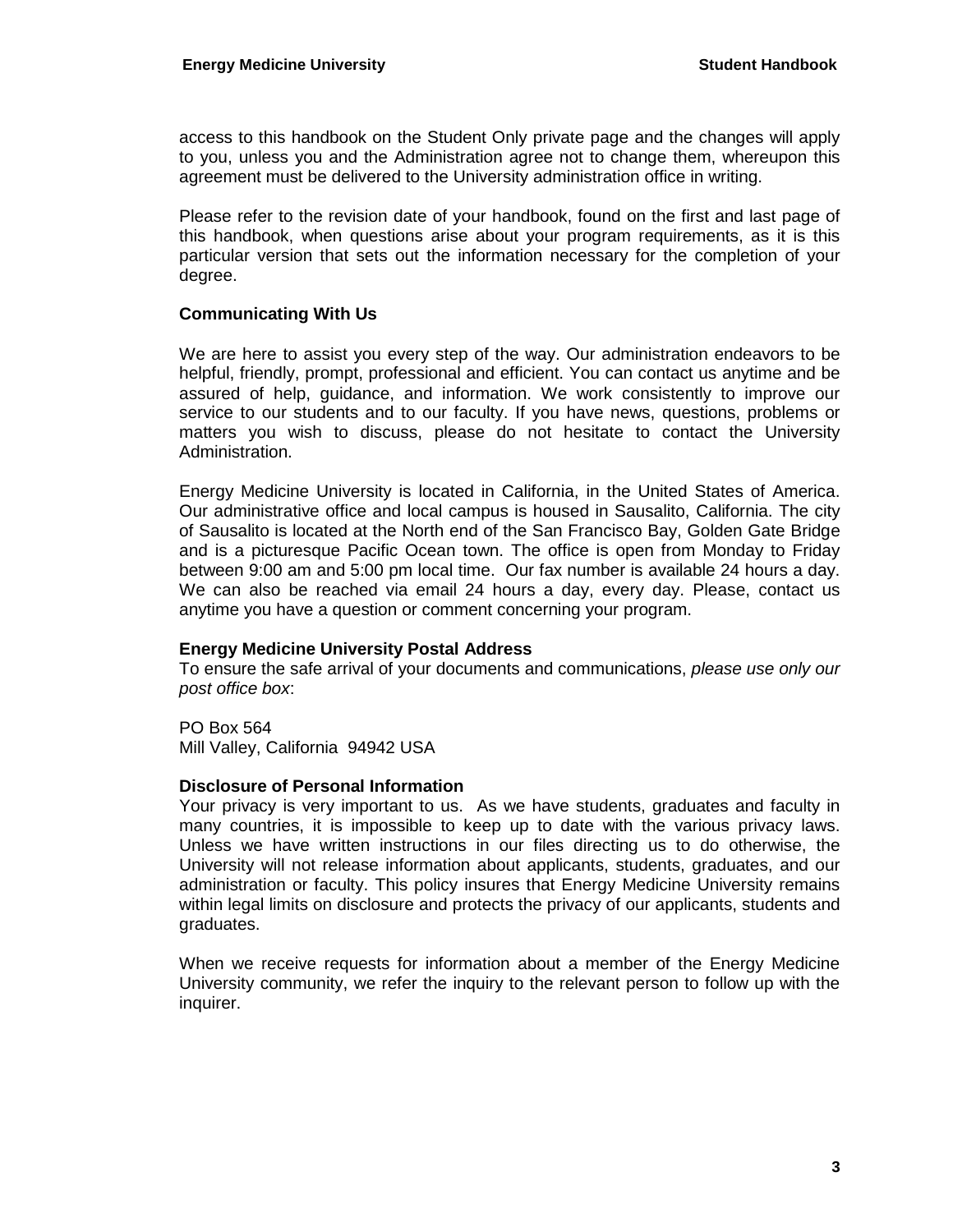access to this handbook on the Student Only private page and the changes will apply to you, unless you and the Administration agree not to change them, whereupon this agreement must be delivered to the University administration office in writing.

Please refer to the revision date of your handbook, found on the first and last page of this handbook, when questions arise about your program requirements, as it is this particular version that sets out the information necessary for the completion of your degree.

#### **Communicating With Us**

We are here to assist you every step of the way. Our administration endeavors to be helpful, friendly, prompt, professional and efficient. You can contact us anytime and be assured of help, guidance, and information. We work consistently to improve our service to our students and to our faculty. If you have news, questions, problems or matters you wish to discuss, please do not hesitate to contact the University Administration.

Energy Medicine University is located in California, in the United States of America. Our administrative office and local campus is housed in Sausalito, California. The city of Sausalito is located at the North end of the San Francisco Bay, Golden Gate Bridge and is a picturesque Pacific Ocean town. The office is open from Monday to Friday between 9:00 am and 5:00 pm local time. Our fax number is available 24 hours a day. We can also be reached via email 24 hours a day, every day. Please, contact us anytime you have a question or comment concerning your program.

#### **Energy Medicine University Postal Address**

To ensure the safe arrival of your documents and communications, *please use only our post office box*:

PO Box 564 Mill Valley, California 94942 USA

#### **Disclosure of Personal Information**

Your privacy is very important to us. As we have students, graduates and faculty in many countries, it is impossible to keep up to date with the various privacy laws. Unless we have written instructions in our files directing us to do otherwise, the University will not release information about applicants, students, graduates, and our administration or faculty. This policy insures that Energy Medicine University remains within legal limits on disclosure and protects the privacy of our applicants, students and graduates.

When we receive requests for information about a member of the Energy Medicine University community, we refer the inquiry to the relevant person to follow up with the inquirer.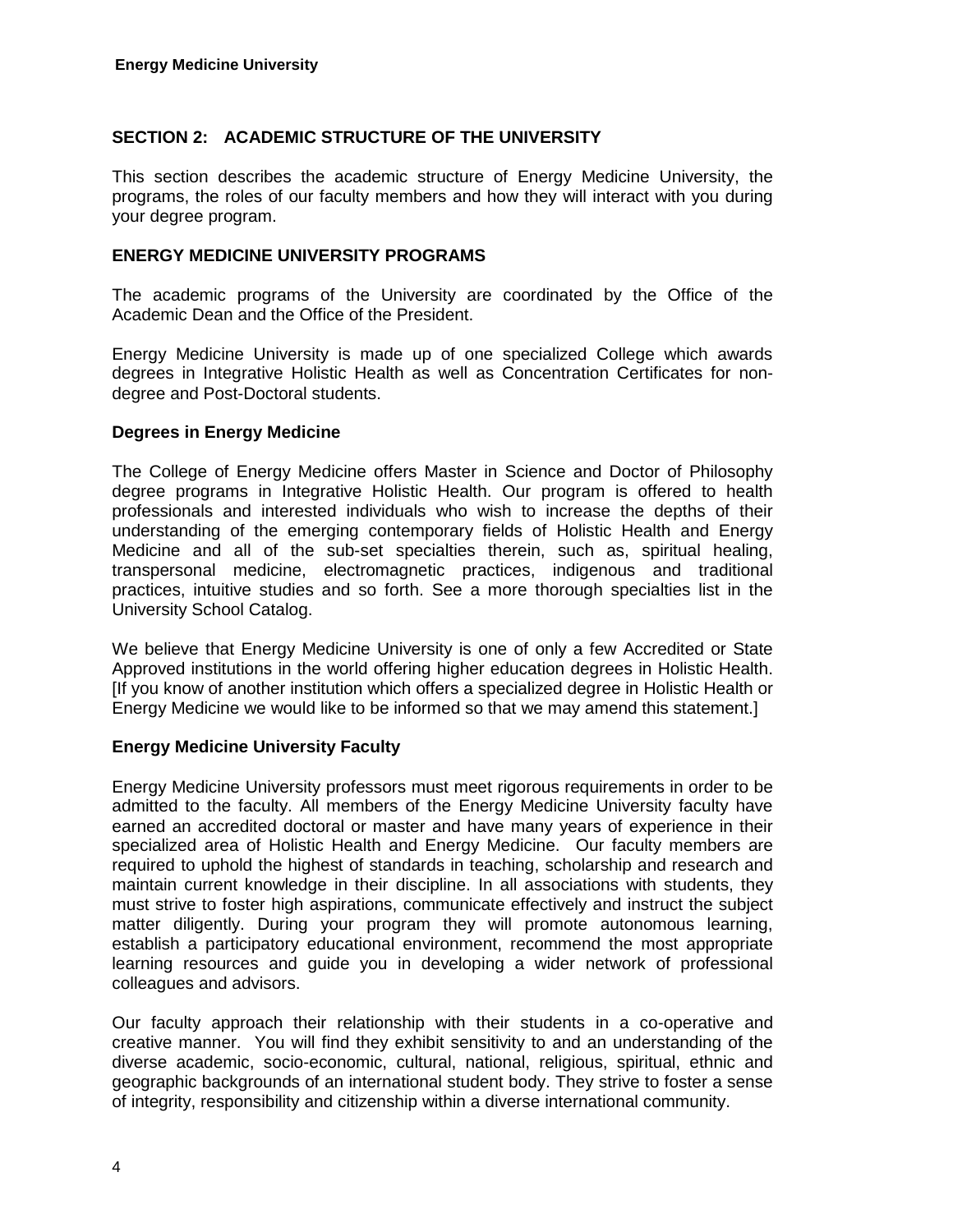#### **SECTION 2: ACADEMIC STRUCTURE OF THE UNIVERSITY**

This section describes the academic structure of Energy Medicine University, the programs, the roles of our faculty members and how they will interact with you during your degree program.

#### **ENERGY MEDICINE UNIVERSITY PROGRAMS**

The academic programs of the University are coordinated by the Office of the Academic Dean and the Office of the President.

Energy Medicine University is made up of one specialized College which awards degrees in Integrative Holistic Health as well as Concentration Certificates for nondegree and Post-Doctoral students.

#### **Degrees in Energy Medicine**

The College of Energy Medicine offers Master in Science and Doctor of Philosophy degree programs in Integrative Holistic Health. Our program is offered to health professionals and interested individuals who wish to increase the depths of their understanding of the emerging contemporary fields of Holistic Health and Energy Medicine and all of the sub-set specialties therein, such as, spiritual healing, transpersonal medicine, electromagnetic practices, indigenous and traditional practices, intuitive studies and so forth. See a more thorough specialties list in the University School Catalog.

We believe that Energy Medicine University is one of only a few Accredited or State Approved institutions in the world offering higher education degrees in Holistic Health. [If you know of another institution which offers a specialized degree in Holistic Health or Energy Medicine we would like to be informed so that we may amend this statement.]

#### **Energy Medicine University Faculty**

Energy Medicine University professors must meet rigorous requirements in order to be admitted to the faculty. All members of the Energy Medicine University faculty have earned an accredited doctoral or master and have many years of experience in their specialized area of Holistic Health and Energy Medicine. Our faculty members are required to uphold the highest of standards in teaching, scholarship and research and maintain current knowledge in their discipline. In all associations with students, they must strive to foster high aspirations, communicate effectively and instruct the subject matter diligently. During your program they will promote autonomous learning, establish a participatory educational environment, recommend the most appropriate learning resources and guide you in developing a wider network of professional colleagues and advisors.

Our faculty approach their relationship with their students in a co-operative and creative manner. You will find they exhibit sensitivity to and an understanding of the diverse academic, socio-economic, cultural, national, religious, spiritual, ethnic and geographic backgrounds of an international student body. They strive to foster a sense of integrity, responsibility and citizenship within a diverse international community.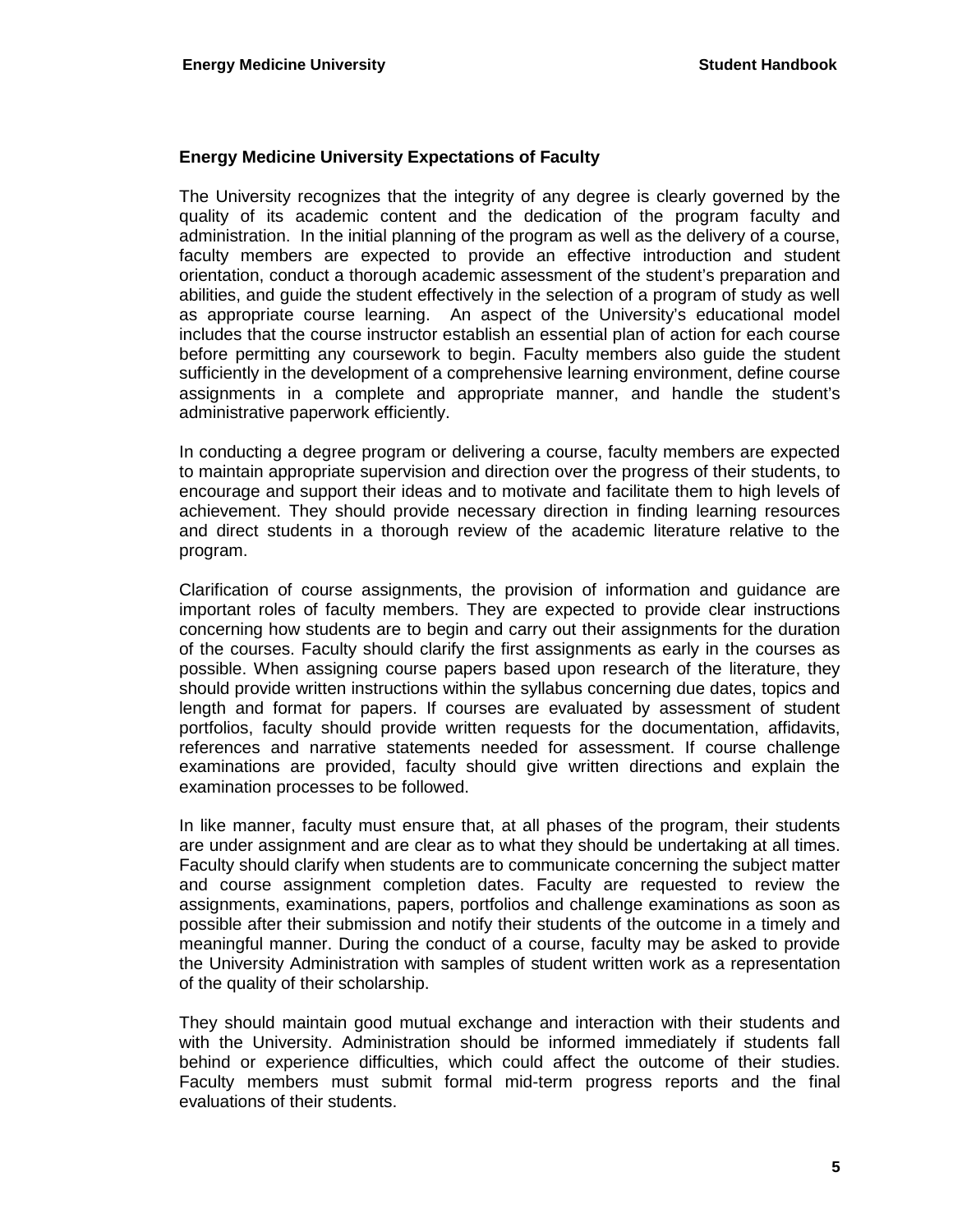#### **Energy Medicine University Expectations of Faculty**

The University recognizes that the integrity of any degree is clearly governed by the quality of its academic content and the dedication of the program faculty and administration. In the initial planning of the program as well as the delivery of a course, faculty members are expected to provide an effective introduction and student orientation, conduct a thorough academic assessment of the student's preparation and abilities, and guide the student effectively in the selection of a program of study as well as appropriate course learning. An aspect of the University's educational model includes that the course instructor establish an essential plan of action for each course before permitting any coursework to begin. Faculty members also guide the student sufficiently in the development of a comprehensive learning environment, define course assignments in a complete and appropriate manner, and handle the student's administrative paperwork efficiently.

In conducting a degree program or delivering a course, faculty members are expected to maintain appropriate supervision and direction over the progress of their students, to encourage and support their ideas and to motivate and facilitate them to high levels of achievement. They should provide necessary direction in finding learning resources and direct students in a thorough review of the academic literature relative to the program.

Clarification of course assignments, the provision of information and guidance are important roles of faculty members. They are expected to provide clear instructions concerning how students are to begin and carry out their assignments for the duration of the courses. Faculty should clarify the first assignments as early in the courses as possible. When assigning course papers based upon research of the literature, they should provide written instructions within the syllabus concerning due dates, topics and length and format for papers. If courses are evaluated by assessment of student portfolios, faculty should provide written requests for the documentation, affidavits, references and narrative statements needed for assessment. If course challenge examinations are provided, faculty should give written directions and explain the examination processes to be followed.

In like manner, faculty must ensure that, at all phases of the program, their students are under assignment and are clear as to what they should be undertaking at all times. Faculty should clarify when students are to communicate concerning the subject matter and course assignment completion dates. Faculty are requested to review the assignments, examinations, papers, portfolios and challenge examinations as soon as possible after their submission and notify their students of the outcome in a timely and meaningful manner. During the conduct of a course, faculty may be asked to provide the University Administration with samples of student written work as a representation of the quality of their scholarship.

They should maintain good mutual exchange and interaction with their students and with the University. Administration should be informed immediately if students fall behind or experience difficulties, which could affect the outcome of their studies. Faculty members must submit formal mid-term progress reports and the final evaluations of their students.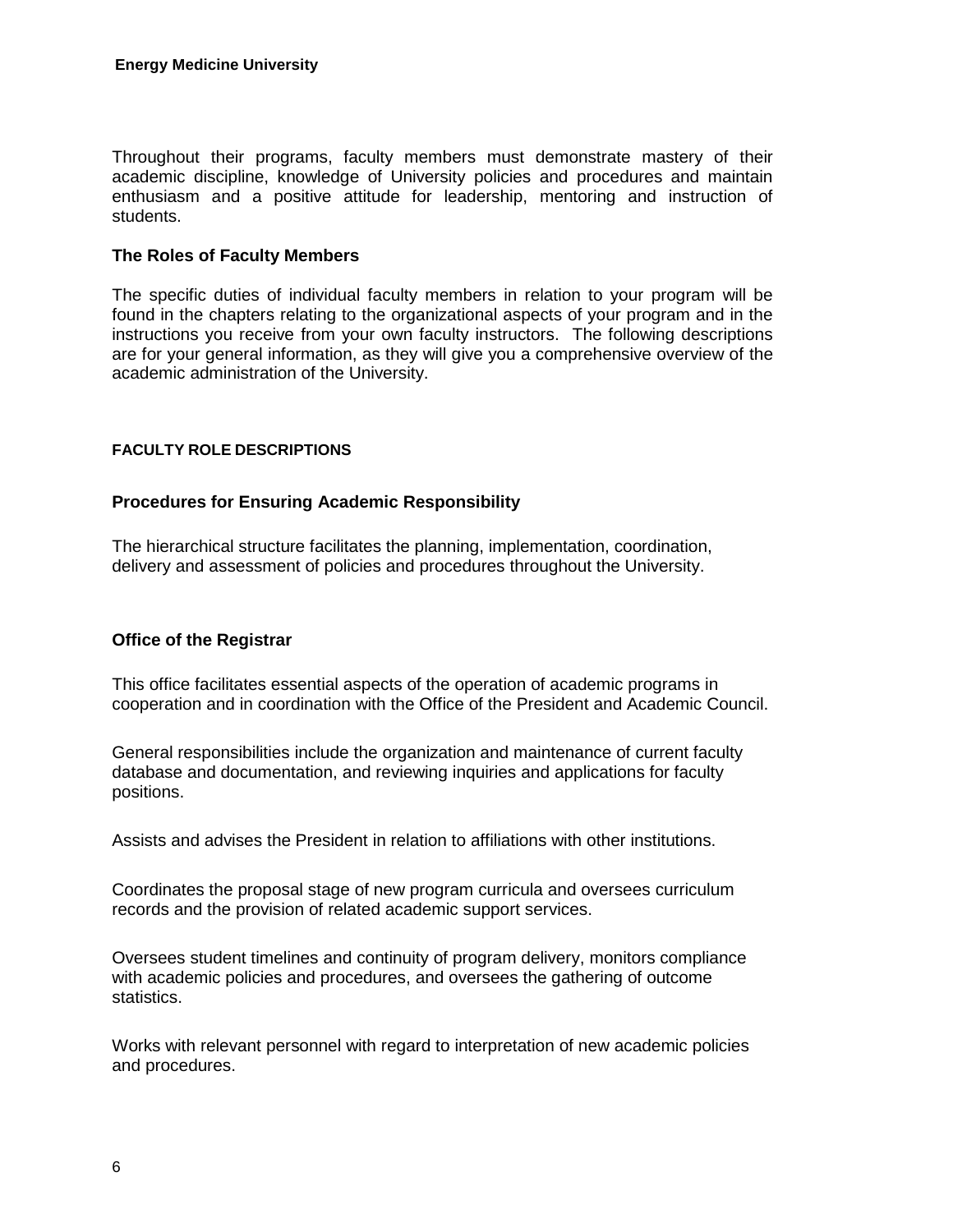Throughout their programs, faculty members must demonstrate mastery of their academic discipline, knowledge of University policies and procedures and maintain enthusiasm and a positive attitude for leadership, mentoring and instruction of students.

#### **The Roles of Faculty Members**

The specific duties of individual faculty members in relation to your program will be found in the chapters relating to the organizational aspects of your program and in the instructions you receive from your own faculty instructors. The following descriptions are for your general information, as they will give you a comprehensive overview of the academic administration of the University.

#### **FACULTY ROLE DESCRIPTIONS**

#### **Procedures for Ensuring Academic Responsibility**

The hierarchical structure facilitates the planning, implementation, coordination, delivery and assessment of policies and procedures throughout the University.

#### **Office of the Registrar**

This office facilitates essential aspects of the operation of academic programs in cooperation and in coordination with the Office of the President and Academic Council.

General responsibilities include the organization and maintenance of current faculty database and documentation, and reviewing inquiries and applications for faculty positions.

Assists and advises the President in relation to affiliations with other institutions.

Coordinates the proposal stage of new program curricula and oversees curriculum records and the provision of related academic support services.

Oversees student timelines and continuity of program delivery, monitors compliance with academic policies and procedures, and oversees the gathering of outcome statistics.

Works with relevant personnel with regard to interpretation of new academic policies and procedures.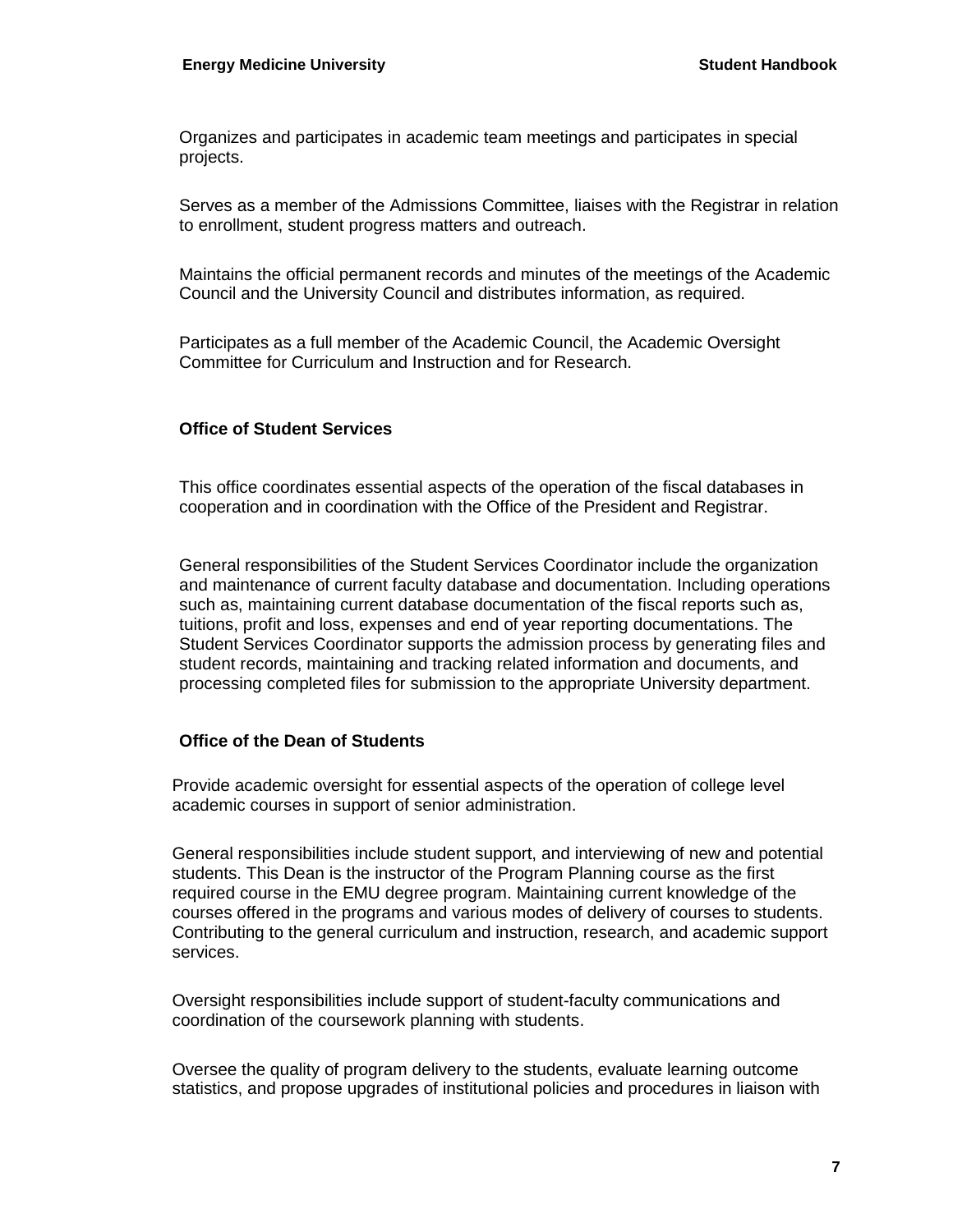Organizes and participates in academic team meetings and participates in special projects.

Serves as a member of the Admissions Committee, liaises with the Registrar in relation to enrollment, student progress matters and outreach.

Maintains the official permanent records and minutes of the meetings of the Academic Council and the University Council and distributes information, as required.

Participates as a full member of the Academic Council, the Academic Oversight Committee for Curriculum and Instruction and for Research.

#### **Office of Student Services**

This office coordinates essential aspects of the operation of the fiscal databases in cooperation and in coordination with the Office of the President and Registrar.

General responsibilities of the Student Services Coordinator include the organization and maintenance of current faculty database and documentation. Including operations such as, maintaining current database documentation of the fiscal reports such as, tuitions, profit and loss, expenses and end of year reporting documentations. The Student Services Coordinator supports the admission process by generating files and student records, maintaining and tracking related information and documents, and processing completed files for submission to the appropriate University department.

#### **Office of the Dean of Students**

Provide academic oversight for essential aspects of the operation of college level academic courses in support of senior administration.

General responsibilities include student support, and interviewing of new and potential students. This Dean is the instructor of the Program Planning course as the first required course in the EMU degree program. Maintaining current knowledge of the courses offered in the programs and various modes of delivery of courses to students. Contributing to the general curriculum and instruction, research, and academic support services.

Oversight responsibilities include support of student-faculty communications and coordination of the coursework planning with students.

Oversee the quality of program delivery to the students, evaluate learning outcome statistics, and propose upgrades of institutional policies and procedures in liaison with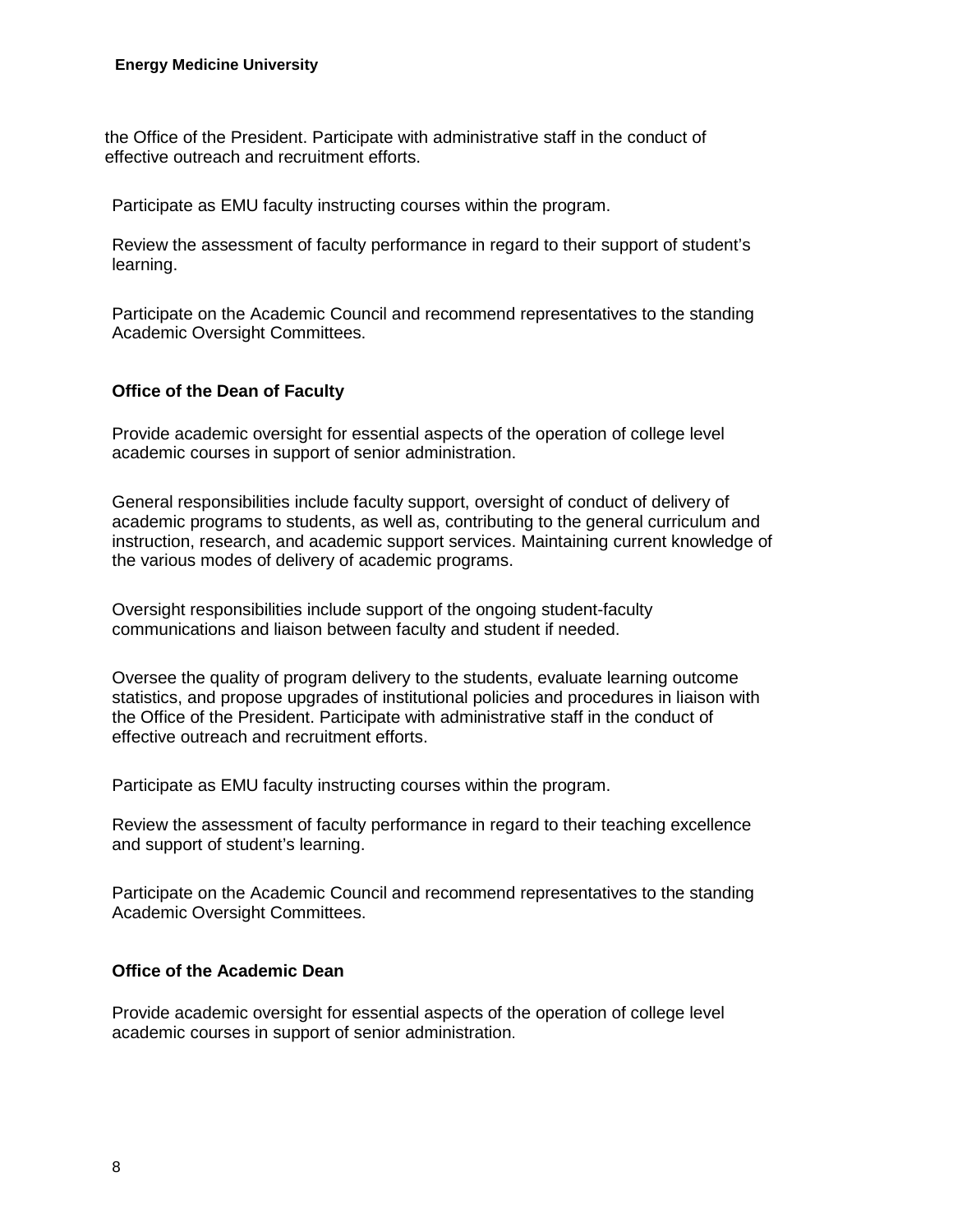the Office of the President. Participate with administrative staff in the conduct of effective outreach and recruitment efforts.

Participate as EMU faculty instructing courses within the program.

Review the assessment of faculty performance in regard to their support of student's learning.

Participate on the Academic Council and recommend representatives to the standing Academic Oversight Committees.

#### **Office of the Dean of Faculty**

Provide academic oversight for essential aspects of the operation of college level academic courses in support of senior administration.

General responsibilities include faculty support, oversight of conduct of delivery of academic programs to students, as well as, contributing to the general curriculum and instruction, research, and academic support services. Maintaining current knowledge of the various modes of delivery of academic programs.

Oversight responsibilities include support of the ongoing student-faculty communications and liaison between faculty and student if needed.

Oversee the quality of program delivery to the students, evaluate learning outcome statistics, and propose upgrades of institutional policies and procedures in liaison with the Office of the President. Participate with administrative staff in the conduct of effective outreach and recruitment efforts.

Participate as EMU faculty instructing courses within the program.

Review the assessment of faculty performance in regard to their teaching excellence and support of student's learning.

Participate on the Academic Council and recommend representatives to the standing Academic Oversight Committees.

#### **Office of the Academic Dean**

Provide academic oversight for essential aspects of the operation of college level academic courses in support of senior administration.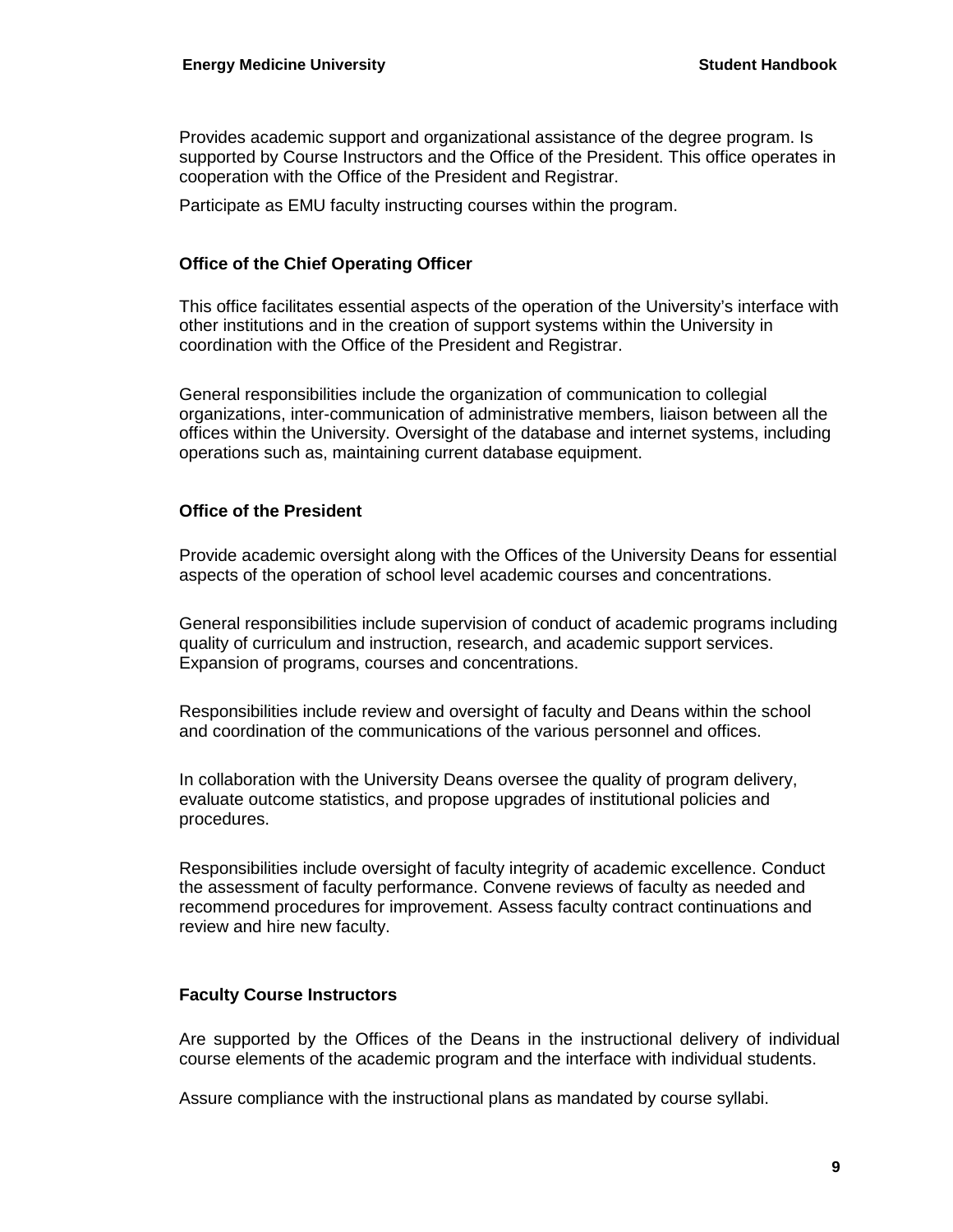Provides academic support and organizational assistance of the degree program. Is supported by Course Instructors and the Office of the President. This office operates in cooperation with the Office of the President and Registrar.

Participate as EMU faculty instructing courses within the program.

#### **Office of the Chief Operating Officer**

This office facilitates essential aspects of the operation of the University's interface with other institutions and in the creation of support systems within the University in coordination with the Office of the President and Registrar.

General responsibilities include the organization of communication to collegial organizations, inter-communication of administrative members, liaison between all the offices within the University. Oversight of the database and internet systems, including operations such as, maintaining current database equipment.

#### **Office of the President**

Provide academic oversight along with the Offices of the University Deans for essential aspects of the operation of school level academic courses and concentrations.

General responsibilities include supervision of conduct of academic programs including quality of curriculum and instruction, research, and academic support services. Expansion of programs, courses and concentrations.

Responsibilities include review and oversight of faculty and Deans within the school and coordination of the communications of the various personnel and offices.

In collaboration with the University Deans oversee the quality of program delivery, evaluate outcome statistics, and propose upgrades of institutional policies and procedures.

Responsibilities include oversight of faculty integrity of academic excellence. Conduct the assessment of faculty performance. Convene reviews of faculty as needed and recommend procedures for improvement. Assess faculty contract continuations and review and hire new faculty.

#### **Faculty Course Instructors**

Are supported by the Offices of the Deans in the instructional delivery of individual course elements of the academic program and the interface with individual students.

Assure compliance with the instructional plans as mandated by course syllabi.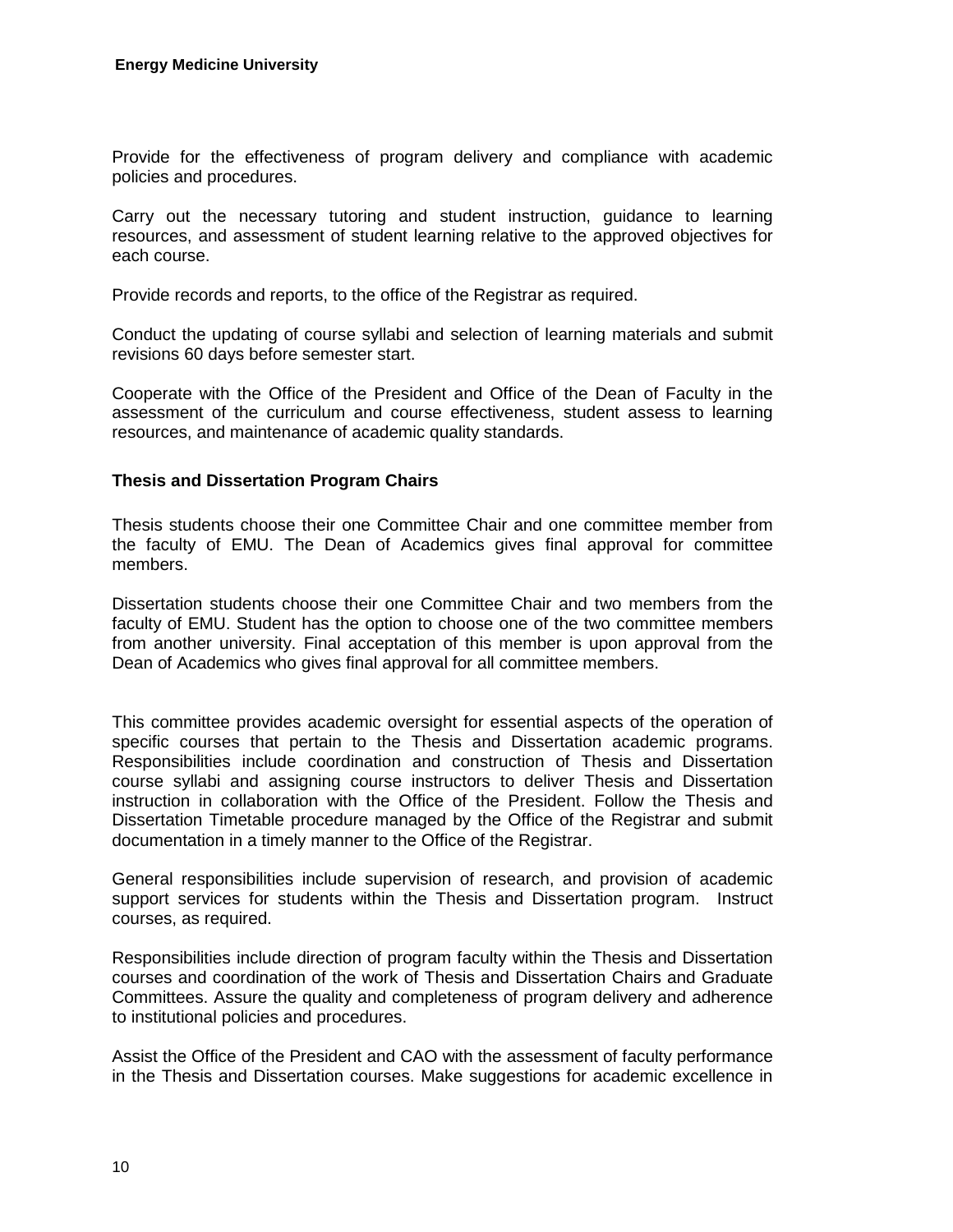Provide for the effectiveness of program delivery and compliance with academic policies and procedures.

Carry out the necessary tutoring and student instruction, guidance to learning resources, and assessment of student learning relative to the approved objectives for each course.

Provide records and reports, to the office of the Registrar as required.

Conduct the updating of course syllabi and selection of learning materials and submit revisions 60 days before semester start.

Cooperate with the Office of the President and Office of the Dean of Faculty in the assessment of the curriculum and course effectiveness, student assess to learning resources, and maintenance of academic quality standards.

#### **Thesis and Dissertation Program Chairs**

Thesis students choose their one Committee Chair and one committee member from the faculty of EMU. The Dean of Academics gives final approval for committee members.

Dissertation students choose their one Committee Chair and two members from the faculty of EMU. Student has the option to choose one of the two committee members from another university. Final acceptation of this member is upon approval from the Dean of Academics who gives final approval for all committee members.

This committee provides academic oversight for essential aspects of the operation of specific courses that pertain to the Thesis and Dissertation academic programs. Responsibilities include coordination and construction of Thesis and Dissertation course syllabi and assigning course instructors to deliver Thesis and Dissertation instruction in collaboration with the Office of the President. Follow the Thesis and Dissertation Timetable procedure managed by the Office of the Registrar and submit documentation in a timely manner to the Office of the Registrar.

General responsibilities include supervision of research, and provision of academic support services for students within the Thesis and Dissertation program. Instruct courses, as required.

Responsibilities include direction of program faculty within the Thesis and Dissertation courses and coordination of the work of Thesis and Dissertation Chairs and Graduate Committees. Assure the quality and completeness of program delivery and adherence to institutional policies and procedures.

Assist the Office of the President and CAO with the assessment of faculty performance in the Thesis and Dissertation courses. Make suggestions for academic excellence in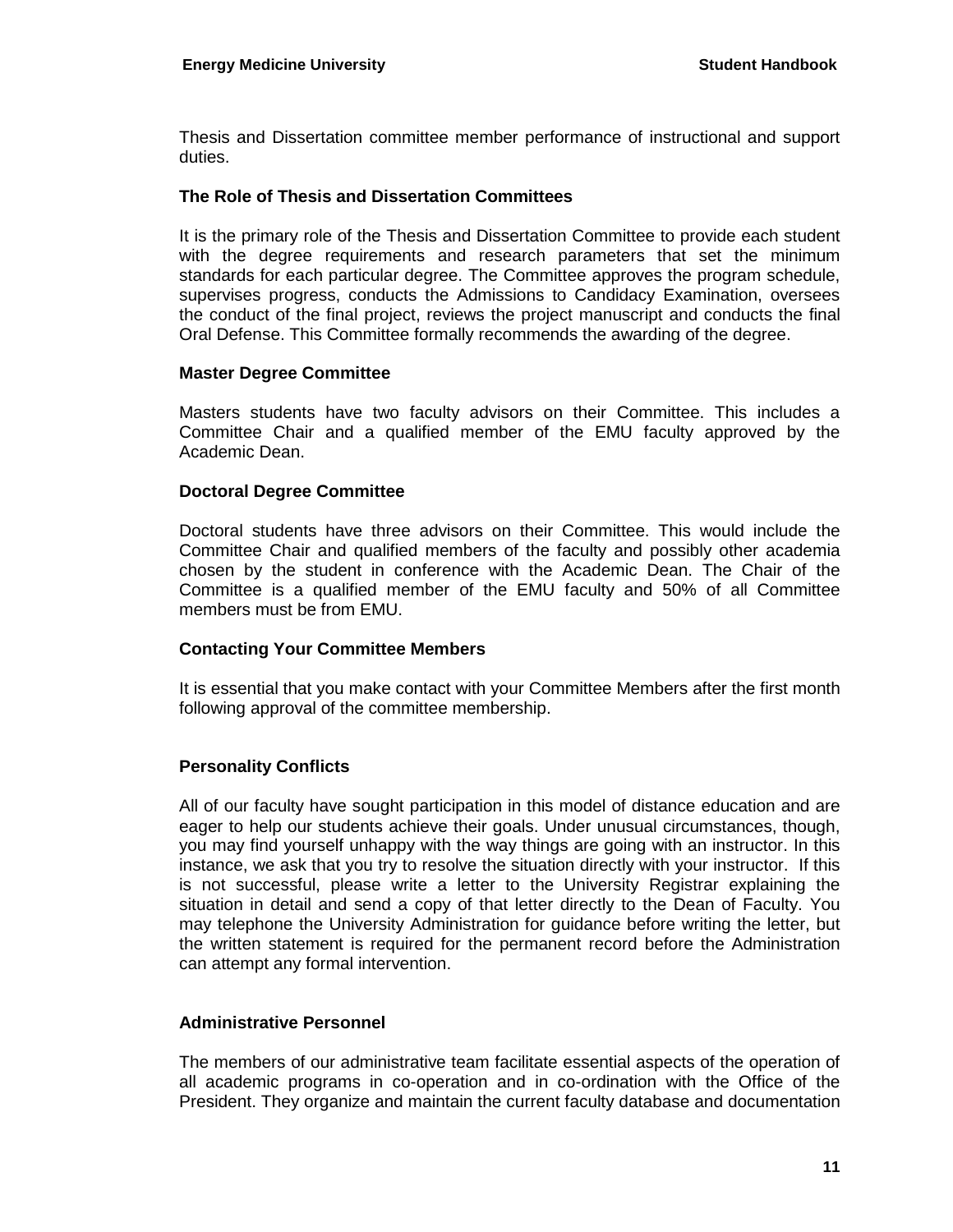Thesis and Dissertation committee member performance of instructional and support duties.

#### **The Role of Thesis and Dissertation Committees**

It is the primary role of the Thesis and Dissertation Committee to provide each student with the degree requirements and research parameters that set the minimum standards for each particular degree. The Committee approves the program schedule, supervises progress, conducts the Admissions to Candidacy Examination, oversees the conduct of the final project, reviews the project manuscript and conducts the final Oral Defense. This Committee formally recommends the awarding of the degree.

#### **Master Degree Committee**

Masters students have two faculty advisors on their Committee. This includes a Committee Chair and a qualified member of the EMU faculty approved by the Academic Dean.

#### **Doctoral Degree Committee**

Doctoral students have three advisors on their Committee. This would include the Committee Chair and qualified members of the faculty and possibly other academia chosen by the student in conference with the Academic Dean. The Chair of the Committee is a qualified member of the EMU faculty and 50% of all Committee members must be from EMU.

#### **Contacting Your Committee Members**

It is essential that you make contact with your Committee Members after the first month following approval of the committee membership.

#### **Personality Conflicts**

All of our faculty have sought participation in this model of distance education and are eager to help our students achieve their goals. Under unusual circumstances, though, you may find yourself unhappy with the way things are going with an instructor. In this instance, we ask that you try to resolve the situation directly with your instructor. If this is not successful, please write a letter to the University Registrar explaining the situation in detail and send a copy of that letter directly to the Dean of Faculty. You may telephone the University Administration for guidance before writing the letter, but the written statement is required for the permanent record before the Administration can attempt any formal intervention.

#### **Administrative Personnel**

The members of our administrative team facilitate essential aspects of the operation of all academic programs in co-operation and in co-ordination with the Office of the President. They organize and maintain the current faculty database and documentation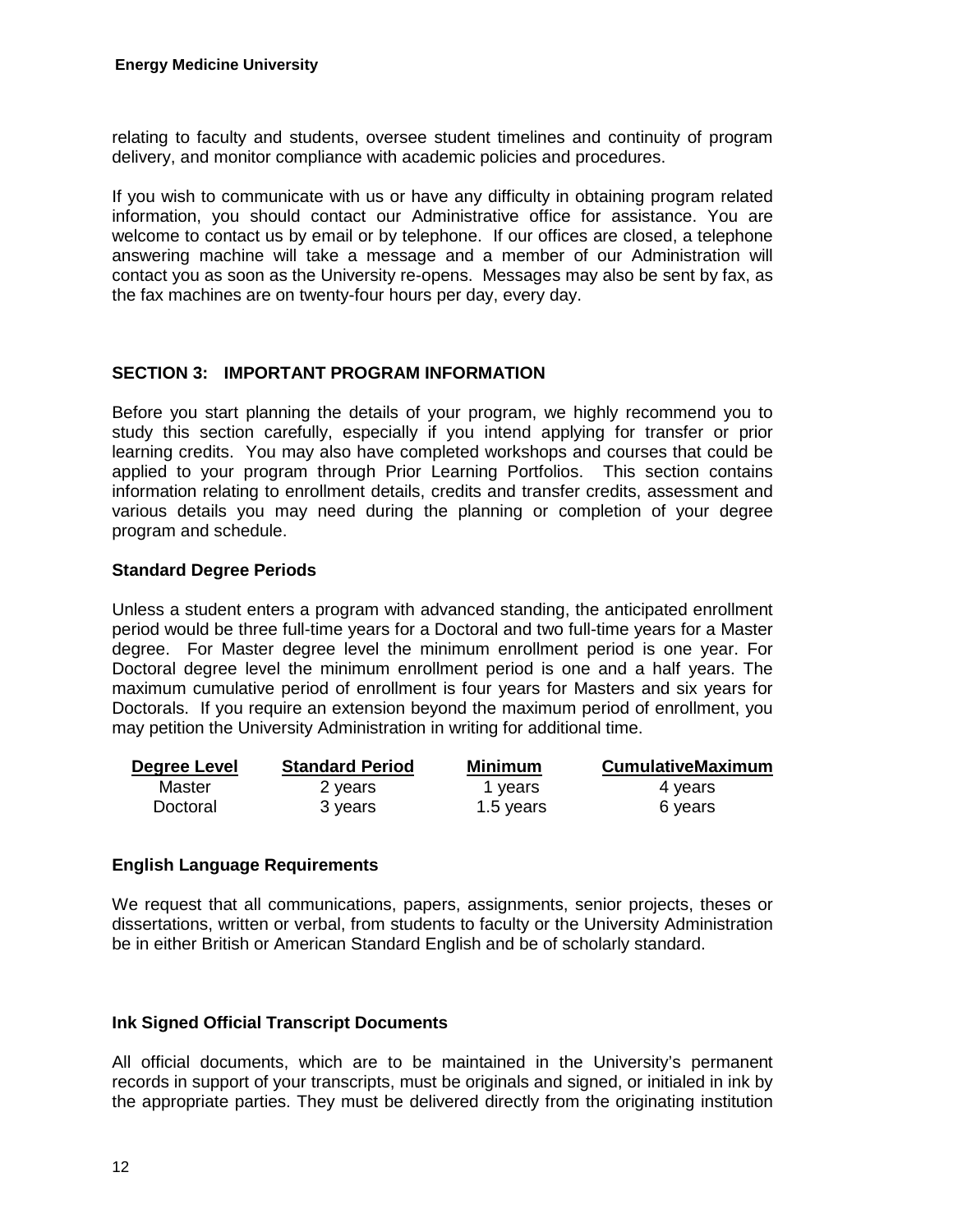relating to faculty and students, oversee student timelines and continuity of program delivery, and monitor compliance with academic policies and procedures.

If you wish to communicate with us or have any difficulty in obtaining program related information, you should contact our Administrative office for assistance. You are welcome to contact us by email or by telephone. If our offices are closed, a telephone answering machine will take a message and a member of our Administration will contact you as soon as the University re-opens. Messages may also be sent by fax, as the fax machines are on twenty-four hours per day, every day.

#### **SECTION 3: IMPORTANT PROGRAM INFORMATION**

Before you start planning the details of your program, we highly recommend you to study this section carefully, especially if you intend applying for transfer or prior learning credits. You may also have completed workshops and courses that could be applied to your program through Prior Learning Portfolios. This section contains information relating to enrollment details, credits and transfer credits, assessment and various details you may need during the planning or completion of your degree program and schedule.

#### **Standard Degree Periods**

Unless a student enters a program with advanced standing, the anticipated enrollment period would be three full-time years for a Doctoral and two full-time years for a Master degree. For Master degree level the minimum enrollment period is one year. For Doctoral degree level the minimum enrollment period is one and a half years. The maximum cumulative period of enrollment is four years for Masters and six years for Doctorals. If you require an extension beyond the maximum period of enrollment, you may petition the University Administration in writing for additional time.

| Degree Level | <b>Standard Period</b> | Minimum   | <b>CumulativeMaximum</b> |
|--------------|------------------------|-----------|--------------------------|
| Master       | 2 years                | 1 years   | 4 years                  |
| Doctoral     | 3 years                | 1.5 years | 6 years                  |

#### **English Language Requirements**

We request that all communications, papers, assignments, senior projects, theses or dissertations, written or verbal, from students to faculty or the University Administration be in either British or American Standard English and be of scholarly standard.

#### **Ink Signed Official Transcript Documents**

All official documents, which are to be maintained in the University's permanent records in support of your transcripts, must be originals and signed, or initialed in ink by the appropriate parties. They must be delivered directly from the originating institution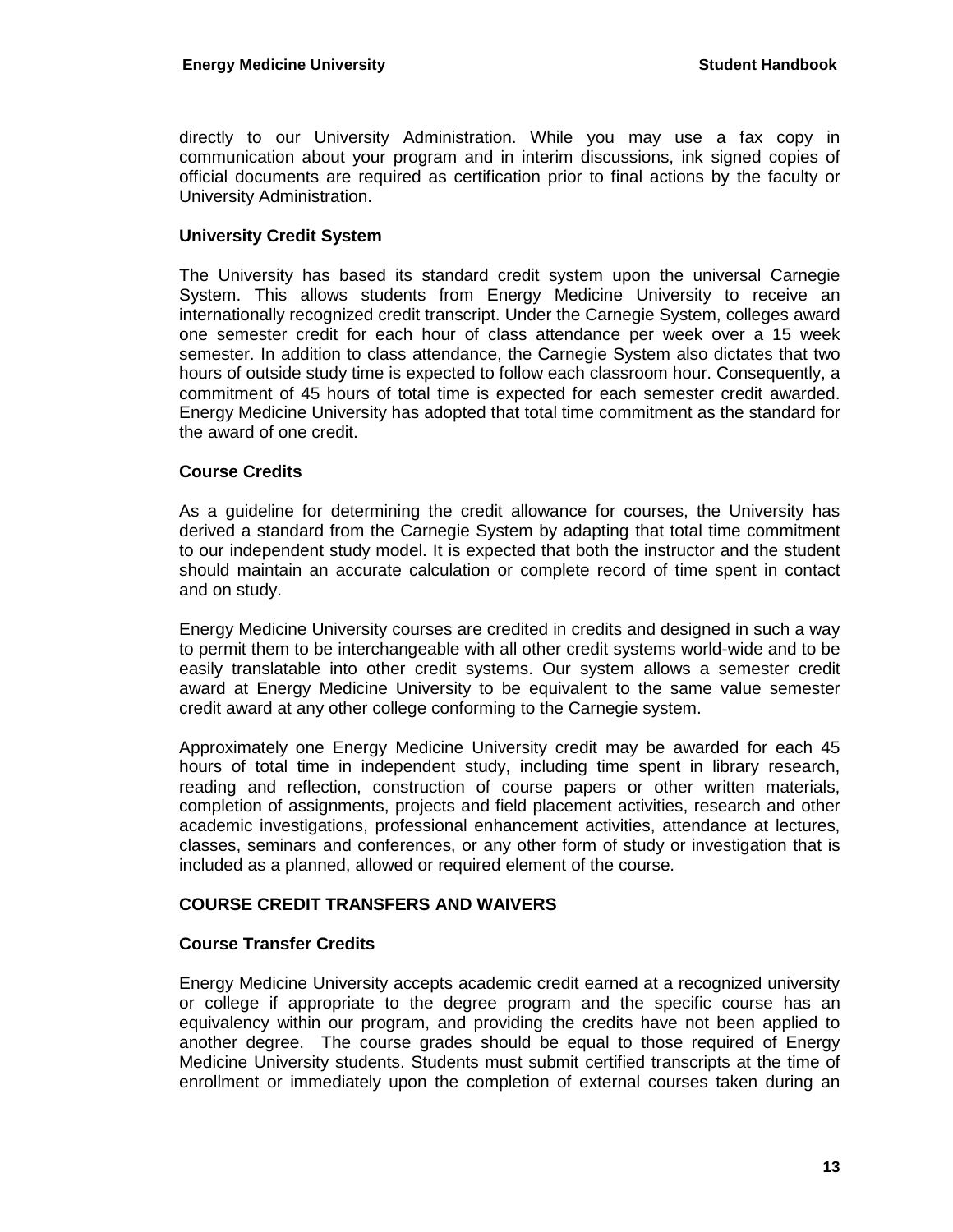directly to our University Administration. While you may use a fax copy in communication about your program and in interim discussions, ink signed copies of official documents are required as certification prior to final actions by the faculty or University Administration.

#### **University Credit System**

The University has based its standard credit system upon the universal Carnegie System. This allows students from Energy Medicine University to receive an internationally recognized credit transcript. Under the Carnegie System, colleges award one semester credit for each hour of class attendance per week over a 15 week semester. In addition to class attendance, the Carnegie System also dictates that two hours of outside study time is expected to follow each classroom hour. Consequently, a commitment of 45 hours of total time is expected for each semester credit awarded. Energy Medicine University has adopted that total time commitment as the standard for the award of one credit.

#### **Course Credits**

As a guideline for determining the credit allowance for courses, the University has derived a standard from the Carnegie System by adapting that total time commitment to our independent study model. It is expected that both the instructor and the student should maintain an accurate calculation or complete record of time spent in contact and on study.

Energy Medicine University courses are credited in credits and designed in such a way to permit them to be interchangeable with all other credit systems world-wide and to be easily translatable into other credit systems. Our system allows a semester credit award at Energy Medicine University to be equivalent to the same value semester credit award at any other college conforming to the Carnegie system.

Approximately one Energy Medicine University credit may be awarded for each 45 hours of total time in independent study, including time spent in library research, reading and reflection, construction of course papers or other written materials, completion of assignments, projects and field placement activities, research and other academic investigations, professional enhancement activities, attendance at lectures, classes, seminars and conferences, or any other form of study or investigation that is included as a planned, allowed or required element of the course.

#### **COURSE CREDIT TRANSFERS AND WAIVERS**

#### **Course Transfer Credits**

Energy Medicine University accepts academic credit earned at a recognized university or college if appropriate to the degree program and the specific course has an equivalency within our program, and providing the credits have not been applied to another degree. The course grades should be equal to those required of Energy Medicine University students. Students must submit certified transcripts at the time of enrollment or immediately upon the completion of external courses taken during an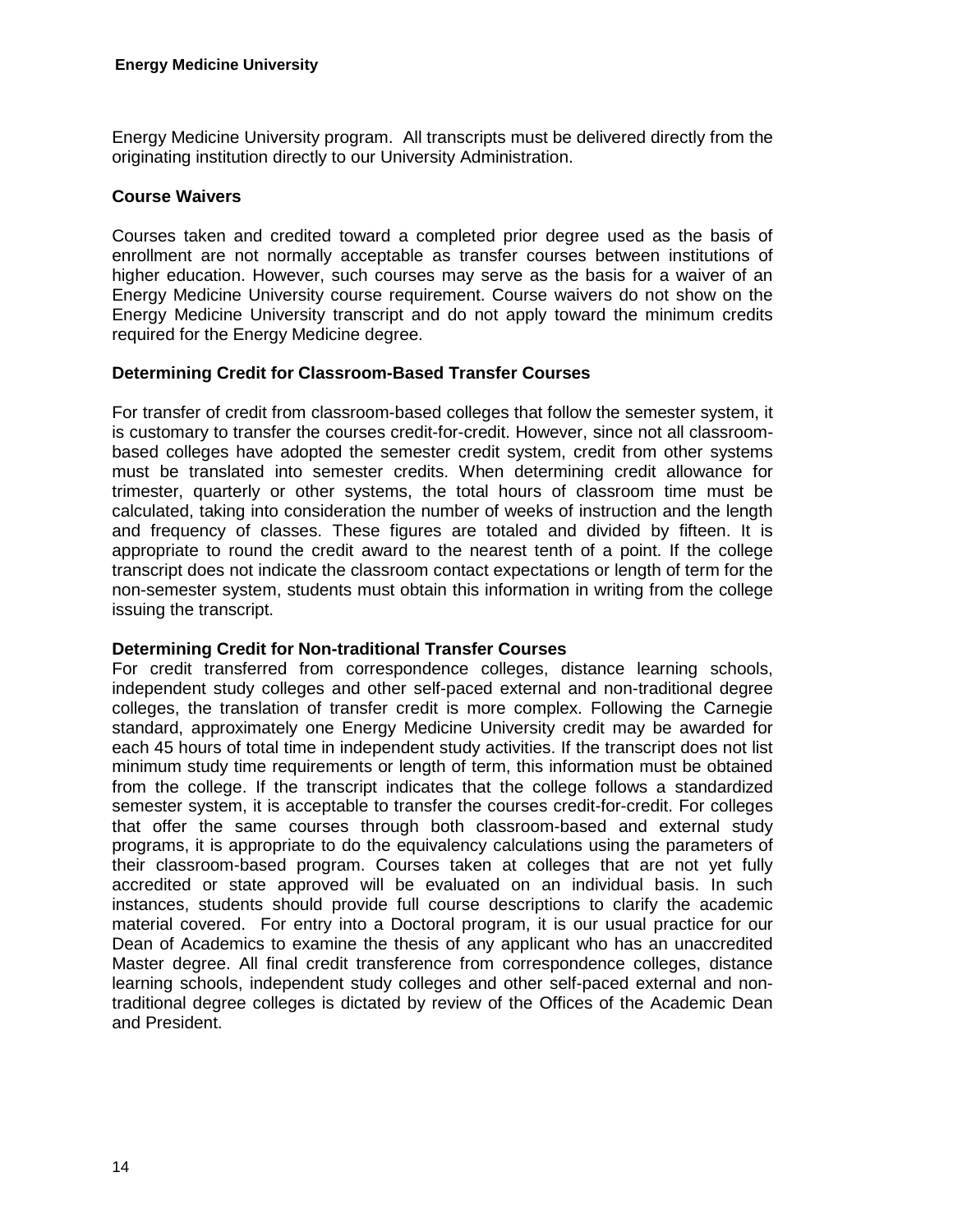Energy Medicine University program. All transcripts must be delivered directly from the originating institution directly to our University Administration.

#### **Course Waivers**

Courses taken and credited toward a completed prior degree used as the basis of enrollment are not normally acceptable as transfer courses between institutions of higher education. However, such courses may serve as the basis for a waiver of an Energy Medicine University course requirement. Course waivers do not show on the Energy Medicine University transcript and do not apply toward the minimum credits required for the Energy Medicine degree.

#### **Determining Credit for Classroom-Based Transfer Courses**

For transfer of credit from classroom-based colleges that follow the semester system, it is customary to transfer the courses credit-for-credit. However, since not all classroombased colleges have adopted the semester credit system, credit from other systems must be translated into semester credits. When determining credit allowance for trimester, quarterly or other systems, the total hours of classroom time must be calculated, taking into consideration the number of weeks of instruction and the length and frequency of classes. These figures are totaled and divided by fifteen. It is appropriate to round the credit award to the nearest tenth of a point. If the college transcript does not indicate the classroom contact expectations or length of term for the non-semester system, students must obtain this information in writing from the college issuing the transcript.

#### **Determining Credit for Non-traditional Transfer Courses**

For credit transferred from correspondence colleges, distance learning schools, independent study colleges and other self-paced external and non-traditional degree colleges, the translation of transfer credit is more complex. Following the Carnegie standard, approximately one Energy Medicine University credit may be awarded for each 45 hours of total time in independent study activities. If the transcript does not list minimum study time requirements or length of term, this information must be obtained from the college. If the transcript indicates that the college follows a standardized semester system, it is acceptable to transfer the courses credit-for-credit. For colleges that offer the same courses through both classroom-based and external study programs, it is appropriate to do the equivalency calculations using the parameters of their classroom-based program. Courses taken at colleges that are not yet fully accredited or state approved will be evaluated on an individual basis. In such instances, students should provide full course descriptions to clarify the academic material covered. For entry into a Doctoral program, it is our usual practice for our Dean of Academics to examine the thesis of any applicant who has an unaccredited Master degree. All final credit transference from correspondence colleges, distance learning schools, independent study colleges and other self-paced external and nontraditional degree colleges is dictated by review of the Offices of the Academic Dean and President.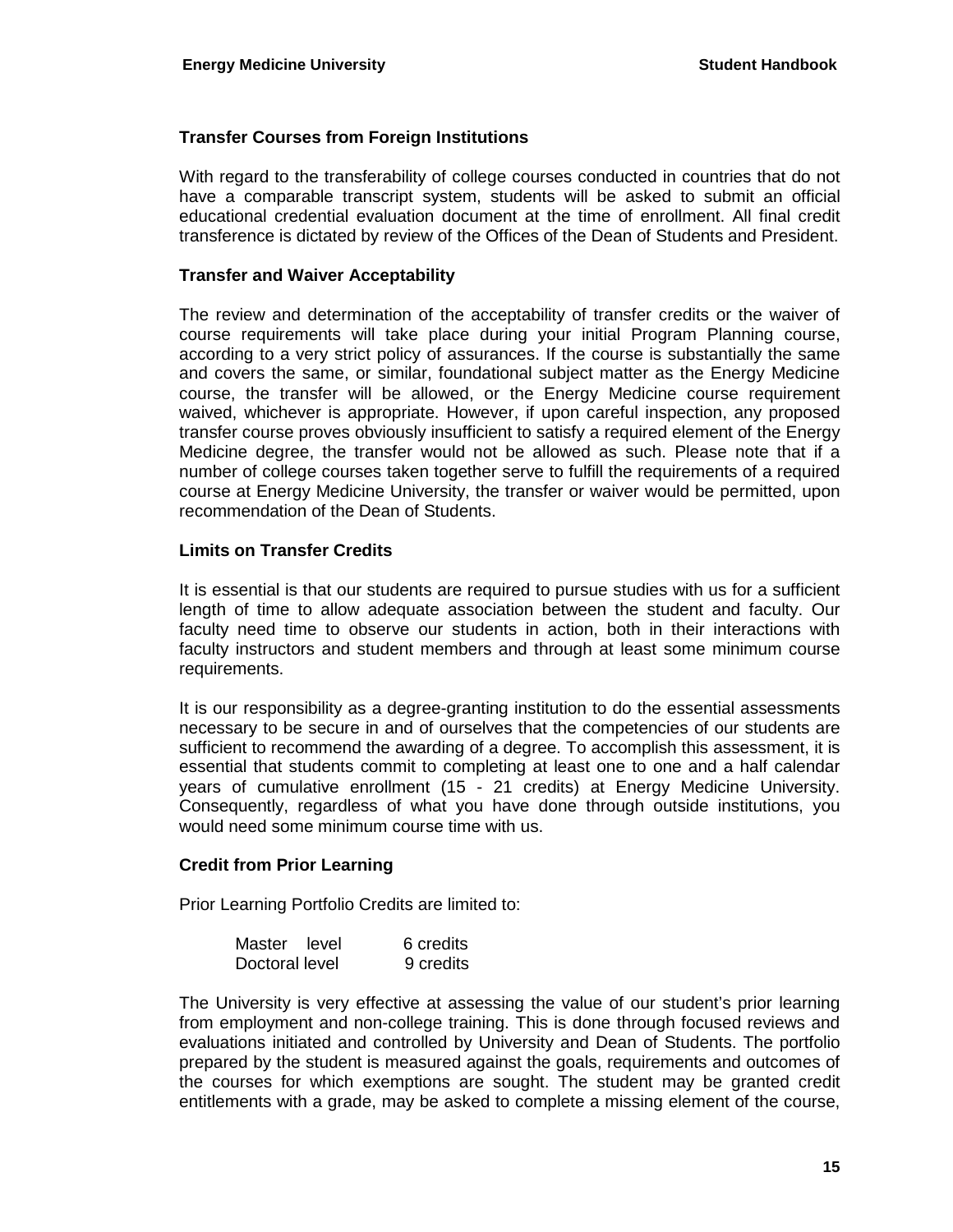#### **Transfer Courses from Foreign Institutions**

With regard to the transferability of college courses conducted in countries that do not have a comparable transcript system, students will be asked to submit an official educational credential evaluation document at the time of enrollment. All final credit transference is dictated by review of the Offices of the Dean of Students and President.

#### **Transfer and Waiver Acceptability**

The review and determination of the acceptability of transfer credits or the waiver of course requirements will take place during your initial Program Planning course, according to a very strict policy of assurances. If the course is substantially the same and covers the same, or similar, foundational subject matter as the Energy Medicine course, the transfer will be allowed, or the Energy Medicine course requirement waived, whichever is appropriate. However, if upon careful inspection, any proposed transfer course proves obviously insufficient to satisfy a required element of the Energy Medicine degree, the transfer would not be allowed as such. Please note that if a number of college courses taken together serve to fulfill the requirements of a required course at Energy Medicine University, the transfer or waiver would be permitted, upon recommendation of the Dean of Students.

#### **Limits on Transfer Credits**

It is essential is that our students are required to pursue studies with us for a sufficient length of time to allow adequate association between the student and faculty. Our faculty need time to observe our students in action, both in their interactions with faculty instructors and student members and through at least some minimum course requirements.

It is our responsibility as a degree-granting institution to do the essential assessments necessary to be secure in and of ourselves that the competencies of our students are sufficient to recommend the awarding of a degree. To accomplish this assessment, it is essential that students commit to completing at least one to one and a half calendar years of cumulative enrollment (15 - 21 credits) at Energy Medicine University. Consequently, regardless of what you have done through outside institutions, you would need some minimum course time with us.

#### **Credit from Prior Learning**

Prior Learning Portfolio Credits are limited to:

| Master level   | 6 credits |
|----------------|-----------|
| Doctoral level | 9 credits |

The University is very effective at assessing the value of our student's prior learning from employment and non-college training. This is done through focused reviews and evaluations initiated and controlled by University and Dean of Students. The portfolio prepared by the student is measured against the goals, requirements and outcomes of the courses for which exemptions are sought. The student may be granted credit entitlements with a grade, may be asked to complete a missing element of the course,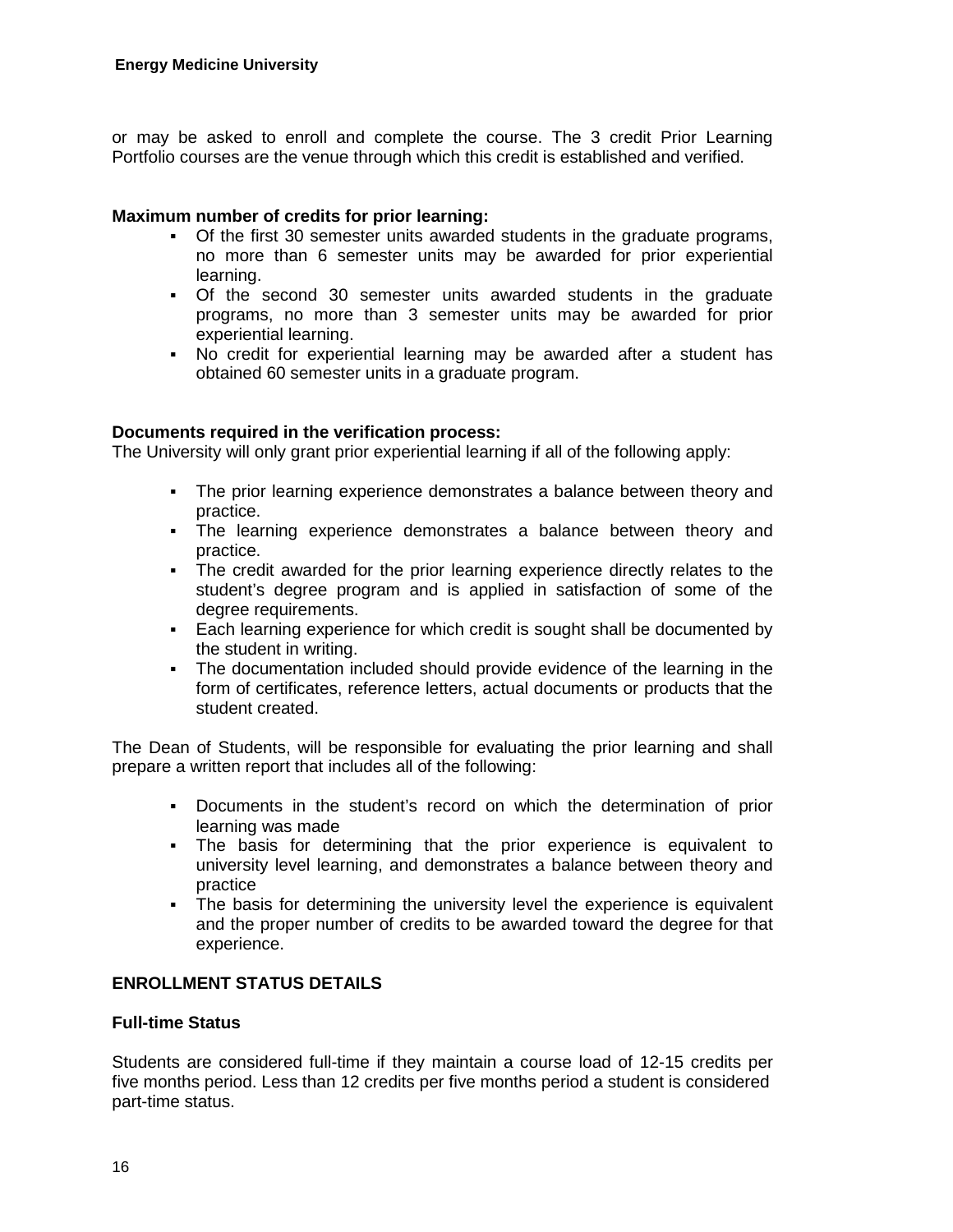or may be asked to enroll and complete the course. The 3 credit Prior Learning Portfolio courses are the venue through which this credit is established and verified.

#### **Maximum number of credits for prior learning:**

- Of the first 30 semester units awarded students in the graduate programs, no more than 6 semester units may be awarded for prior experiential learning.
- Of the second 30 semester units awarded students in the graduate programs, no more than 3 semester units may be awarded for prior experiential learning.
- No credit for experiential learning may be awarded after a student has obtained 60 semester units in a graduate program.

#### **Documents required in the verification process:**

The University will only grant prior experiential learning if all of the following apply:

- The prior learning experience demonstrates a balance between theory and practice.
- The learning experience demonstrates a balance between theory and practice.
- The credit awarded for the prior learning experience directly relates to the student's degree program and is applied in satisfaction of some of the degree requirements.
- Each learning experience for which credit is sought shall be documented by the student in writing.
- The documentation included should provide evidence of the learning in the form of certificates, reference letters, actual documents or products that the student created.

The Dean of Students, will be responsible for evaluating the prior learning and shall prepare a written report that includes all of the following:

- Documents in the student's record on which the determination of prior learning was made
- The basis for determining that the prior experience is equivalent to university level learning, and demonstrates a balance between theory and practice
- **•** The basis for determining the university level the experience is equivalent and the proper number of credits to be awarded toward the degree for that experience.

#### **ENROLLMENT STATUS DETAILS**

#### **Full-time Status**

Students are considered full-time if they maintain a course load of 12-15 credits per five months period. Less than 12 credits per five months period a student is considered part-time status.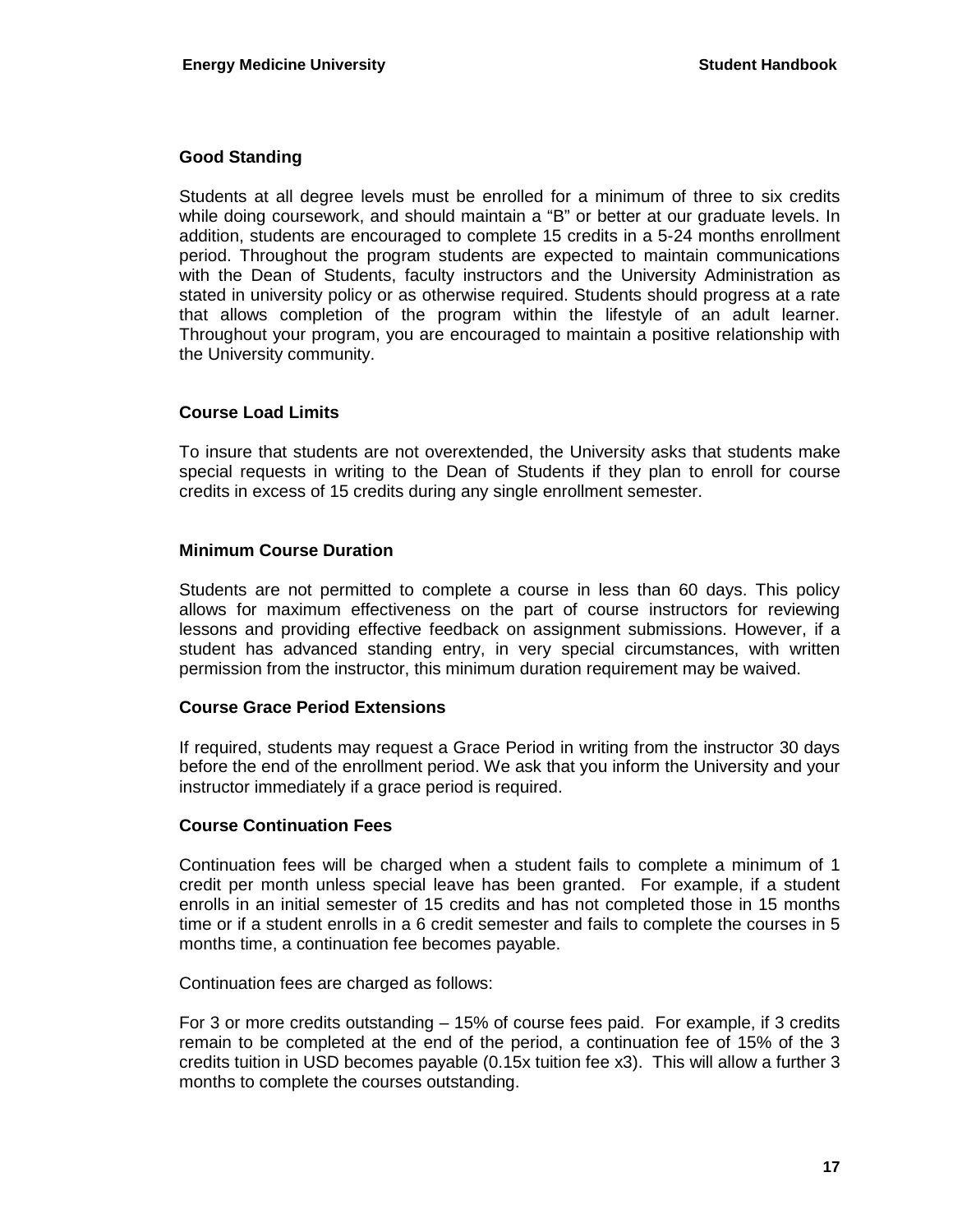#### **Good Standing**

Students at all degree levels must be enrolled for a minimum of three to six credits while doing coursework, and should maintain a "B" or better at our graduate levels. In addition, students are encouraged to complete 15 credits in a 5-24 months enrollment period. Throughout the program students are expected to maintain communications with the Dean of Students, faculty instructors and the University Administration as stated in university policy or as otherwise required. Students should progress at a rate that allows completion of the program within the lifestyle of an adult learner. Throughout your program, you are encouraged to maintain a positive relationship with the University community.

#### **Course Load Limits**

To insure that students are not overextended, the University asks that students make special requests in writing to the Dean of Students if they plan to enroll for course credits in excess of 15 credits during any single enrollment semester.

#### **Minimum Course Duration**

Students are not permitted to complete a course in less than 60 days. This policy allows for maximum effectiveness on the part of course instructors for reviewing lessons and providing effective feedback on assignment submissions. However, if a student has advanced standing entry, in very special circumstances, with written permission from the instructor, this minimum duration requirement may be waived.

#### **Course Grace Period Extensions**

If required, students may request a Grace Period in writing from the instructor 30 days before the end of the enrollment period. We ask that you inform the University and your instructor immediately if a grace period is required.

#### **Course Continuation Fees**

Continuation fees will be charged when a student fails to complete a minimum of 1 credit per month unless special leave has been granted. For example, if a student enrolls in an initial semester of 15 credits and has not completed those in 15 months time or if a student enrolls in a 6 credit semester and fails to complete the courses in 5 months time, a continuation fee becomes payable.

Continuation fees are charged as follows:

For 3 or more credits outstanding – 15% of course fees paid. For example, if 3 credits remain to be completed at the end of the period, a continuation fee of 15% of the 3 credits tuition in USD becomes payable (0.15x tuition fee x3). This will allow a further 3 months to complete the courses outstanding.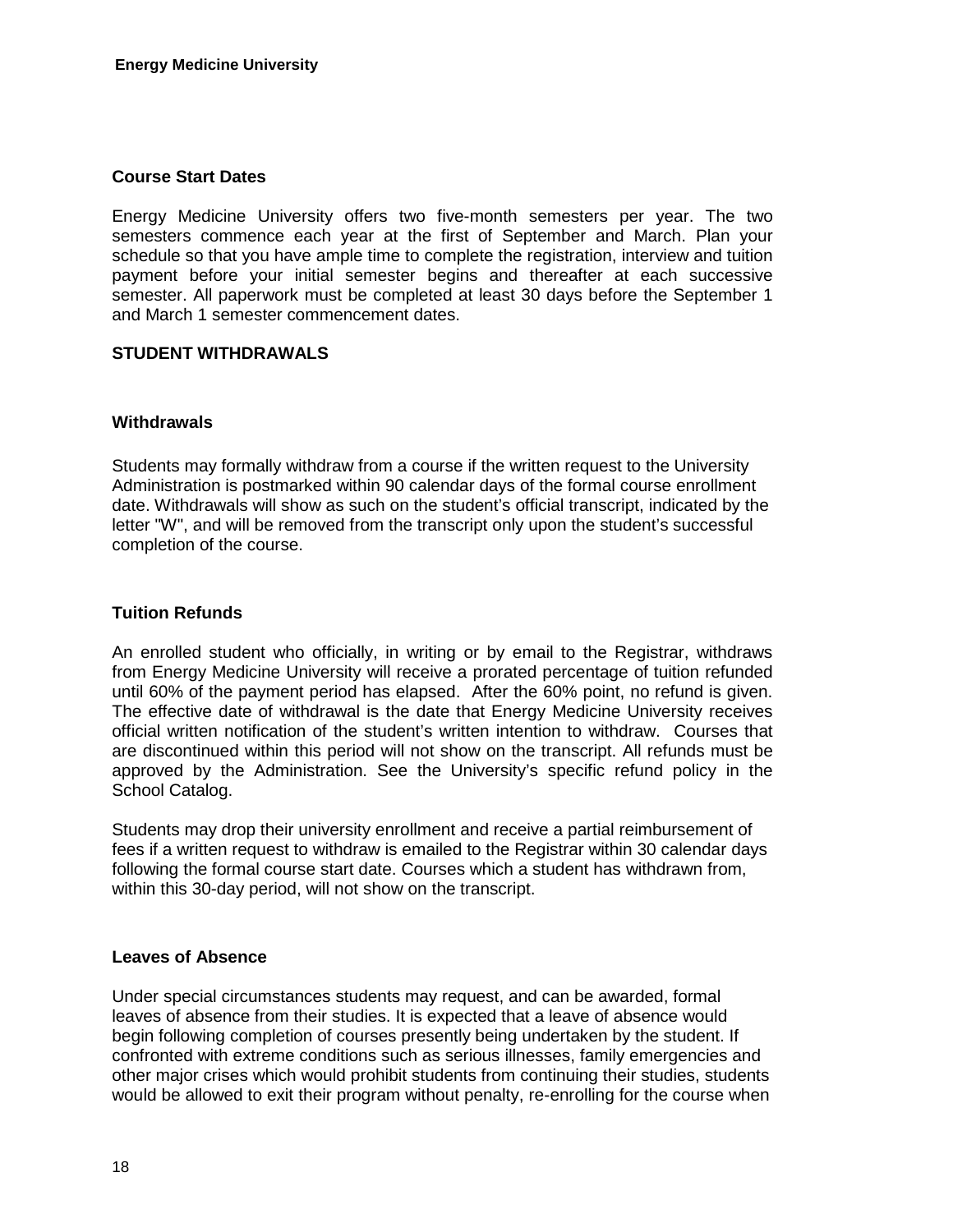#### **Course Start Dates**

Energy Medicine University offers two five-month semesters per year. The two semesters commence each year at the first of September and March. Plan your schedule so that you have ample time to complete the registration, interview and tuition payment before your initial semester begins and thereafter at each successive semester. All paperwork must be completed at least 30 days before the September 1 and March 1 semester commencement dates.

#### **STUDENT WITHDRAWALS**

#### **Withdrawals**

Students may formally withdraw from a course if the written request to the University Administration is postmarked within 90 calendar days of the formal course enrollment date. Withdrawals will show as such on the student's official transcript, indicated by the letter "W", and will be removed from the transcript only upon the student's successful completion of the course.

#### **Tuition Refunds**

An enrolled student who officially, in writing or by email to the Registrar, withdraws from Energy Medicine University will receive a prorated percentage of tuition refunded until 60% of the payment period has elapsed. After the 60% point, no refund is given. The effective date of withdrawal is the date that Energy Medicine University receives official written notification of the student's written intention to withdraw. Courses that are discontinued within this period will not show on the transcript. All refunds must be approved by the Administration. See the University's specific refund policy in the School Catalog.

Students may drop their university enrollment and receive a partial reimbursement of fees if a written request to withdraw is emailed to the Registrar within 30 calendar days following the formal course start date. Courses which a student has withdrawn from, within this 30-day period, will not show on the transcript.

#### **Leaves of Absence**

Under special circumstances students may request, and can be awarded, formal leaves of absence from their studies. It is expected that a leave of absence would begin following completion of courses presently being undertaken by the student. If confronted with extreme conditions such as serious illnesses, family emergencies and other major crises which would prohibit students from continuing their studies, students would be allowed to exit their program without penalty, re-enrolling for the course when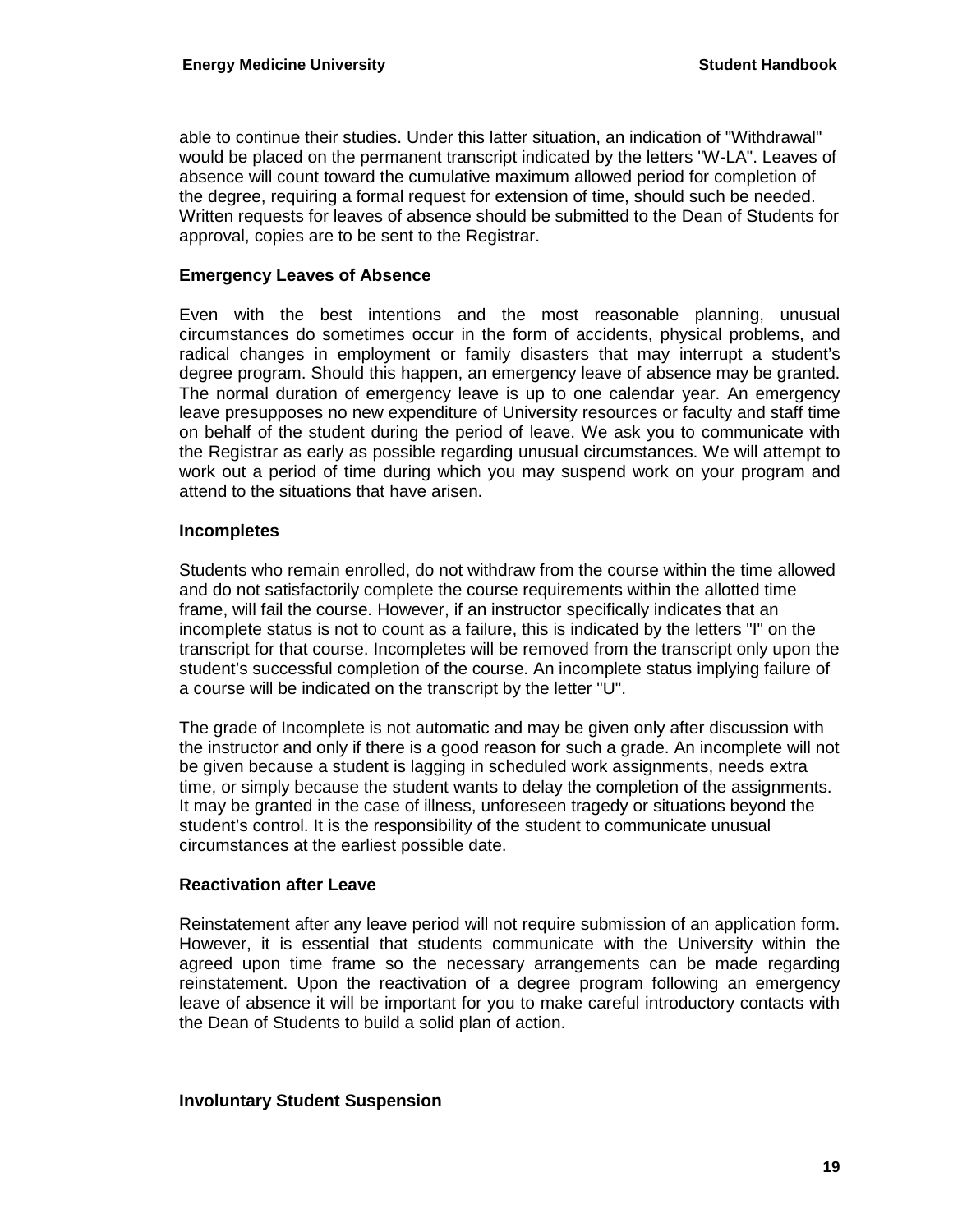able to continue their studies. Under this latter situation, an indication of "Withdrawal" would be placed on the permanent transcript indicated by the letters "W-LA". Leaves of absence will count toward the cumulative maximum allowed period for completion of the degree, requiring a formal request for extension of time, should such be needed. Written requests for leaves of absence should be submitted to the Dean of Students for approval, copies are to be sent to the Registrar.

#### **Emergency Leaves of Absence**

Even with the best intentions and the most reasonable planning, unusual circumstances do sometimes occur in the form of accidents, physical problems, and radical changes in employment or family disasters that may interrupt a student's degree program. Should this happen, an emergency leave of absence may be granted. The normal duration of emergency leave is up to one calendar year. An emergency leave presupposes no new expenditure of University resources or faculty and staff time on behalf of the student during the period of leave. We ask you to communicate with the Registrar as early as possible regarding unusual circumstances. We will attempt to work out a period of time during which you may suspend work on your program and attend to the situations that have arisen.

#### **Incompletes**

Students who remain enrolled, do not withdraw from the course within the time allowed and do not satisfactorily complete the course requirements within the allotted time frame, will fail the course. However, if an instructor specifically indicates that an incomplete status is not to count as a failure, this is indicated by the letters "I" on the transcript for that course. Incompletes will be removed from the transcript only upon the student's successful completion of the course. An incomplete status implying failure of a course will be indicated on the transcript by the letter "U".

The grade of Incomplete is not automatic and may be given only after discussion with the instructor and only if there is a good reason for such a grade. An incomplete will not be given because a student is lagging in scheduled work assignments, needs extra time, or simply because the student wants to delay the completion of the assignments. It may be granted in the case of illness, unforeseen tragedy or situations beyond the student's control. It is the responsibility of the student to communicate unusual circumstances at the earliest possible date.

#### **Reactivation after Leave**

Reinstatement after any leave period will not require submission of an application form. However, it is essential that students communicate with the University within the agreed upon time frame so the necessary arrangements can be made regarding reinstatement. Upon the reactivation of a degree program following an emergency leave of absence it will be important for you to make careful introductory contacts with the Dean of Students to build a solid plan of action.

#### **Involuntary Student Suspension**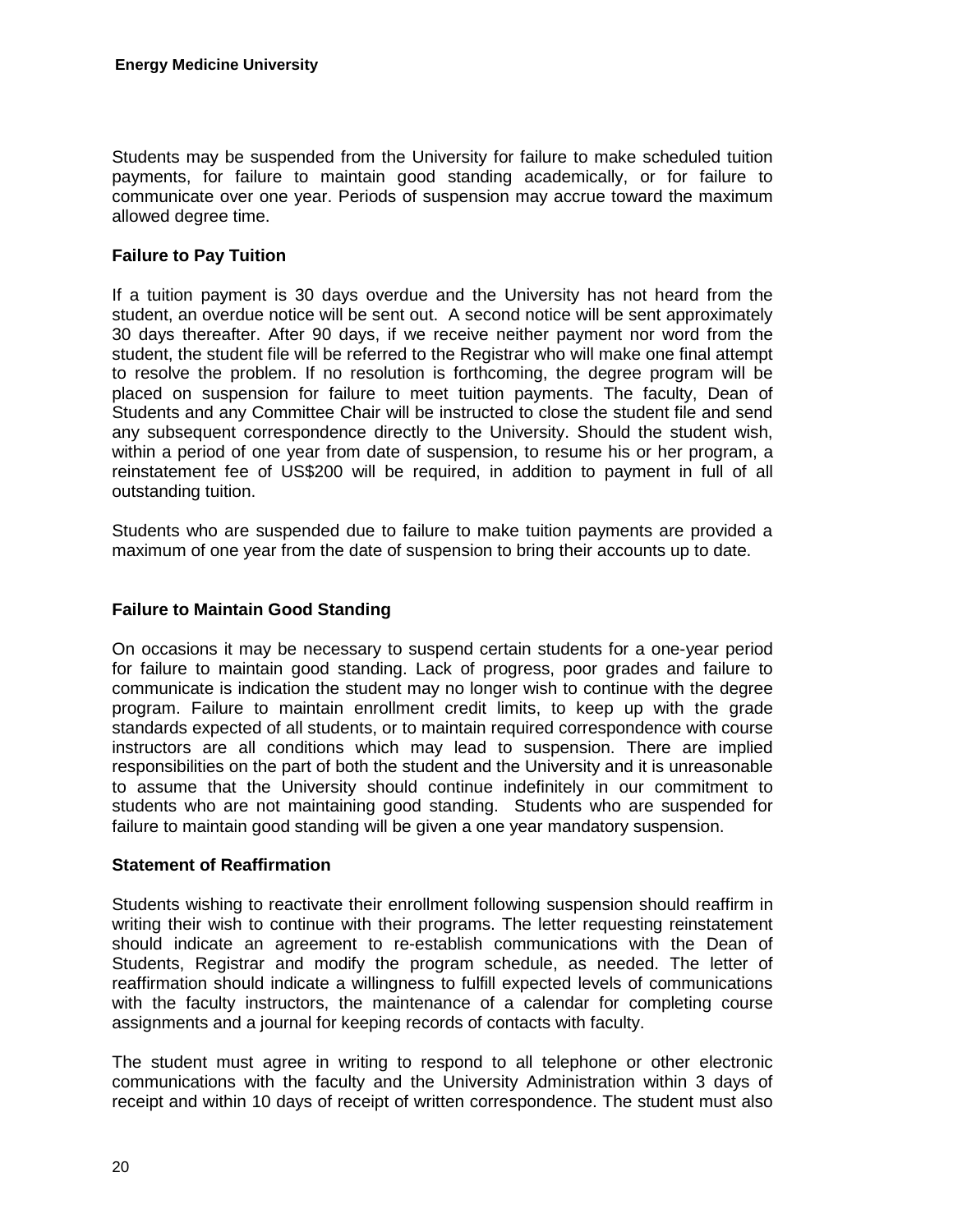Students may be suspended from the University for failure to make scheduled tuition payments, for failure to maintain good standing academically, or for failure to communicate over one year. Periods of suspension may accrue toward the maximum allowed degree time.

#### **Failure to Pay Tuition**

If a tuition payment is 30 days overdue and the University has not heard from the student, an overdue notice will be sent out. A second notice will be sent approximately 30 days thereafter. After 90 days, if we receive neither payment nor word from the student, the student file will be referred to the Registrar who will make one final attempt to resolve the problem. If no resolution is forthcoming, the degree program will be placed on suspension for failure to meet tuition payments. The faculty, Dean of Students and any Committee Chair will be instructed to close the student file and send any subsequent correspondence directly to the University. Should the student wish, within a period of one year from date of suspension, to resume his or her program, a reinstatement fee of US\$200 will be required, in addition to payment in full of all outstanding tuition.

Students who are suspended due to failure to make tuition payments are provided a maximum of one year from the date of suspension to bring their accounts up to date.

#### **Failure to Maintain Good Standing**

On occasions it may be necessary to suspend certain students for a one-year period for failure to maintain good standing. Lack of progress, poor grades and failure to communicate is indication the student may no longer wish to continue with the degree program. Failure to maintain enrollment credit limits, to keep up with the grade standards expected of all students, or to maintain required correspondence with course instructors are all conditions which may lead to suspension. There are implied responsibilities on the part of both the student and the University and it is unreasonable to assume that the University should continue indefinitely in our commitment to students who are not maintaining good standing. Students who are suspended for failure to maintain good standing will be given a one year mandatory suspension.

#### **Statement of Reaffirmation**

Students wishing to reactivate their enrollment following suspension should reaffirm in writing their wish to continue with their programs. The letter requesting reinstatement should indicate an agreement to re-establish communications with the Dean of Students, Registrar and modify the program schedule, as needed. The letter of reaffirmation should indicate a willingness to fulfill expected levels of communications with the faculty instructors, the maintenance of a calendar for completing course assignments and a journal for keeping records of contacts with faculty.

The student must agree in writing to respond to all telephone or other electronic communications with the faculty and the University Administration within 3 days of receipt and within 10 days of receipt of written correspondence. The student must also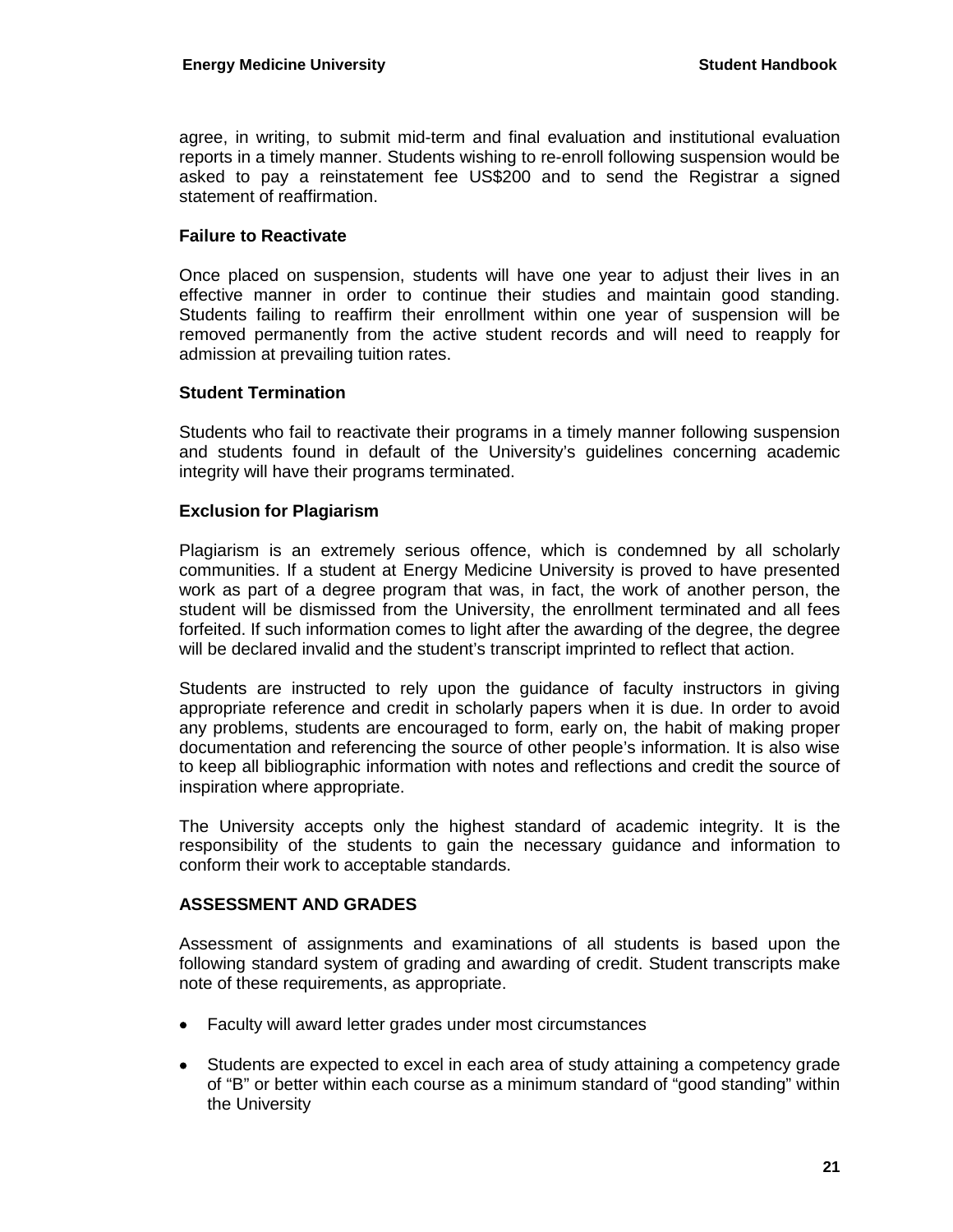agree, in writing, to submit mid-term and final evaluation and institutional evaluation reports in a timely manner. Students wishing to re-enroll following suspension would be asked to pay a reinstatement fee US\$200 and to send the Registrar a signed statement of reaffirmation.

#### **Failure to Reactivate**

Once placed on suspension, students will have one year to adjust their lives in an effective manner in order to continue their studies and maintain good standing. Students failing to reaffirm their enrollment within one year of suspension will be removed permanently from the active student records and will need to reapply for admission at prevailing tuition rates.

#### **Student Termination**

Students who fail to reactivate their programs in a timely manner following suspension and students found in default of the University's guidelines concerning academic integrity will have their programs terminated.

#### **Exclusion for Plagiarism**

Plagiarism is an extremely serious offence, which is condemned by all scholarly communities. If a student at Energy Medicine University is proved to have presented work as part of a degree program that was, in fact, the work of another person, the student will be dismissed from the University, the enrollment terminated and all fees forfeited. If such information comes to light after the awarding of the degree, the degree will be declared invalid and the student's transcript imprinted to reflect that action.

Students are instructed to rely upon the guidance of faculty instructors in giving appropriate reference and credit in scholarly papers when it is due. In order to avoid any problems, students are encouraged to form, early on, the habit of making proper documentation and referencing the source of other people's information. It is also wise to keep all bibliographic information with notes and reflections and credit the source of inspiration where appropriate.

The University accepts only the highest standard of academic integrity. It is the responsibility of the students to gain the necessary guidance and information to conform their work to acceptable standards.

#### **ASSESSMENT AND GRADES**

Assessment of assignments and examinations of all students is based upon the following standard system of grading and awarding of credit. Student transcripts make note of these requirements, as appropriate.

- Faculty will award letter grades under most circumstances
- Students are expected to excel in each area of study attaining a competency grade of "B" or better within each course as a minimum standard of "good standing" within the University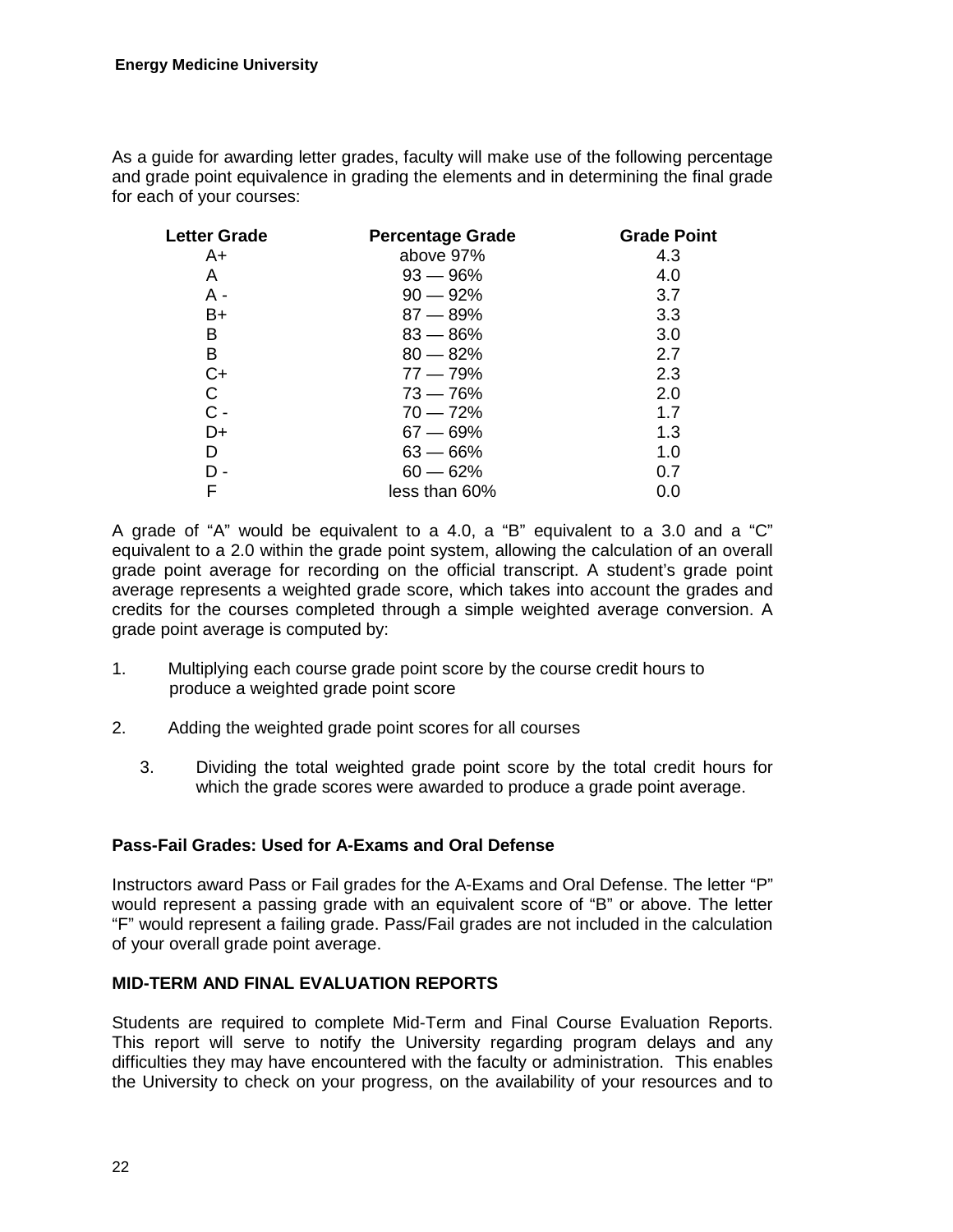As a guide for awarding letter grades, faculty will make use of the following percentage and grade point equivalence in grading the elements and in determining the final grade for each of your courses:

| <b>Letter Grade</b> | <b>Percentage Grade</b> | <b>Grade Point</b> |
|---------------------|-------------------------|--------------------|
| A+                  | above 97%               | 4.3                |
| A                   | $93 - 96%$              | 4.0                |
| A -                 | $90 - 92%$              | 3.7                |
| B+                  | $87 - 89%$              | 3.3                |
| B                   | $83 - 86%$              | 3.0                |
| B                   | $80 - 82%$              | 2.7                |
| $C+$                | $77 - 79%$              | 2.3                |
| С                   | $73 - 76%$              | 2.0                |
| $C -$               | $70 - 72%$              | 1.7                |
| D+                  | $67 - 69%$              | 1.3                |
| D                   | $63 - 66%$              | 1.0                |
| D -                 | $60 - 62%$              | 0.7                |
| F                   | less than 60%           | 0.0                |

A grade of "A" would be equivalent to a 4.0, a "B" equivalent to a 3.0 and a "C" equivalent to a 2.0 within the grade point system, allowing the calculation of an overall grade point average for recording on the official transcript. A student's grade point average represents a weighted grade score, which takes into account the grades and credits for the courses completed through a simple weighted average conversion. A grade point average is computed by:

- 1. Multiplying each course grade point score by the course credit hours to produce a weighted grade point score
- 2. Adding the weighted grade point scores for all courses
	- 3. Dividing the total weighted grade point score by the total credit hours for which the grade scores were awarded to produce a grade point average.

#### **Pass-Fail Grades: Used for A-Exams and Oral Defense**

Instructors award Pass or Fail grades for the A-Exams and Oral Defense. The letter "P" would represent a passing grade with an equivalent score of "B" or above. The letter "F" would represent a failing grade. Pass/Fail grades are not included in the calculation of your overall grade point average.

#### **MID-TERM AND FINAL EVALUATION REPORTS**

Students are required to complete Mid-Term and Final Course Evaluation Reports. This report will serve to notify the University regarding program delays and any difficulties they may have encountered with the faculty or administration. This enables the University to check on your progress, on the availability of your resources and to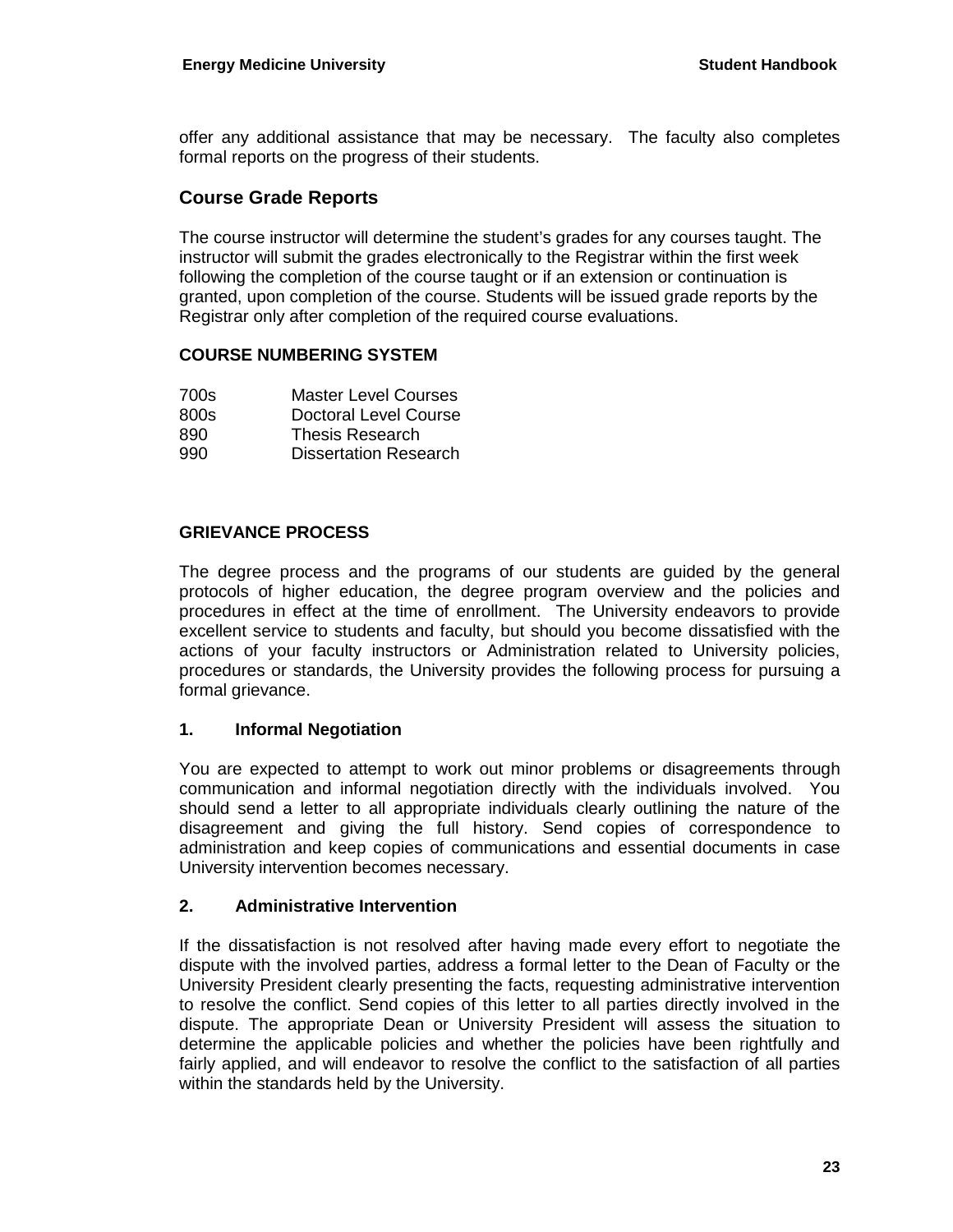offer any additional assistance that may be necessary. The faculty also completes formal reports on the progress of their students.

#### **Course Grade Reports**

The course instructor will determine the student's grades for any courses taught. The instructor will submit the grades electronically to the Registrar within the first week following the completion of the course taught or if an extension or continuation is granted, upon completion of the course. Students will be issued grade reports by the Registrar only after completion of the required course evaluations.

#### **COURSE NUMBERING SYSTEM**

| 700s | <b>Master Level Courses</b>  |
|------|------------------------------|
| 800s | <b>Doctoral Level Course</b> |
| 890  | <b>Thesis Research</b>       |
| 990  | <b>Dissertation Research</b> |

#### **GRIEVANCE PROCESS**

The degree process and the programs of our students are guided by the general protocols of higher education, the degree program overview and the policies and procedures in effect at the time of enrollment. The University endeavors to provide excellent service to students and faculty, but should you become dissatisfied with the actions of your faculty instructors or Administration related to University policies, procedures or standards, the University provides the following process for pursuing a formal grievance.

#### **1. Informal Negotiation**

You are expected to attempt to work out minor problems or disagreements through communication and informal negotiation directly with the individuals involved. You should send a letter to all appropriate individuals clearly outlining the nature of the disagreement and giving the full history. Send copies of correspondence to administration and keep copies of communications and essential documents in case University intervention becomes necessary.

#### **2. Administrative Intervention**

If the dissatisfaction is not resolved after having made every effort to negotiate the dispute with the involved parties, address a formal letter to the Dean of Faculty or the University President clearly presenting the facts, requesting administrative intervention to resolve the conflict. Send copies of this letter to all parties directly involved in the dispute. The appropriate Dean or University President will assess the situation to determine the applicable policies and whether the policies have been rightfully and fairly applied, and will endeavor to resolve the conflict to the satisfaction of all parties within the standards held by the University.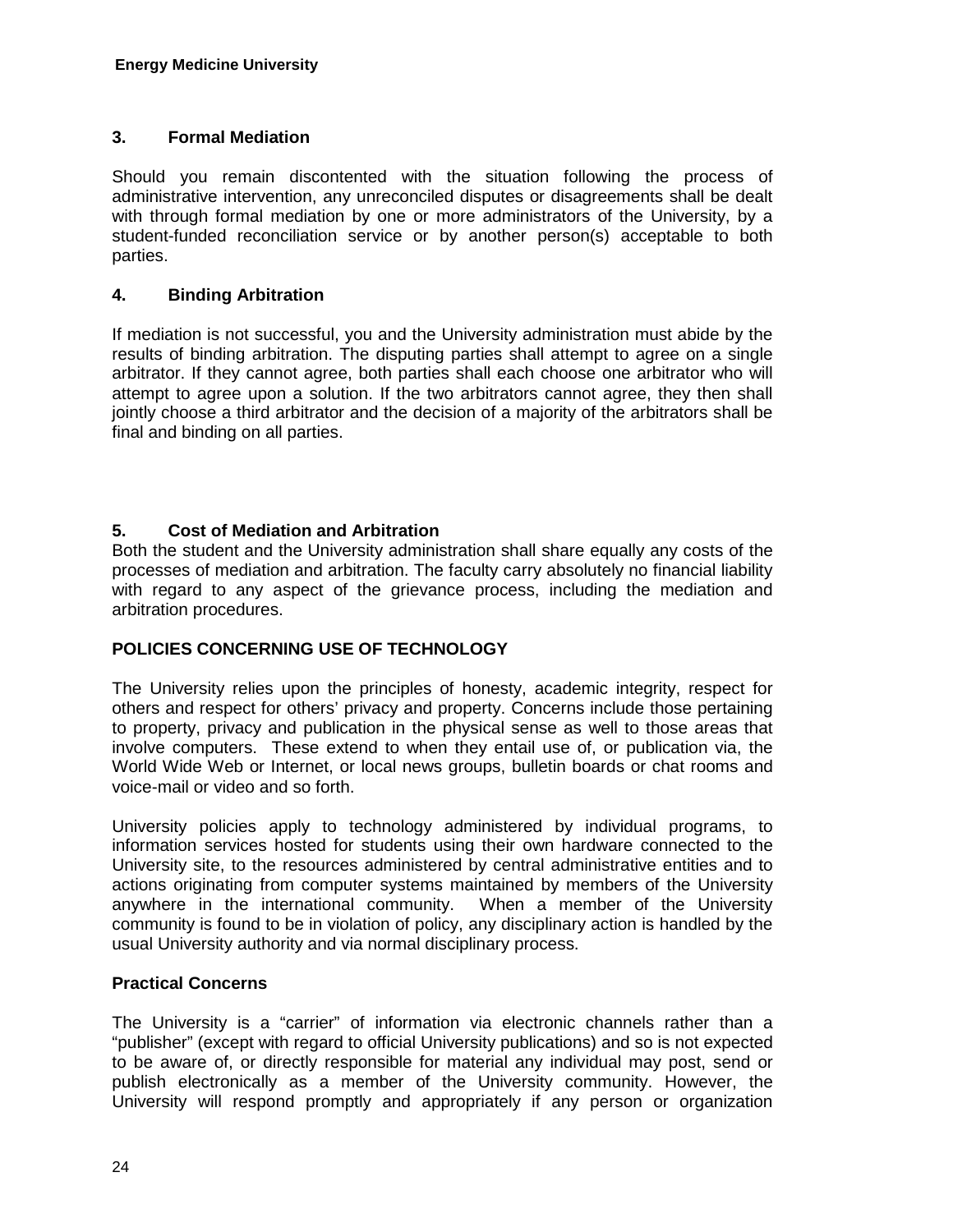#### **3. Formal Mediation**

Should you remain discontented with the situation following the process of administrative intervention, any unreconciled disputes or disagreements shall be dealt with through formal mediation by one or more administrators of the University, by a student-funded reconciliation service or by another person(s) acceptable to both parties.

#### **4. Binding Arbitration**

If mediation is not successful, you and the University administration must abide by the results of binding arbitration. The disputing parties shall attempt to agree on a single arbitrator. If they cannot agree, both parties shall each choose one arbitrator who will attempt to agree upon a solution. If the two arbitrators cannot agree, they then shall jointly choose a third arbitrator and the decision of a majority of the arbitrators shall be final and binding on all parties.

#### **5. Cost of Mediation and Arbitration**

Both the student and the University administration shall share equally any costs of the processes of mediation and arbitration. The faculty carry absolutely no financial liability with regard to any aspect of the grievance process, including the mediation and arbitration procedures.

#### **POLICIES CONCERNING USE OF TECHNOLOGY**

The University relies upon the principles of honesty, academic integrity, respect for others and respect for others' privacy and property. Concerns include those pertaining to property, privacy and publication in the physical sense as well to those areas that involve computers. These extend to when they entail use of, or publication via, the World Wide Web or Internet, or local news groups, bulletin boards or chat rooms and voice-mail or video and so forth.

University policies apply to technology administered by individual programs, to information services hosted for students using their own hardware connected to the University site, to the resources administered by central administrative entities and to actions originating from computer systems maintained by members of the University anywhere in the international community. When a member of the University community is found to be in violation of policy, any disciplinary action is handled by the usual University authority and via normal disciplinary process.

#### **Practical Concerns**

The University is a "carrier" of information via electronic channels rather than a "publisher" (except with regard to official University publications) and so is not expected to be aware of, or directly responsible for material any individual may post, send or publish electronically as a member of the University community. However, the University will respond promptly and appropriately if any person or organization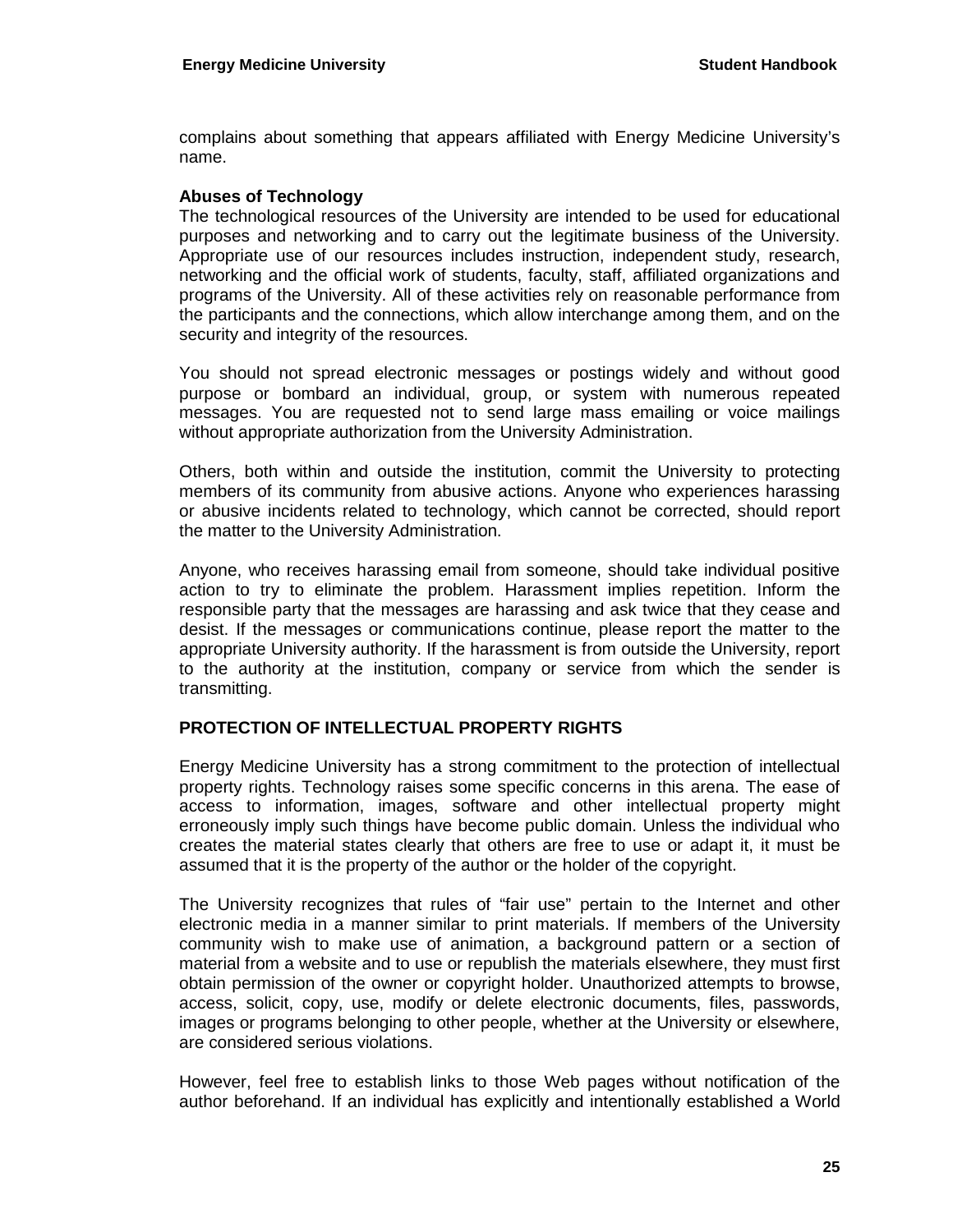complains about something that appears affiliated with Energy Medicine University's name.

#### **Abuses of Technology**

The technological resources of the University are intended to be used for educational purposes and networking and to carry out the legitimate business of the University. Appropriate use of our resources includes instruction, independent study, research, networking and the official work of students, faculty, staff, affiliated organizations and programs of the University. All of these activities rely on reasonable performance from the participants and the connections, which allow interchange among them, and on the security and integrity of the resources.

You should not spread electronic messages or postings widely and without good purpose or bombard an individual, group, or system with numerous repeated messages. You are requested not to send large mass emailing or voice mailings without appropriate authorization from the University Administration.

Others, both within and outside the institution, commit the University to protecting members of its community from abusive actions. Anyone who experiences harassing or abusive incidents related to technology, which cannot be corrected, should report the matter to the University Administration.

Anyone, who receives harassing email from someone, should take individual positive action to try to eliminate the problem. Harassment implies repetition. Inform the responsible party that the messages are harassing and ask twice that they cease and desist. If the messages or communications continue, please report the matter to the appropriate University authority. If the harassment is from outside the University, report to the authority at the institution, company or service from which the sender is transmitting.

#### **PROTECTION OF INTELLECTUAL PROPERTY RIGHTS**

Energy Medicine University has a strong commitment to the protection of intellectual property rights. Technology raises some specific concerns in this arena. The ease of access to information, images, software and other intellectual property might erroneously imply such things have become public domain. Unless the individual who creates the material states clearly that others are free to use or adapt it, it must be assumed that it is the property of the author or the holder of the copyright.

The University recognizes that rules of "fair use" pertain to the Internet and other electronic media in a manner similar to print materials. If members of the University community wish to make use of animation, a background pattern or a section of material from a website and to use or republish the materials elsewhere, they must first obtain permission of the owner or copyright holder. Unauthorized attempts to browse, access, solicit, copy, use, modify or delete electronic documents, files, passwords, images or programs belonging to other people, whether at the University or elsewhere, are considered serious violations.

However, feel free to establish links to those Web pages without notification of the author beforehand. If an individual has explicitly and intentionally established a World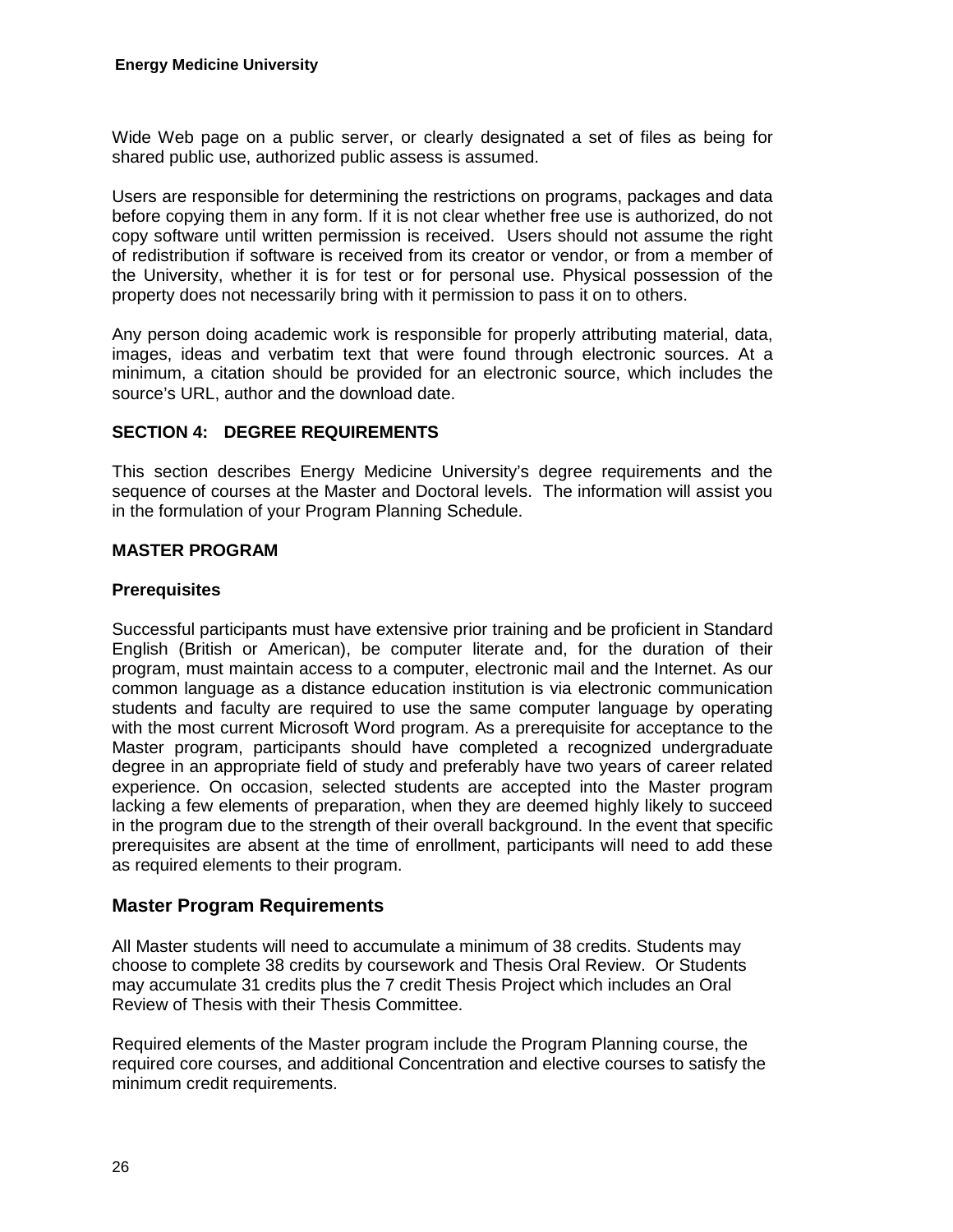Wide Web page on a public server, or clearly designated a set of files as being for shared public use, authorized public assess is assumed.

Users are responsible for determining the restrictions on programs, packages and data before copying them in any form. If it is not clear whether free use is authorized, do not copy software until written permission is received. Users should not assume the right of redistribution if software is received from its creator or vendor, or from a member of the University, whether it is for test or for personal use. Physical possession of the property does not necessarily bring with it permission to pass it on to others.

Any person doing academic work is responsible for properly attributing material, data, images, ideas and verbatim text that were found through electronic sources. At a minimum, a citation should be provided for an electronic source, which includes the source's URL, author and the download date.

#### **SECTION 4: DEGREE REQUIREMENTS**

This section describes Energy Medicine University's degree requirements and the sequence of courses at the Master and Doctoral levels. The information will assist you in the formulation of your Program Planning Schedule.

#### **MASTER PROGRAM**

#### **Prerequisites**

Successful participants must have extensive prior training and be proficient in Standard English (British or American), be computer literate and, for the duration of their program, must maintain access to a computer, electronic mail and the Internet. As our common language as a distance education institution is via electronic communication students and faculty are required to use the same computer language by operating with the most current Microsoft Word program. As a prerequisite for acceptance to the Master program, participants should have completed a recognized undergraduate degree in an appropriate field of study and preferably have two years of career related experience. On occasion, selected students are accepted into the Master program lacking a few elements of preparation, when they are deemed highly likely to succeed in the program due to the strength of their overall background. In the event that specific prerequisites are absent at the time of enrollment, participants will need to add these as required elements to their program.

#### **Master Program Requirements**

All Master students will need to accumulate a minimum of 38 credits. Students may choose to complete 38 credits by coursework and Thesis Oral Review. Or Students may accumulate 31 credits plus the 7 credit Thesis Project which includes an Oral Review of Thesis with their Thesis Committee.

Required elements of the Master program include the Program Planning course, the required core courses, and additional Concentration and elective courses to satisfy the minimum credit requirements.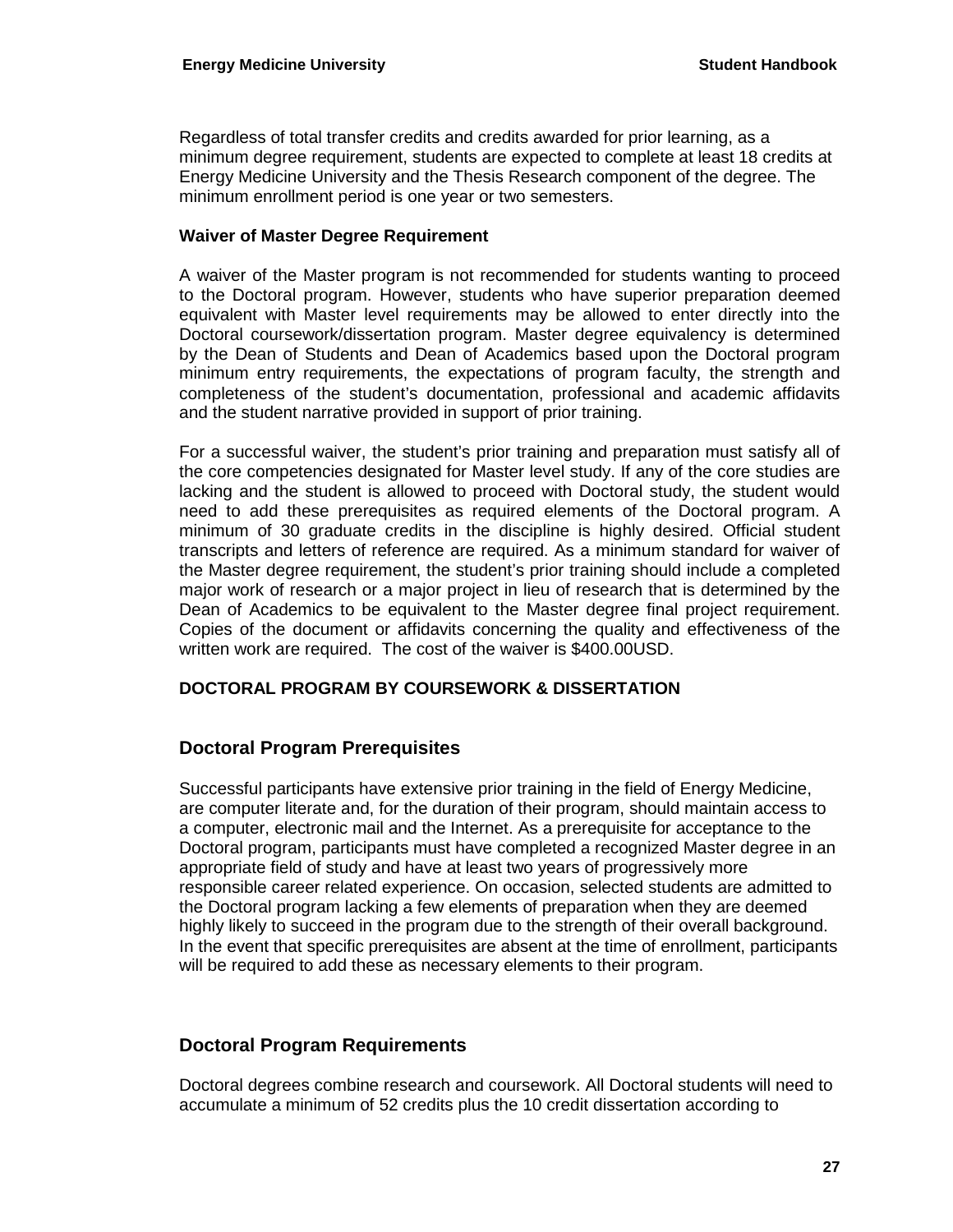Regardless of total transfer credits and credits awarded for prior learning, as a minimum degree requirement, students are expected to complete at least 18 credits at Energy Medicine University and the Thesis Research component of the degree. The minimum enrollment period is one year or two semesters.

#### **Waiver of Master Degree Requirement**

A waiver of the Master program is not recommended for students wanting to proceed to the Doctoral program. However, students who have superior preparation deemed equivalent with Master level requirements may be allowed to enter directly into the Doctoral coursework/dissertation program. Master degree equivalency is determined by the Dean of Students and Dean of Academics based upon the Doctoral program minimum entry requirements, the expectations of program faculty, the strength and completeness of the student's documentation, professional and academic affidavits and the student narrative provided in support of prior training.

For a successful waiver, the student's prior training and preparation must satisfy all of the core competencies designated for Master level study. If any of the core studies are lacking and the student is allowed to proceed with Doctoral study, the student would need to add these prerequisites as required elements of the Doctoral program. A minimum of 30 graduate credits in the discipline is highly desired. Official student transcripts and letters of reference are required. As a minimum standard for waiver of the Master degree requirement, the student's prior training should include a completed major work of research or a major project in lieu of research that is determined by the Dean of Academics to be equivalent to the Master degree final project requirement. Copies of the document or affidavits concerning the quality and effectiveness of the written work are required. The cost of the waiver is \$400.00USD.

#### **DOCTORAL PROGRAM BY COURSEWORK & DISSERTATION**

#### **Doctoral Program Prerequisites**

Successful participants have extensive prior training in the field of Energy Medicine, are computer literate and, for the duration of their program, should maintain access to a computer, electronic mail and the Internet. As a prerequisite for acceptance to the Doctoral program, participants must have completed a recognized Master degree in an appropriate field of study and have at least two years of progressively more responsible career related experience. On occasion, selected students are admitted to the Doctoral program lacking a few elements of preparation when they are deemed highly likely to succeed in the program due to the strength of their overall background. In the event that specific prerequisites are absent at the time of enrollment, participants will be required to add these as necessary elements to their program.

#### **Doctoral Program Requirements**

Doctoral degrees combine research and coursework. All Doctoral students will need to accumulate a minimum of 52 credits plus the 10 credit dissertation according to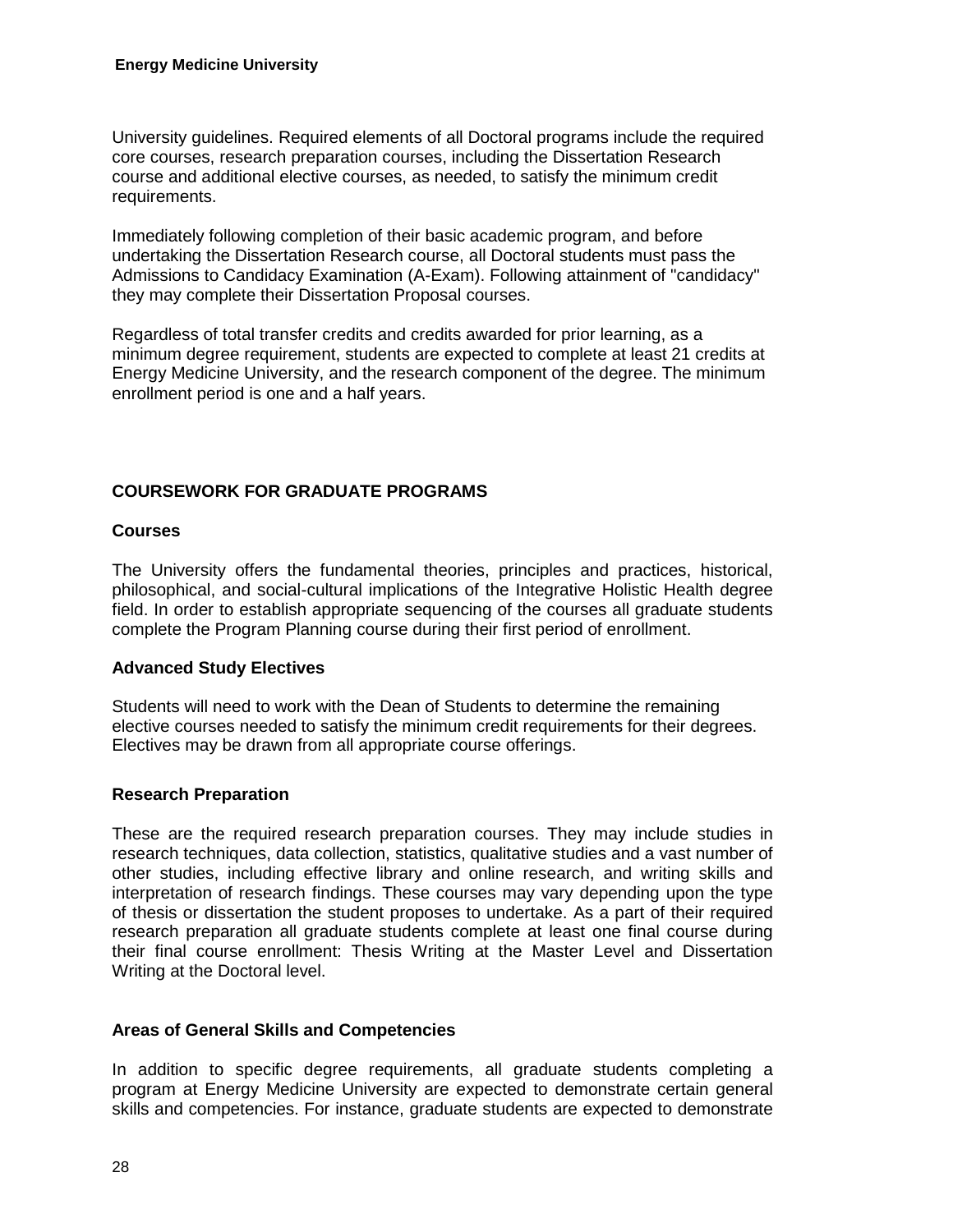University guidelines. Required elements of all Doctoral programs include the required core courses, research preparation courses, including the Dissertation Research course and additional elective courses, as needed, to satisfy the minimum credit requirements.

Immediately following completion of their basic academic program, and before undertaking the Dissertation Research course, all Doctoral students must pass the Admissions to Candidacy Examination (A-Exam). Following attainment of "candidacy" they may complete their Dissertation Proposal courses.

Regardless of total transfer credits and credits awarded for prior learning, as a minimum degree requirement, students are expected to complete at least 21 credits at Energy Medicine University, and the research component of the degree. The minimum enrollment period is one and a half years.

#### **COURSEWORK FOR GRADUATE PROGRAMS**

#### **Courses**

The University offers the fundamental theories, principles and practices, historical, philosophical, and social-cultural implications of the Integrative Holistic Health degree field. In order to establish appropriate sequencing of the courses all graduate students complete the Program Planning course during their first period of enrollment.

#### **Advanced Study Electives**

Students will need to work with the Dean of Students to determine the remaining elective courses needed to satisfy the minimum credit requirements for their degrees. Electives may be drawn from all appropriate course offerings.

#### **Research Preparation**

These are the required research preparation courses. They may include studies in research techniques, data collection, statistics, qualitative studies and a vast number of other studies, including effective library and online research, and writing skills and interpretation of research findings. These courses may vary depending upon the type of thesis or dissertation the student proposes to undertake. As a part of their required research preparation all graduate students complete at least one final course during their final course enrollment: Thesis Writing at the Master Level and Dissertation Writing at the Doctoral level.

#### **Areas of General Skills and Competencies**

In addition to specific degree requirements, all graduate students completing a program at Energy Medicine University are expected to demonstrate certain general skills and competencies. For instance, graduate students are expected to demonstrate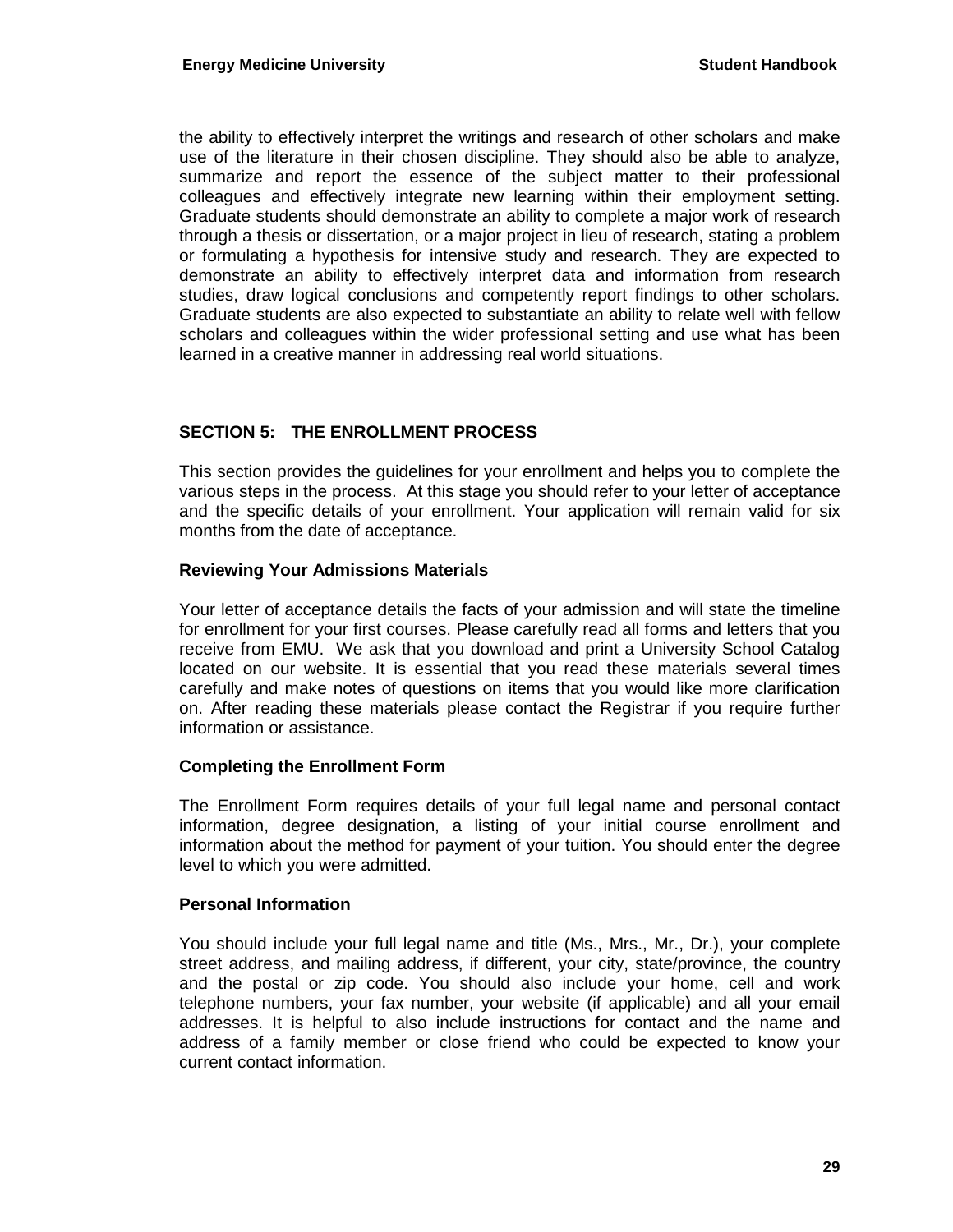the ability to effectively interpret the writings and research of other scholars and make use of the literature in their chosen discipline. They should also be able to analyze, summarize and report the essence of the subject matter to their professional colleagues and effectively integrate new learning within their employment setting. Graduate students should demonstrate an ability to complete a major work of research through a thesis or dissertation, or a major project in lieu of research, stating a problem or formulating a hypothesis for intensive study and research. They are expected to demonstrate an ability to effectively interpret data and information from research studies, draw logical conclusions and competently report findings to other scholars. Graduate students are also expected to substantiate an ability to relate well with fellow scholars and colleagues within the wider professional setting and use what has been learned in a creative manner in addressing real world situations.

#### **SECTION 5: THE ENROLLMENT PROCESS**

This section provides the guidelines for your enrollment and helps you to complete the various steps in the process. At this stage you should refer to your letter of acceptance and the specific details of your enrollment. Your application will remain valid for six months from the date of acceptance.

#### **Reviewing Your Admissions Materials**

Your letter of acceptance details the facts of your admission and will state the timeline for enrollment for your first courses. Please carefully read all forms and letters that you receive from EMU. We ask that you download and print a University School Catalog located on our website. It is essential that you read these materials several times carefully and make notes of questions on items that you would like more clarification on. After reading these materials please contact the Registrar if you require further information or assistance.

#### **Completing the Enrollment Form**

The Enrollment Form requires details of your full legal name and personal contact information, degree designation, a listing of your initial course enrollment and information about the method for payment of your tuition. You should enter the degree level to which you were admitted.

#### **Personal Information**

You should include your full legal name and title (Ms., Mrs., Mr., Dr.), your complete street address, and mailing address, if different, your city, state/province, the country and the postal or zip code. You should also include your home, cell and work telephone numbers, your fax number, your website (if applicable) and all your email addresses. It is helpful to also include instructions for contact and the name and address of a family member or close friend who could be expected to know your current contact information.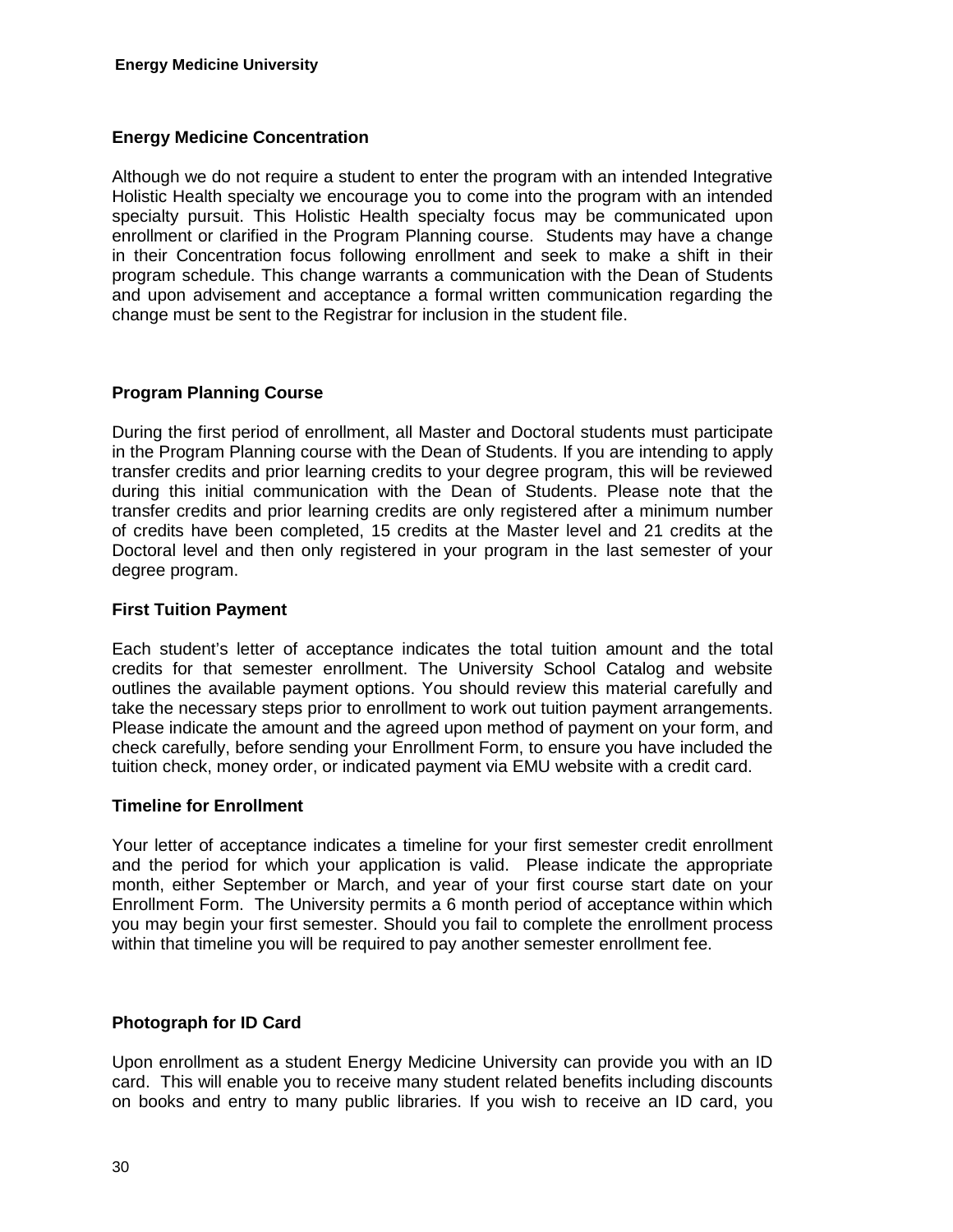#### **Energy Medicine Concentration**

Although we do not require a student to enter the program with an intended Integrative Holistic Health specialty we encourage you to come into the program with an intended specialty pursuit. This Holistic Health specialty focus may be communicated upon enrollment or clarified in the Program Planning course. Students may have a change in their Concentration focus following enrollment and seek to make a shift in their program schedule. This change warrants a communication with the Dean of Students and upon advisement and acceptance a formal written communication regarding the change must be sent to the Registrar for inclusion in the student file.

#### **Program Planning Course**

During the first period of enrollment, all Master and Doctoral students must participate in the Program Planning course with the Dean of Students. If you are intending to apply transfer credits and prior learning credits to your degree program, this will be reviewed during this initial communication with the Dean of Students. Please note that the transfer credits and prior learning credits are only registered after a minimum number of credits have been completed, 15 credits at the Master level and 21 credits at the Doctoral level and then only registered in your program in the last semester of your degree program.

#### **First Tuition Payment**

Each student's letter of acceptance indicates the total tuition amount and the total credits for that semester enrollment. The University School Catalog and website outlines the available payment options. You should review this material carefully and take the necessary steps prior to enrollment to work out tuition payment arrangements. Please indicate the amount and the agreed upon method of payment on your form, and check carefully, before sending your Enrollment Form, to ensure you have included the tuition check, money order, or indicated payment via EMU website with a credit card.

#### **Timeline for Enrollment**

Your letter of acceptance indicates a timeline for your first semester credit enrollment and the period for which your application is valid. Please indicate the appropriate month, either September or March, and year of your first course start date on your Enrollment Form. The University permits a 6 month period of acceptance within which you may begin your first semester. Should you fail to complete the enrollment process within that timeline you will be required to pay another semester enrollment fee.

#### **Photograph for ID Card**

Upon enrollment as a student Energy Medicine University can provide you with an ID card. This will enable you to receive many student related benefits including discounts on books and entry to many public libraries. If you wish to receive an ID card, you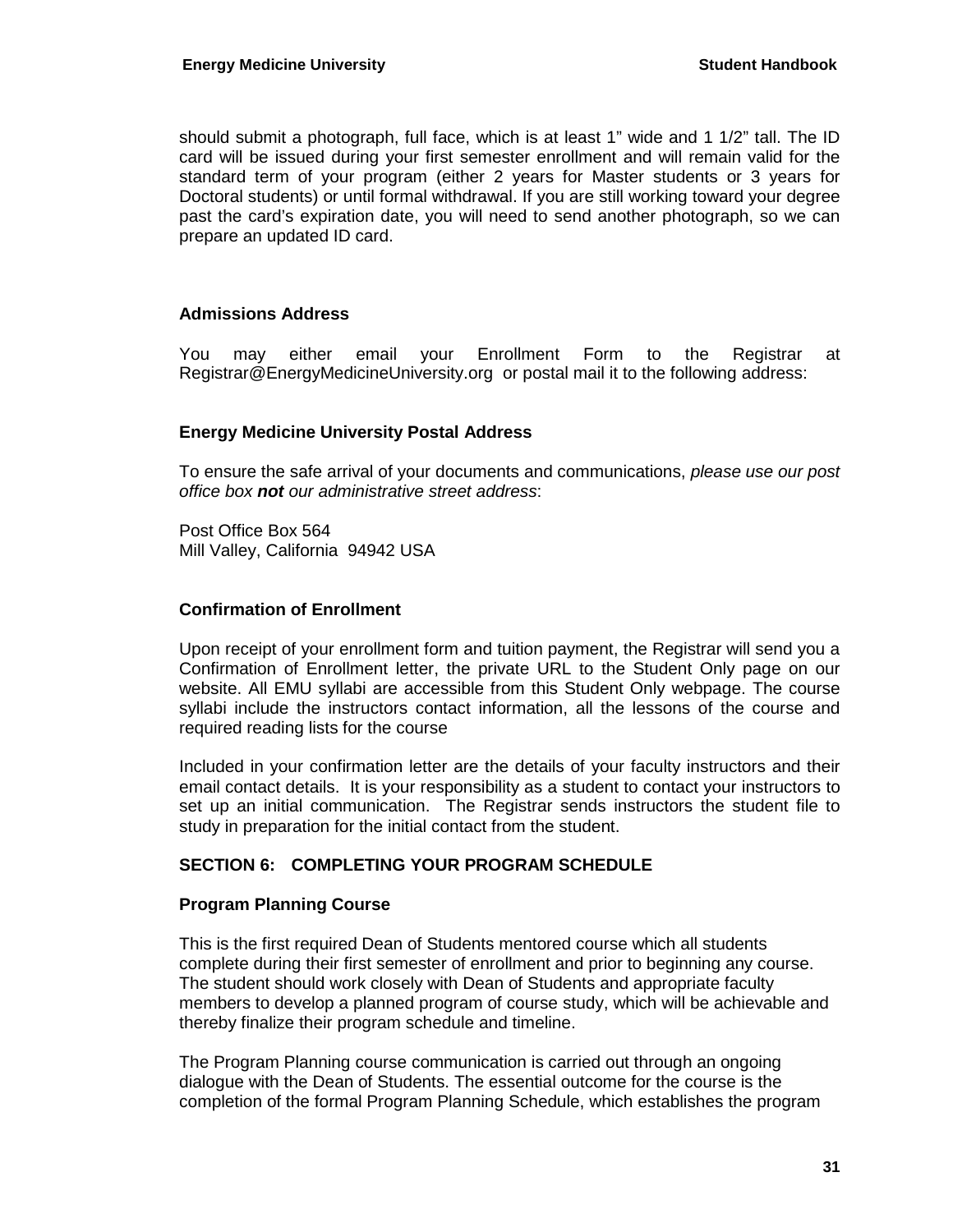should submit a photograph, full face, which is at least 1" wide and 1 1/2" tall. The ID card will be issued during your first semester enrollment and will remain valid for the standard term of your program (either 2 years for Master students or 3 years for Doctoral students) or until formal withdrawal. If you are still working toward your degree past the card's expiration date, you will need to send another photograph, so we can prepare an updated ID card.

#### **Admissions Address**

You may either email your Enrollment Form to the Registrar at Registrar@EnergyMedicineUniversity.org or postal mail it to the following address:

#### **Energy Medicine University Postal Address**

To ensure the safe arrival of your documents and communications, *please use our post office box not our administrative street address*:

Post Office Box 564 Mill Valley, California 94942 USA

#### **Confirmation of Enrollment**

Upon receipt of your enrollment form and tuition payment, the Registrar will send you a Confirmation of Enrollment letter, the private URL to the Student Only page on our website. All EMU syllabi are accessible from this Student Only webpage. The course syllabi include the instructors contact information, all the lessons of the course and required reading lists for the course

Included in your confirmation letter are the details of your faculty instructors and their email contact details. It is your responsibility as a student to contact your instructors to set up an initial communication. The Registrar sends instructors the student file to study in preparation for the initial contact from the student.

#### **SECTION 6: COMPLETING YOUR PROGRAM SCHEDULE**

#### **Program Planning Course**

This is the first required Dean of Students mentored course which all students complete during their first semester of enrollment and prior to beginning any course. The student should work closely with Dean of Students and appropriate faculty members to develop a planned program of course study, which will be achievable and thereby finalize their program schedule and timeline.

The Program Planning course communication is carried out through an ongoing dialogue with the Dean of Students. The essential outcome for the course is the completion of the formal Program Planning Schedule, which establishes the program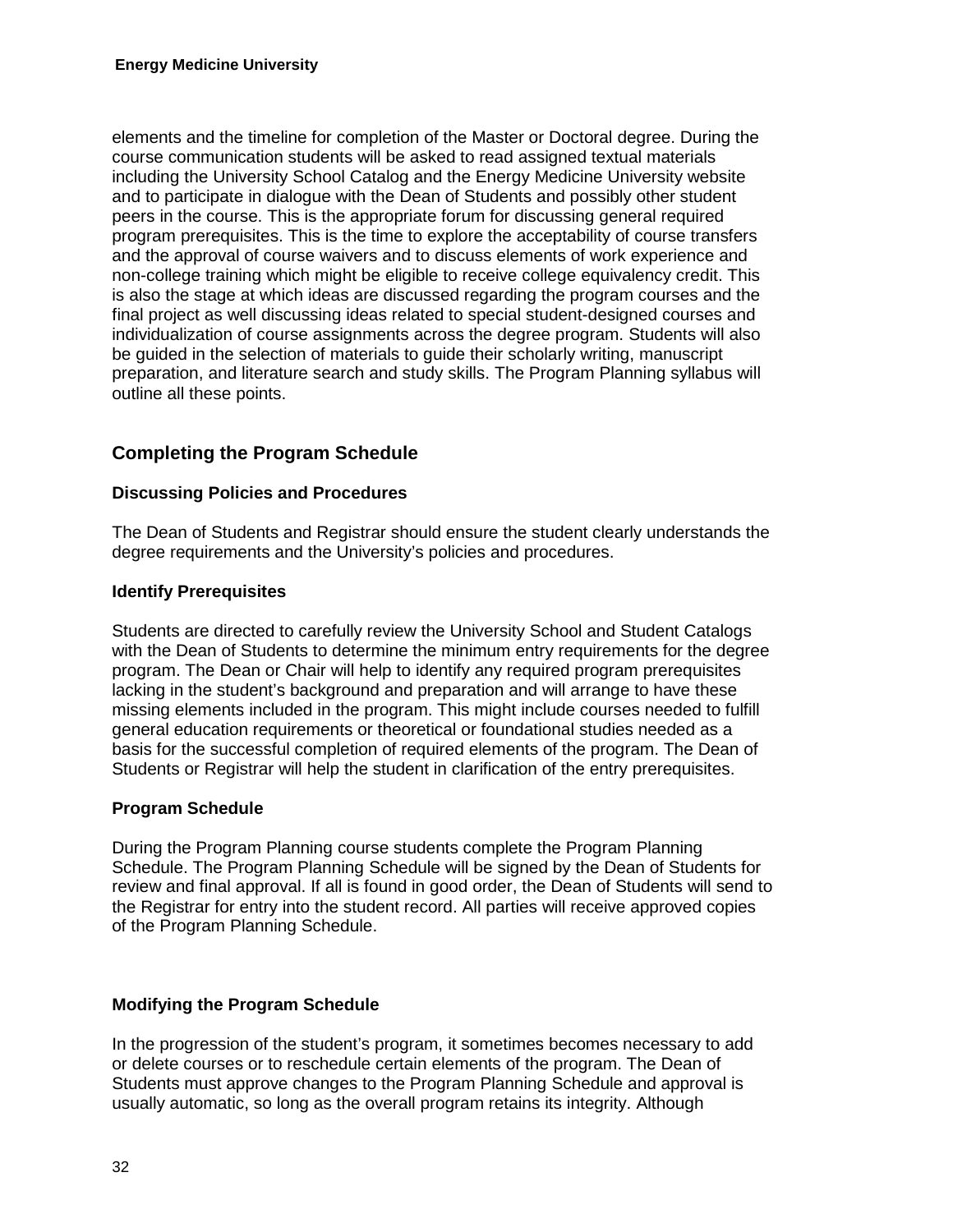elements and the timeline for completion of the Master or Doctoral degree. During the course communication students will be asked to read assigned textual materials including the University School Catalog and the Energy Medicine University website and to participate in dialogue with the Dean of Students and possibly other student peers in the course. This is the appropriate forum for discussing general required program prerequisites. This is the time to explore the acceptability of course transfers and the approval of course waivers and to discuss elements of work experience and non-college training which might be eligible to receive college equivalency credit. This is also the stage at which ideas are discussed regarding the program courses and the final project as well discussing ideas related to special student-designed courses and individualization of course assignments across the degree program. Students will also be guided in the selection of materials to guide their scholarly writing, manuscript preparation, and literature search and study skills. The Program Planning syllabus will outline all these points.

# **Completing the Program Schedule**

## **Discussing Policies and Procedures**

The Dean of Students and Registrar should ensure the student clearly understands the degree requirements and the University's policies and procedures.

## **Identify Prerequisites**

Students are directed to carefully review the University School and Student Catalogs with the Dean of Students to determine the minimum entry requirements for the degree program. The Dean or Chair will help to identify any required program prerequisites lacking in the student's background and preparation and will arrange to have these missing elements included in the program. This might include courses needed to fulfill general education requirements or theoretical or foundational studies needed as a basis for the successful completion of required elements of the program. The Dean of Students or Registrar will help the student in clarification of the entry prerequisites.

## **Program Schedule**

During the Program Planning course students complete the Program Planning Schedule. The Program Planning Schedule will be signed by the Dean of Students for review and final approval. If all is found in good order, the Dean of Students will send to the Registrar for entry into the student record. All parties will receive approved copies of the Program Planning Schedule.

# **Modifying the Program Schedule**

In the progression of the student's program, it sometimes becomes necessary to add or delete courses or to reschedule certain elements of the program. The Dean of Students must approve changes to the Program Planning Schedule and approval is usually automatic, so long as the overall program retains its integrity. Although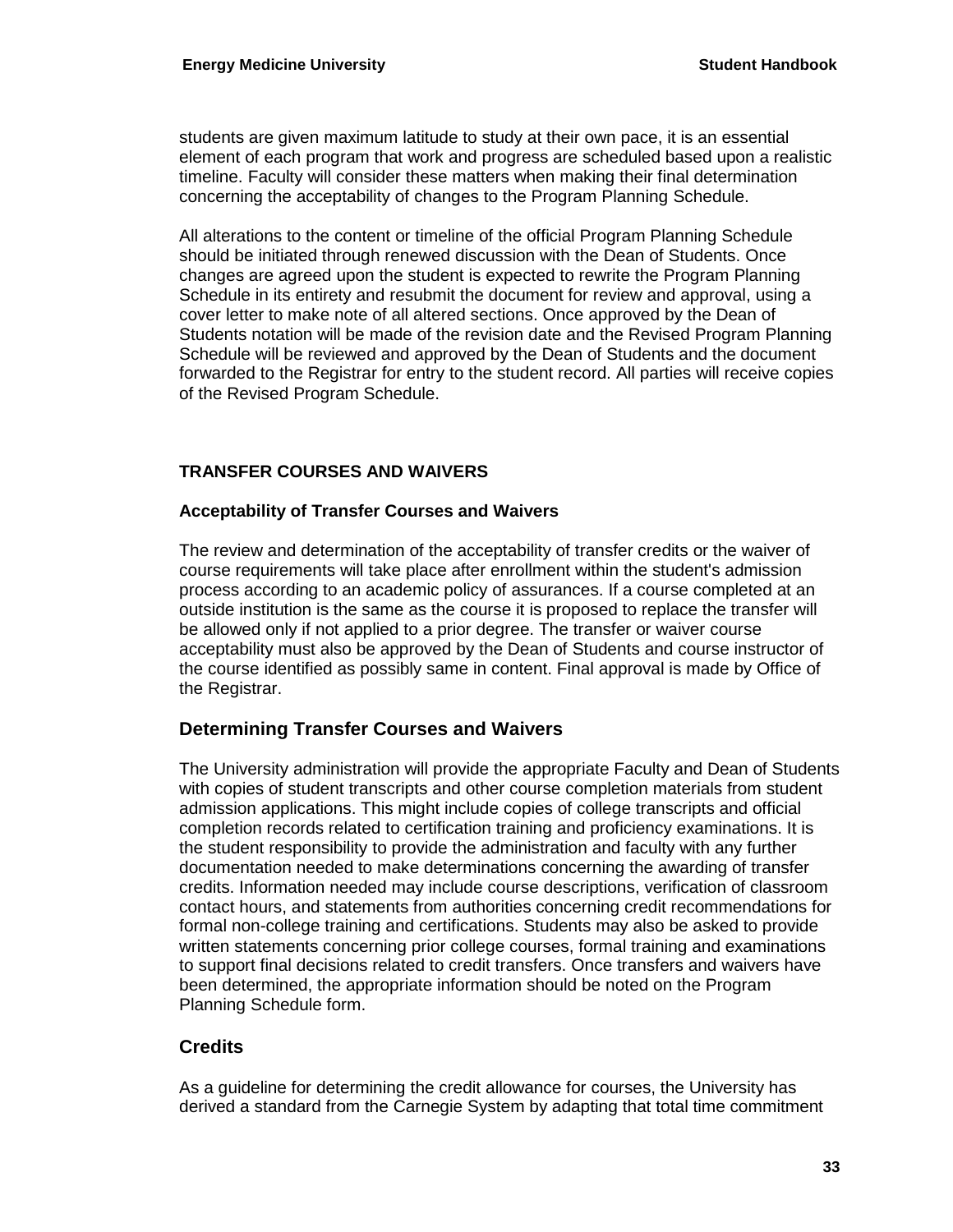students are given maximum latitude to study at their own pace, it is an essential element of each program that work and progress are scheduled based upon a realistic timeline. Faculty will consider these matters when making their final determination concerning the acceptability of changes to the Program Planning Schedule.

All alterations to the content or timeline of the official Program Planning Schedule should be initiated through renewed discussion with the Dean of Students. Once changes are agreed upon the student is expected to rewrite the Program Planning Schedule in its entirety and resubmit the document for review and approval, using a cover letter to make note of all altered sections. Once approved by the Dean of Students notation will be made of the revision date and the Revised Program Planning Schedule will be reviewed and approved by the Dean of Students and the document forwarded to the Registrar for entry to the student record. All parties will receive copies of the Revised Program Schedule.

## **TRANSFER COURSES AND WAIVERS**

#### **Acceptability of Transfer Courses and Waivers**

The review and determination of the acceptability of transfer credits or the waiver of course requirements will take place after enrollment within the student's admission process according to an academic policy of assurances. If a course completed at an outside institution is the same as the course it is proposed to replace the transfer will be allowed only if not applied to a prior degree. The transfer or waiver course acceptability must also be approved by the Dean of Students and course instructor of the course identified as possibly same in content. Final approval is made by Office of the Registrar.

## **Determining Transfer Courses and Waivers**

The University administration will provide the appropriate Faculty and Dean of Students with copies of student transcripts and other course completion materials from student admission applications. This might include copies of college transcripts and official completion records related to certification training and proficiency examinations. It is the student responsibility to provide the administration and faculty with any further documentation needed to make determinations concerning the awarding of transfer credits. Information needed may include course descriptions, verification of classroom contact hours, and statements from authorities concerning credit recommendations for formal non-college training and certifications. Students may also be asked to provide written statements concerning prior college courses, formal training and examinations to support final decisions related to credit transfers. Once transfers and waivers have been determined, the appropriate information should be noted on the Program Planning Schedule form.

## **Credits**

As a guideline for determining the credit allowance for courses, the University has derived a standard from the Carnegie System by adapting that total time commitment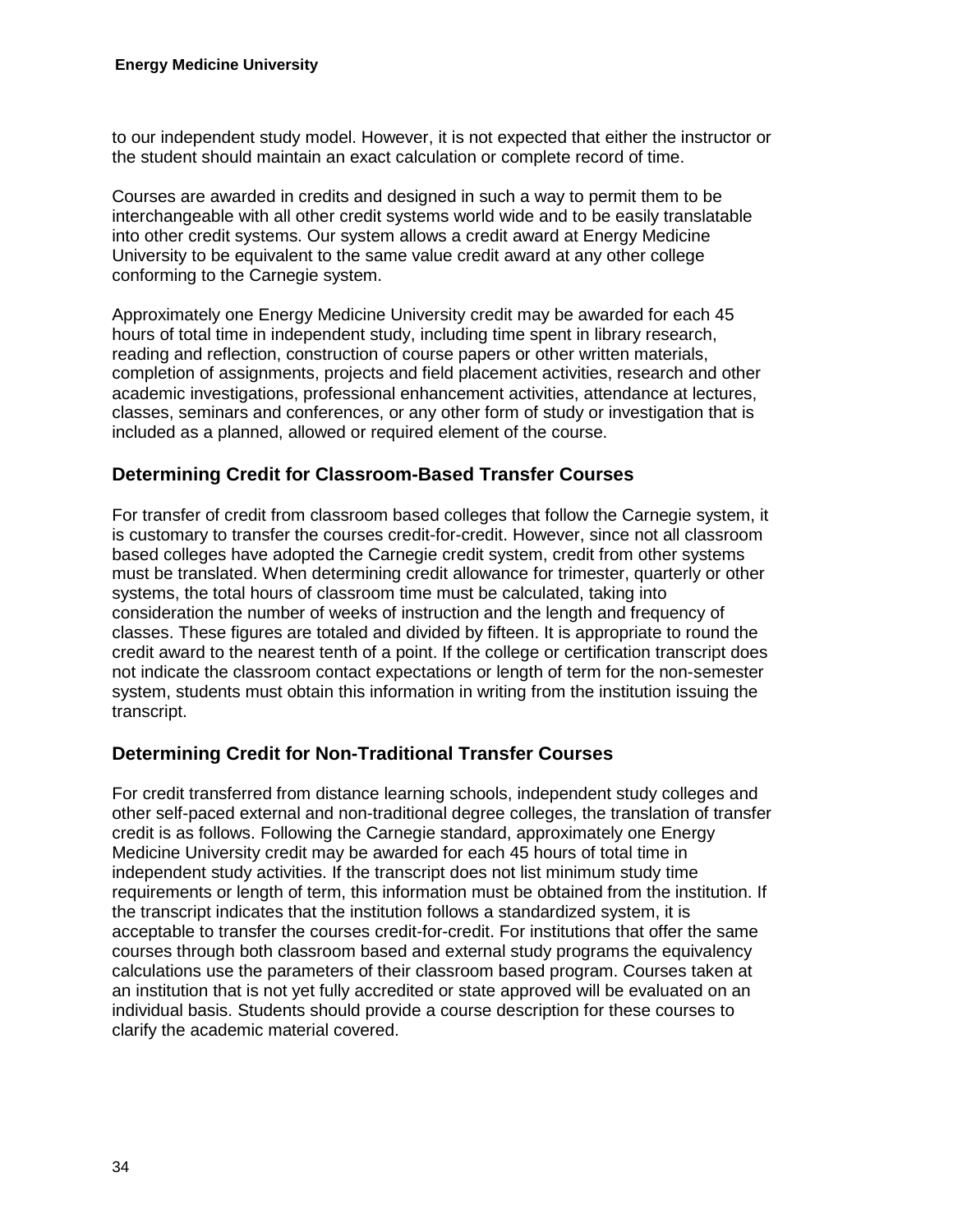to our independent study model. However, it is not expected that either the instructor or the student should maintain an exact calculation or complete record of time.

Courses are awarded in credits and designed in such a way to permit them to be interchangeable with all other credit systems world wide and to be easily translatable into other credit systems. Our system allows a credit award at Energy Medicine University to be equivalent to the same value credit award at any other college conforming to the Carnegie system.

Approximately one Energy Medicine University credit may be awarded for each 45 hours of total time in independent study, including time spent in library research, reading and reflection, construction of course papers or other written materials, completion of assignments, projects and field placement activities, research and other academic investigations, professional enhancement activities, attendance at lectures, classes, seminars and conferences, or any other form of study or investigation that is included as a planned, allowed or required element of the course.

# **Determining Credit for Classroom-Based Transfer Courses**

For transfer of credit from classroom based colleges that follow the Carnegie system, it is customary to transfer the courses credit-for-credit. However, since not all classroom based colleges have adopted the Carnegie credit system, credit from other systems must be translated. When determining credit allowance for trimester, quarterly or other systems, the total hours of classroom time must be calculated, taking into consideration the number of weeks of instruction and the length and frequency of classes. These figures are totaled and divided by fifteen. It is appropriate to round the credit award to the nearest tenth of a point. If the college or certification transcript does not indicate the classroom contact expectations or length of term for the non-semester system, students must obtain this information in writing from the institution issuing the transcript.

# **Determining Credit for Non-Traditional Transfer Courses**

For credit transferred from distance learning schools, independent study colleges and other self-paced external and non-traditional degree colleges, the translation of transfer credit is as follows. Following the Carnegie standard, approximately one Energy Medicine University credit may be awarded for each 45 hours of total time in independent study activities. If the transcript does not list minimum study time requirements or length of term, this information must be obtained from the institution. If the transcript indicates that the institution follows a standardized system, it is acceptable to transfer the courses credit-for-credit. For institutions that offer the same courses through both classroom based and external study programs the equivalency calculations use the parameters of their classroom based program. Courses taken at an institution that is not yet fully accredited or state approved will be evaluated on an individual basis. Students should provide a course description for these courses to clarify the academic material covered.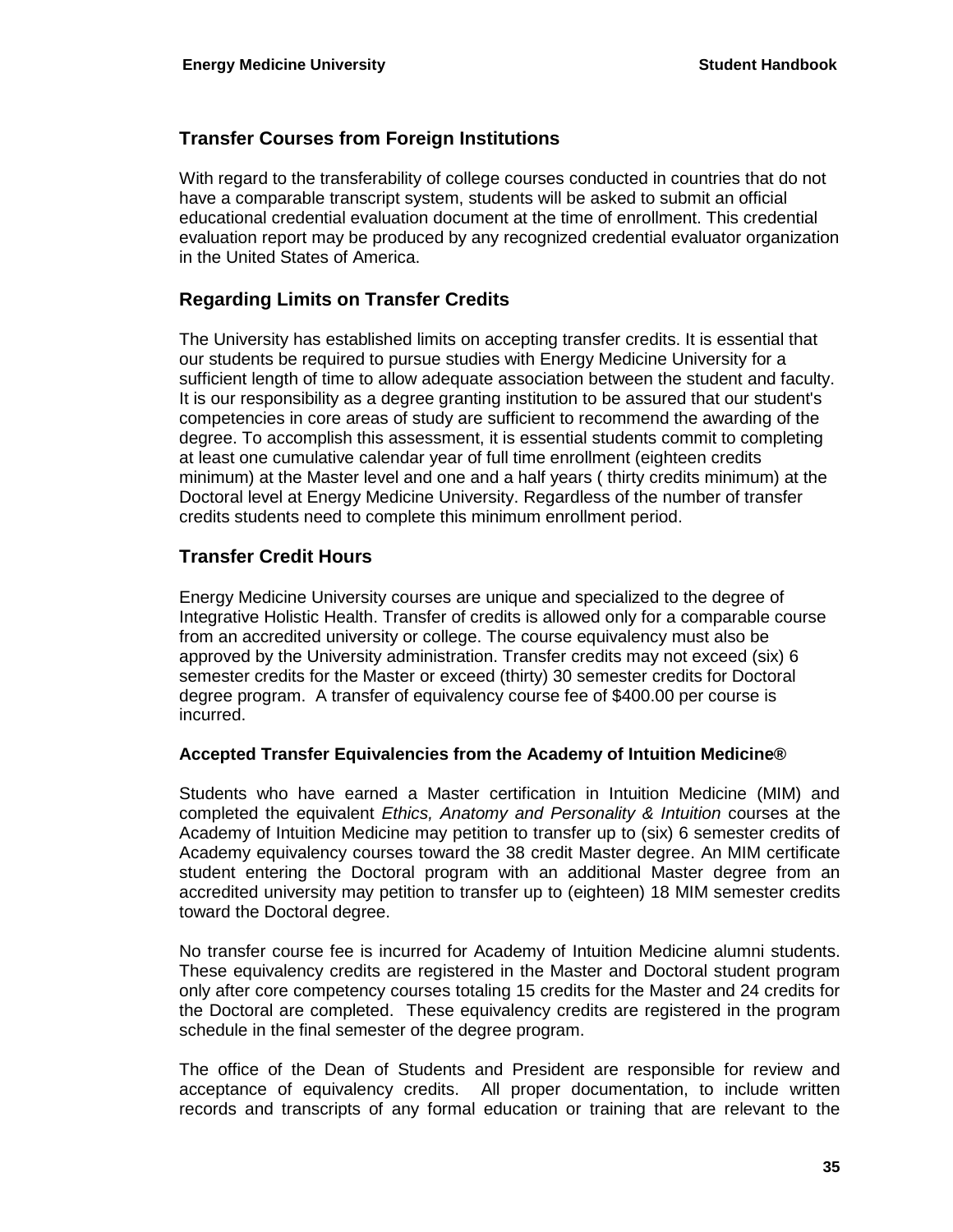## **Transfer Courses from Foreign Institutions**

With regard to the transferability of college courses conducted in countries that do not have a comparable transcript system, students will be asked to submit an official educational credential evaluation document at the time of enrollment. This credential evaluation report may be produced by any recognized credential evaluator organization in the United States of America.

## **Regarding Limits on Transfer Credits**

The University has established limits on accepting transfer credits. It is essential that our students be required to pursue studies with Energy Medicine University for a sufficient length of time to allow adequate association between the student and faculty. It is our responsibility as a degree granting institution to be assured that our student's competencies in core areas of study are sufficient to recommend the awarding of the degree. To accomplish this assessment, it is essential students commit to completing at least one cumulative calendar year of full time enrollment (eighteen credits minimum) at the Master level and one and a half years ( thirty credits minimum) at the Doctoral level at Energy Medicine University. Regardless of the number of transfer credits students need to complete this minimum enrollment period.

## **Transfer Credit Hours**

Energy Medicine University courses are unique and specialized to the degree of Integrative Holistic Health. Transfer of credits is allowed only for a comparable course from an accredited university or college. The course equivalency must also be approved by the University administration. Transfer credits may not exceed (six) 6 semester credits for the Master or exceed (thirty) 30 semester credits for Doctoral degree program. A transfer of equivalency course fee of \$400.00 per course is incurred.

## **Accepted Transfer Equivalencies from the Academy of Intuition Medicine®**

Students who have earned a Master certification in Intuition Medicine (MIM) and completed the equivalent *Ethics, Anatomy and Personality & Intuition* courses at the Academy of Intuition Medicine may petition to transfer up to (six) 6 semester credits of Academy equivalency courses toward the 38 credit Master degree. An MIM certificate student entering the Doctoral program with an additional Master degree from an accredited university may petition to transfer up to (eighteen) 18 MIM semester credits toward the Doctoral degree.

No transfer course fee is incurred for Academy of Intuition Medicine alumni students. These equivalency credits are registered in the Master and Doctoral student program only after core competency courses totaling 15 credits for the Master and 24 credits for the Doctoral are completed. These equivalency credits are registered in the program schedule in the final semester of the degree program.

The office of the Dean of Students and President are responsible for review and acceptance of equivalency credits. All proper documentation, to include written records and transcripts of any formal education or training that are relevant to the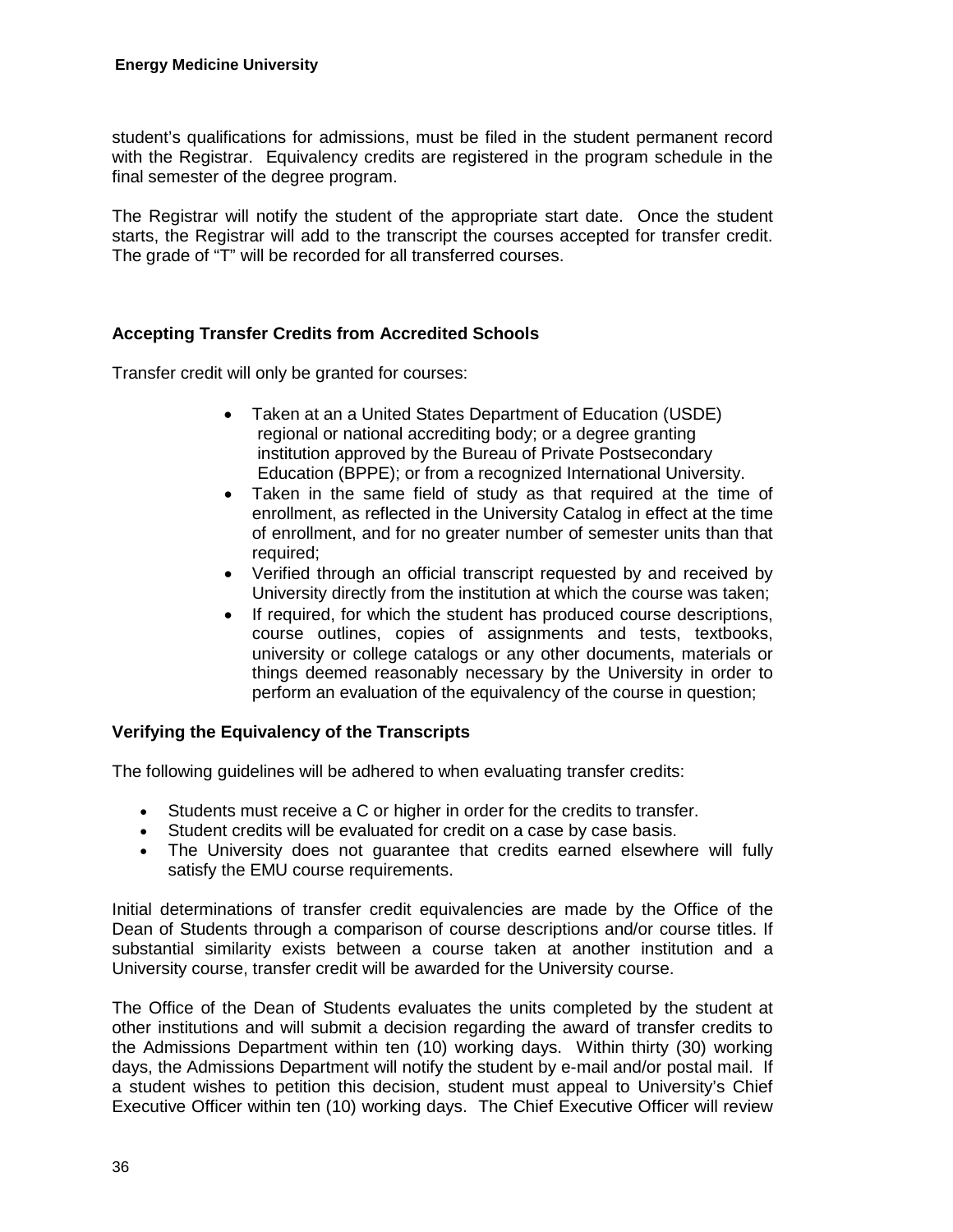student's qualifications for admissions, must be filed in the student permanent record with the Registrar. Equivalency credits are registered in the program schedule in the final semester of the degree program.

The Registrar will notify the student of the appropriate start date. Once the student starts, the Registrar will add to the transcript the courses accepted for transfer credit. The grade of "T" will be recorded for all transferred courses.

## **Accepting Transfer Credits from Accredited Schools**

Transfer credit will only be granted for courses:

- Taken at an a United States Department of Education (USDE) regional or national accrediting body; or a degree granting institution approved by the Bureau of Private Postsecondary Education (BPPE); or from a recognized International University.
- Taken in the same field of study as that required at the time of enrollment, as reflected in the University Catalog in effect at the time of enrollment, and for no greater number of semester units than that required;
- Verified through an official transcript requested by and received by University directly from the institution at which the course was taken;
- If required, for which the student has produced course descriptions, course outlines, copies of assignments and tests, textbooks, university or college catalogs or any other documents, materials or things deemed reasonably necessary by the University in order to perform an evaluation of the equivalency of the course in question;

## **Verifying the Equivalency of the Transcripts**

The following guidelines will be adhered to when evaluating transfer credits:

- Students must receive a C or higher in order for the credits to transfer.
- Student credits will be evaluated for credit on a case by case basis.
- The University does not guarantee that credits earned elsewhere will fully satisfy the EMU course requirements.

Initial determinations of transfer credit equivalencies are made by the Office of the Dean of Students through a comparison of course descriptions and/or course titles. If substantial similarity exists between a course taken at another institution and a University course, transfer credit will be awarded for the University course.

The Office of the Dean of Students evaluates the units completed by the student at other institutions and will submit a decision regarding the award of transfer credits to the Admissions Department within ten (10) working days. Within thirty (30) working days, the Admissions Department will notify the student by e-mail and/or postal mail. If a student wishes to petition this decision, student must appeal to University's Chief Executive Officer within ten (10) working days. The Chief Executive Officer will review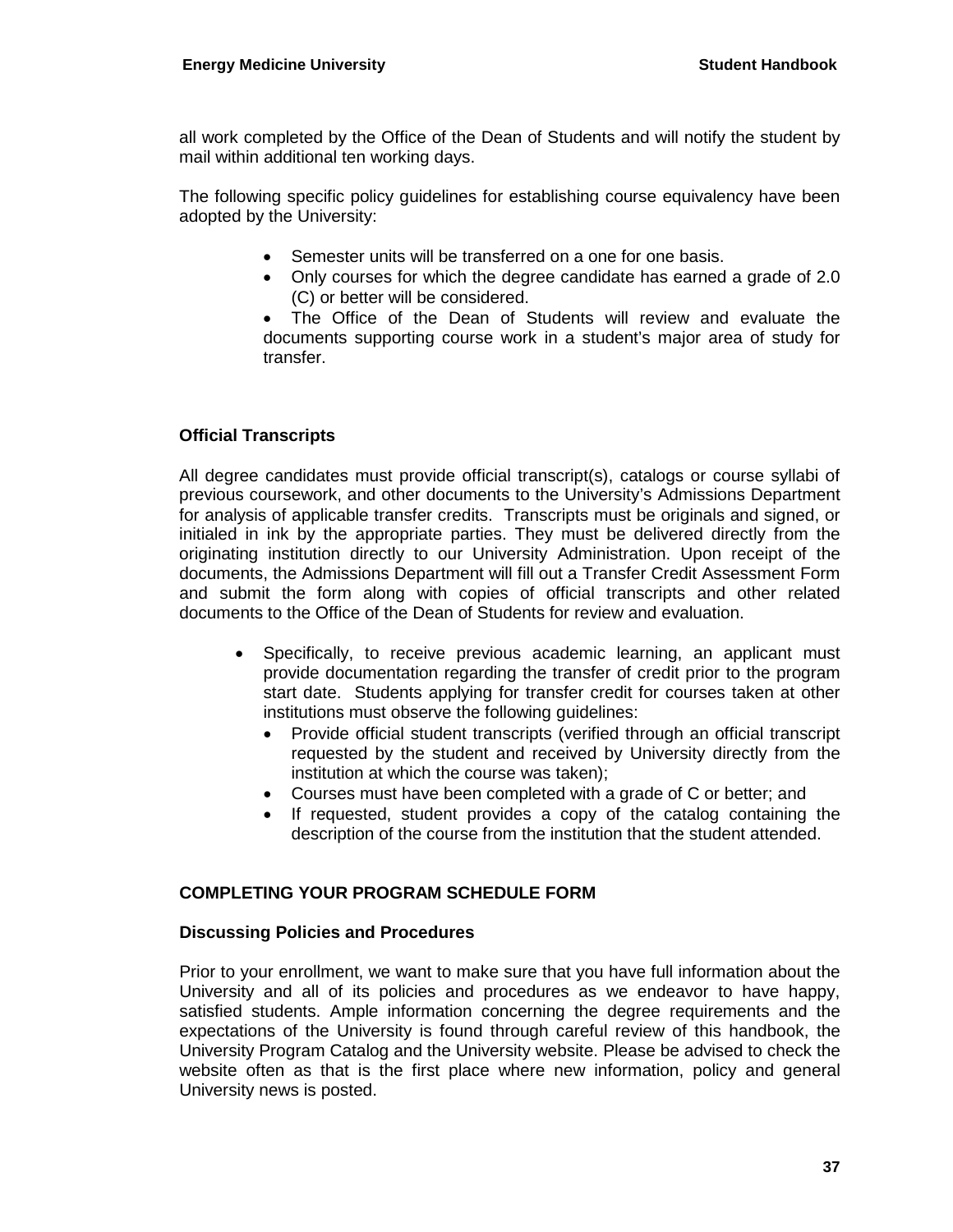all work completed by the Office of the Dean of Students and will notify the student by mail within additional ten working days.

The following specific policy guidelines for establishing course equivalency have been adopted by the University:

- Semester units will be transferred on a one for one basis.
- Only courses for which the degree candidate has earned a grade of 2.0 (C) or better will be considered.
- The Office of the Dean of Students will review and evaluate the documents supporting course work in a student's major area of study for transfer.

## **Official Transcripts**

All degree candidates must provide official transcript(s), catalogs or course syllabi of previous coursework, and other documents to the University's Admissions Department for analysis of applicable transfer credits. Transcripts must be originals and signed, or initialed in ink by the appropriate parties. They must be delivered directly from the originating institution directly to our University Administration. Upon receipt of the documents, the Admissions Department will fill out a Transfer Credit Assessment Form and submit the form along with copies of official transcripts and other related documents to the Office of the Dean of Students for review and evaluation.

- Specifically, to receive previous academic learning, an applicant must provide documentation regarding the transfer of credit prior to the program start date. Students applying for transfer credit for courses taken at other institutions must observe the following guidelines:
	- Provide official student transcripts (verified through an official transcript requested by the student and received by University directly from the institution at which the course was taken);
	- Courses must have been completed with a grade of C or better; and
	- If requested, student provides a copy of the catalog containing the description of the course from the institution that the student attended.

## **COMPLETING YOUR PROGRAM SCHEDULE FORM**

## **Discussing Policies and Procedures**

Prior to your enrollment, we want to make sure that you have full information about the University and all of its policies and procedures as we endeavor to have happy, satisfied students. Ample information concerning the degree requirements and the expectations of the University is found through careful review of this handbook, the University Program Catalog and the University website. Please be advised to check the website often as that is the first place where new information, policy and general University news is posted.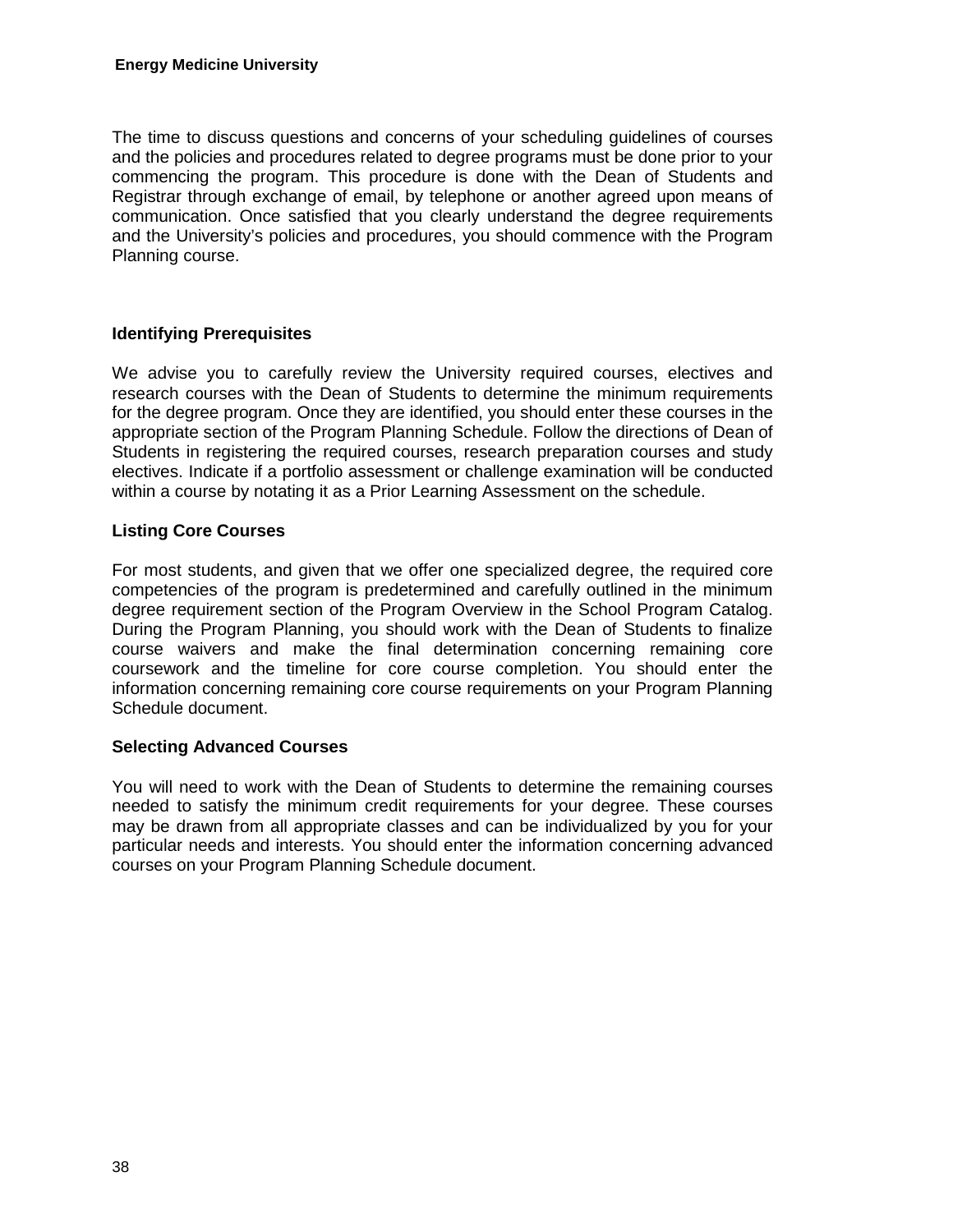The time to discuss questions and concerns of your scheduling guidelines of courses and the policies and procedures related to degree programs must be done prior to your commencing the program. This procedure is done with the Dean of Students and Registrar through exchange of email, by telephone or another agreed upon means of communication. Once satisfied that you clearly understand the degree requirements and the University's policies and procedures, you should commence with the Program Planning course.

## **Identifying Prerequisites**

We advise you to carefully review the University required courses, electives and research courses with the Dean of Students to determine the minimum requirements for the degree program. Once they are identified, you should enter these courses in the appropriate section of the Program Planning Schedule. Follow the directions of Dean of Students in registering the required courses, research preparation courses and study electives. Indicate if a portfolio assessment or challenge examination will be conducted within a course by notating it as a Prior Learning Assessment on the schedule.

#### **Listing Core Courses**

For most students, and given that we offer one specialized degree, the required core competencies of the program is predetermined and carefully outlined in the minimum degree requirement section of the Program Overview in the School Program Catalog. During the Program Planning, you should work with the Dean of Students to finalize course waivers and make the final determination concerning remaining core coursework and the timeline for core course completion. You should enter the information concerning remaining core course requirements on your Program Planning Schedule document.

#### **Selecting Advanced Courses**

You will need to work with the Dean of Students to determine the remaining courses needed to satisfy the minimum credit requirements for your degree. These courses may be drawn from all appropriate classes and can be individualized by you for your particular needs and interests. You should enter the information concerning advanced courses on your Program Planning Schedule document.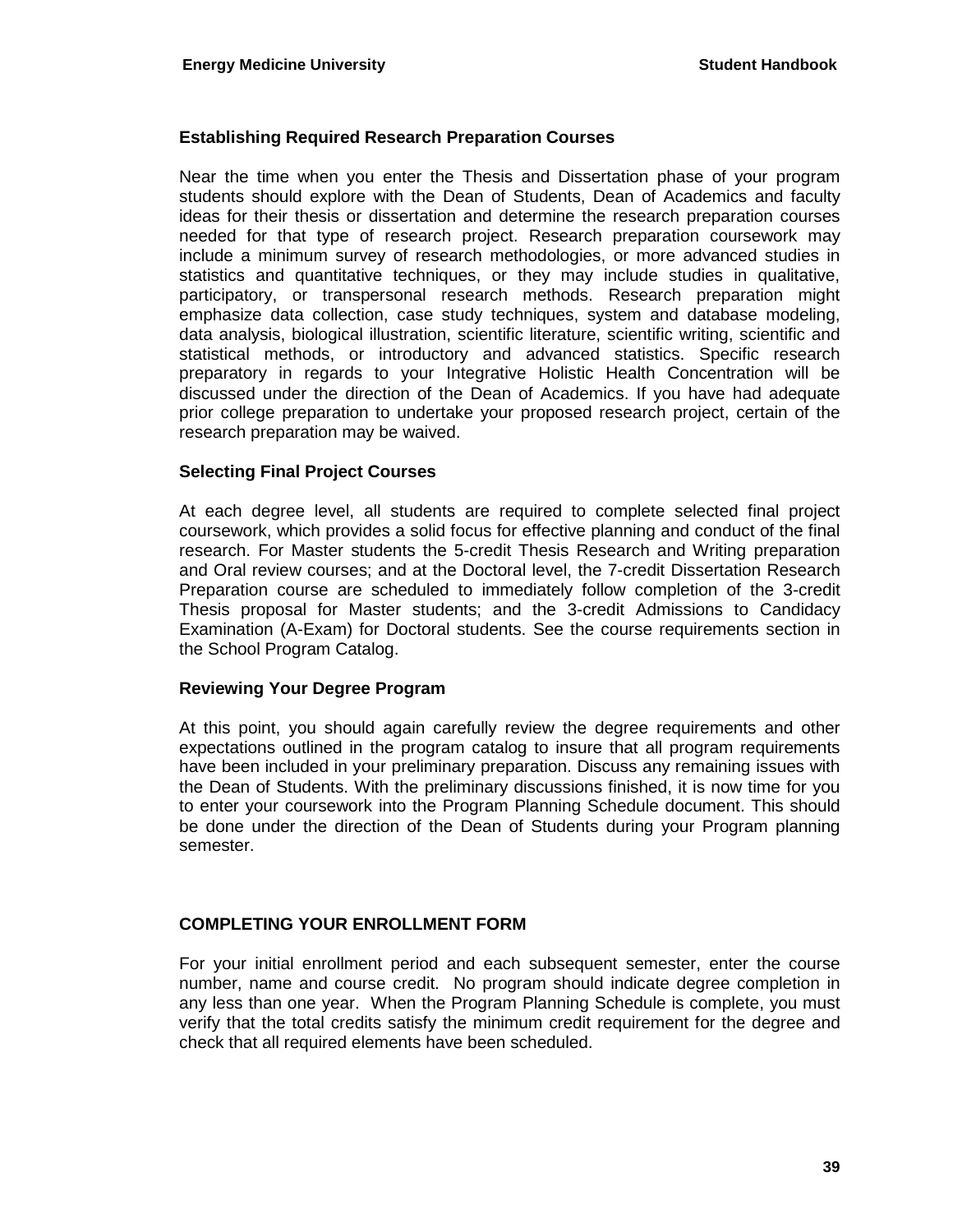#### **Establishing Required Research Preparation Courses**

Near the time when you enter the Thesis and Dissertation phase of your program students should explore with the Dean of Students, Dean of Academics and faculty ideas for their thesis or dissertation and determine the research preparation courses needed for that type of research project. Research preparation coursework may include a minimum survey of research methodologies, or more advanced studies in statistics and quantitative techniques, or they may include studies in qualitative, participatory, or transpersonal research methods. Research preparation might emphasize data collection, case study techniques, system and database modeling, data analysis, biological illustration, scientific literature, scientific writing, scientific and statistical methods, or introductory and advanced statistics. Specific research preparatory in regards to your Integrative Holistic Health Concentration will be discussed under the direction of the Dean of Academics. If you have had adequate prior college preparation to undertake your proposed research project, certain of the research preparation may be waived.

#### **Selecting Final Project Courses**

At each degree level, all students are required to complete selected final project coursework, which provides a solid focus for effective planning and conduct of the final research. For Master students the 5-credit Thesis Research and Writing preparation and Oral review courses; and at the Doctoral level, the 7-credit Dissertation Research Preparation course are scheduled to immediately follow completion of the 3-credit Thesis proposal for Master students; and the 3-credit Admissions to Candidacy Examination (A-Exam) for Doctoral students. See the course requirements section in the School Program Catalog.

#### **Reviewing Your Degree Program**

At this point, you should again carefully review the degree requirements and other expectations outlined in the program catalog to insure that all program requirements have been included in your preliminary preparation. Discuss any remaining issues with the Dean of Students. With the preliminary discussions finished, it is now time for you to enter your coursework into the Program Planning Schedule document. This should be done under the direction of the Dean of Students during your Program planning semester.

## **COMPLETING YOUR ENROLLMENT FORM**

For your initial enrollment period and each subsequent semester, enter the course number, name and course credit. No program should indicate degree completion in any less than one year. When the Program Planning Schedule is complete, you must verify that the total credits satisfy the minimum credit requirement for the degree and check that all required elements have been scheduled.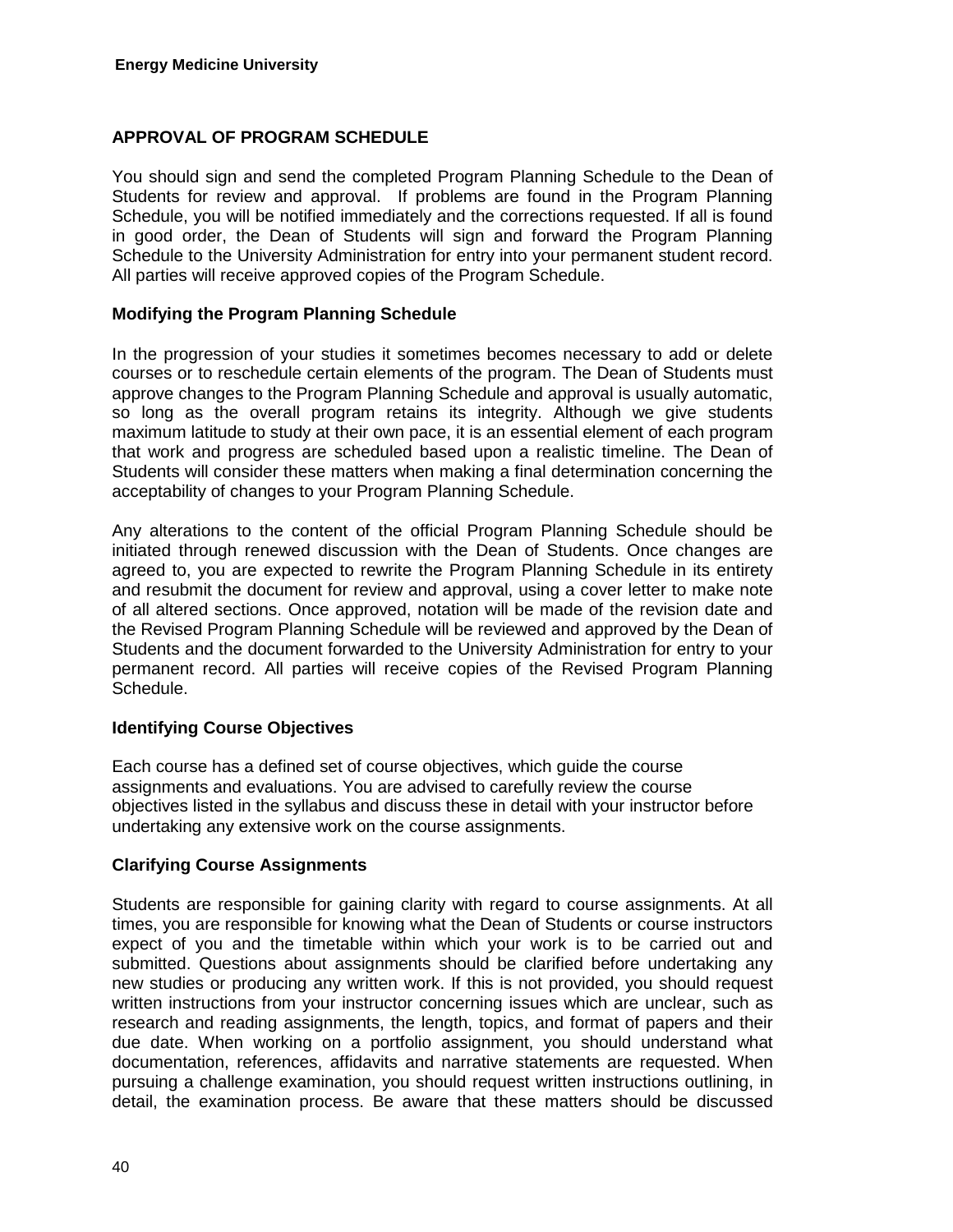## **APPROVAL OF PROGRAM SCHEDULE**

You should sign and send the completed Program Planning Schedule to the Dean of Students for review and approval. If problems are found in the Program Planning Schedule, you will be notified immediately and the corrections requested. If all is found in good order, the Dean of Students will sign and forward the Program Planning Schedule to the University Administration for entry into your permanent student record. All parties will receive approved copies of the Program Schedule.

## **Modifying the Program Planning Schedule**

In the progression of your studies it sometimes becomes necessary to add or delete courses or to reschedule certain elements of the program. The Dean of Students must approve changes to the Program Planning Schedule and approval is usually automatic, so long as the overall program retains its integrity. Although we give students maximum latitude to study at their own pace, it is an essential element of each program that work and progress are scheduled based upon a realistic timeline. The Dean of Students will consider these matters when making a final determination concerning the acceptability of changes to your Program Planning Schedule.

Any alterations to the content of the official Program Planning Schedule should be initiated through renewed discussion with the Dean of Students. Once changes are agreed to, you are expected to rewrite the Program Planning Schedule in its entirety and resubmit the document for review and approval, using a cover letter to make note of all altered sections. Once approved, notation will be made of the revision date and the Revised Program Planning Schedule will be reviewed and approved by the Dean of Students and the document forwarded to the University Administration for entry to your permanent record. All parties will receive copies of the Revised Program Planning Schedule.

## **Identifying Course Objectives**

Each course has a defined set of course objectives, which guide the course assignments and evaluations. You are advised to carefully review the course objectives listed in the syllabus and discuss these in detail with your instructor before undertaking any extensive work on the course assignments.

## **Clarifying Course Assignments**

Students are responsible for gaining clarity with regard to course assignments. At all times, you are responsible for knowing what the Dean of Students or course instructors expect of you and the timetable within which your work is to be carried out and submitted. Questions about assignments should be clarified before undertaking any new studies or producing any written work. If this is not provided, you should request written instructions from your instructor concerning issues which are unclear, such as research and reading assignments, the length, topics, and format of papers and their due date. When working on a portfolio assignment, you should understand what documentation, references, affidavits and narrative statements are requested. When pursuing a challenge examination, you should request written instructions outlining, in detail, the examination process. Be aware that these matters should be discussed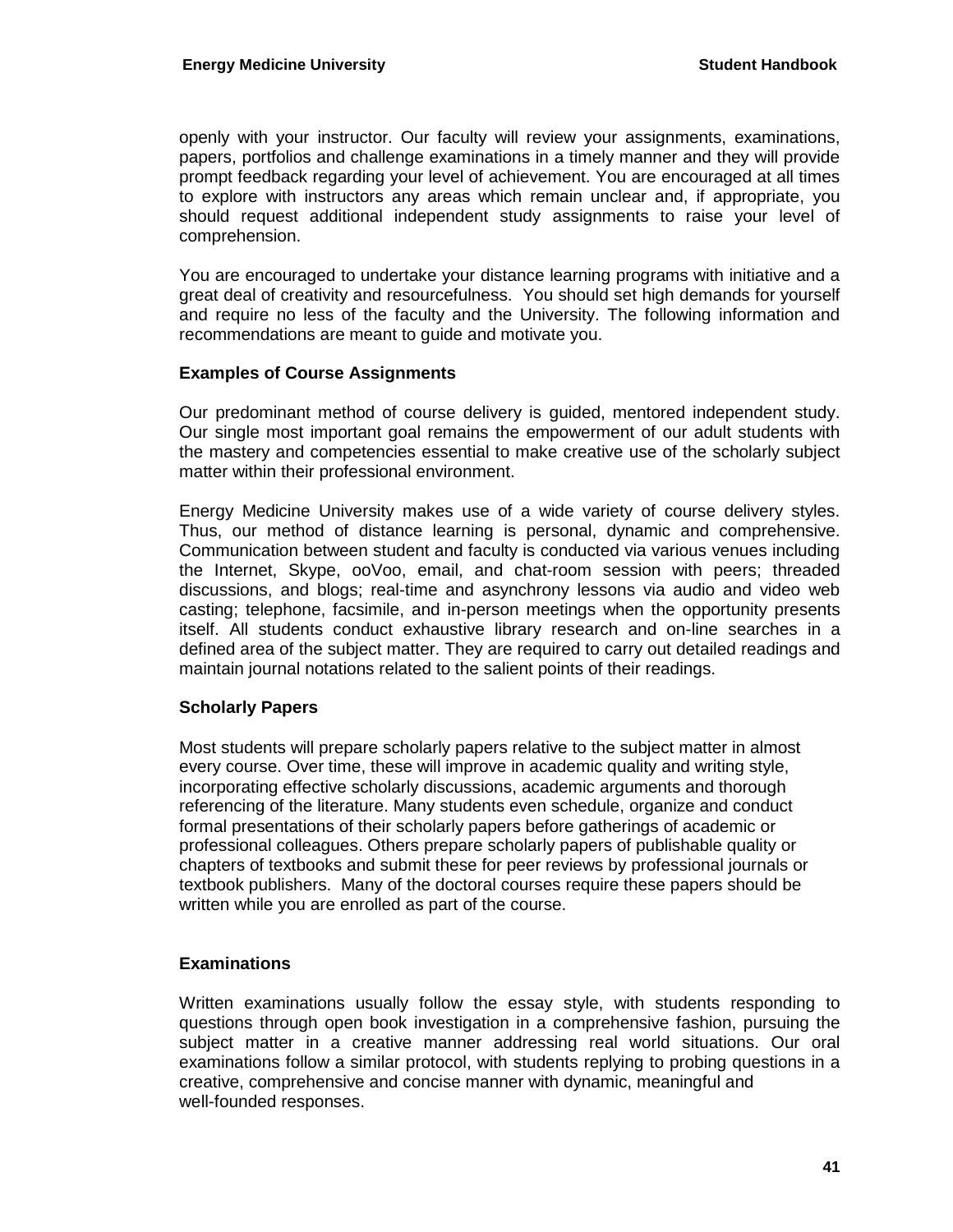openly with your instructor. Our faculty will review your assignments, examinations, papers, portfolios and challenge examinations in a timely manner and they will provide prompt feedback regarding your level of achievement. You are encouraged at all times to explore with instructors any areas which remain unclear and, if appropriate, you should request additional independent study assignments to raise your level of comprehension.

You are encouraged to undertake your distance learning programs with initiative and a great deal of creativity and resourcefulness. You should set high demands for yourself and require no less of the faculty and the University. The following information and recommendations are meant to guide and motivate you.

#### **Examples of Course Assignments**

Our predominant method of course delivery is guided, mentored independent study. Our single most important goal remains the empowerment of our adult students with the mastery and competencies essential to make creative use of the scholarly subject matter within their professional environment.

Energy Medicine University makes use of a wide variety of course delivery styles. Thus, our method of distance learning is personal, dynamic and comprehensive. Communication between student and faculty is conducted via various venues including the Internet, Skype, ooVoo, email, and chat-room session with peers; threaded discussions, and blogs; real-time and asynchrony lessons via audio and video web casting; telephone, facsimile, and in-person meetings when the opportunity presents itself. All students conduct exhaustive library research and on-line searches in a defined area of the subject matter. They are required to carry out detailed readings and maintain journal notations related to the salient points of their readings.

## **Scholarly Papers**

Most students will prepare scholarly papers relative to the subject matter in almost every course. Over time, these will improve in academic quality and writing style, incorporating effective scholarly discussions, academic arguments and thorough referencing of the literature. Many students even schedule, organize and conduct formal presentations of their scholarly papers before gatherings of academic or professional colleagues. Others prepare scholarly papers of publishable quality or chapters of textbooks and submit these for peer reviews by professional journals or textbook publishers. Many of the doctoral courses require these papers should be written while you are enrolled as part of the course.

## **Examinations**

Written examinations usually follow the essay style, with students responding to questions through open book investigation in a comprehensive fashion, pursuing the subject matter in a creative manner addressing real world situations. Our oral examinations follow a similar protocol, with students replying to probing questions in a creative, comprehensive and concise manner with dynamic, meaningful and well-founded responses.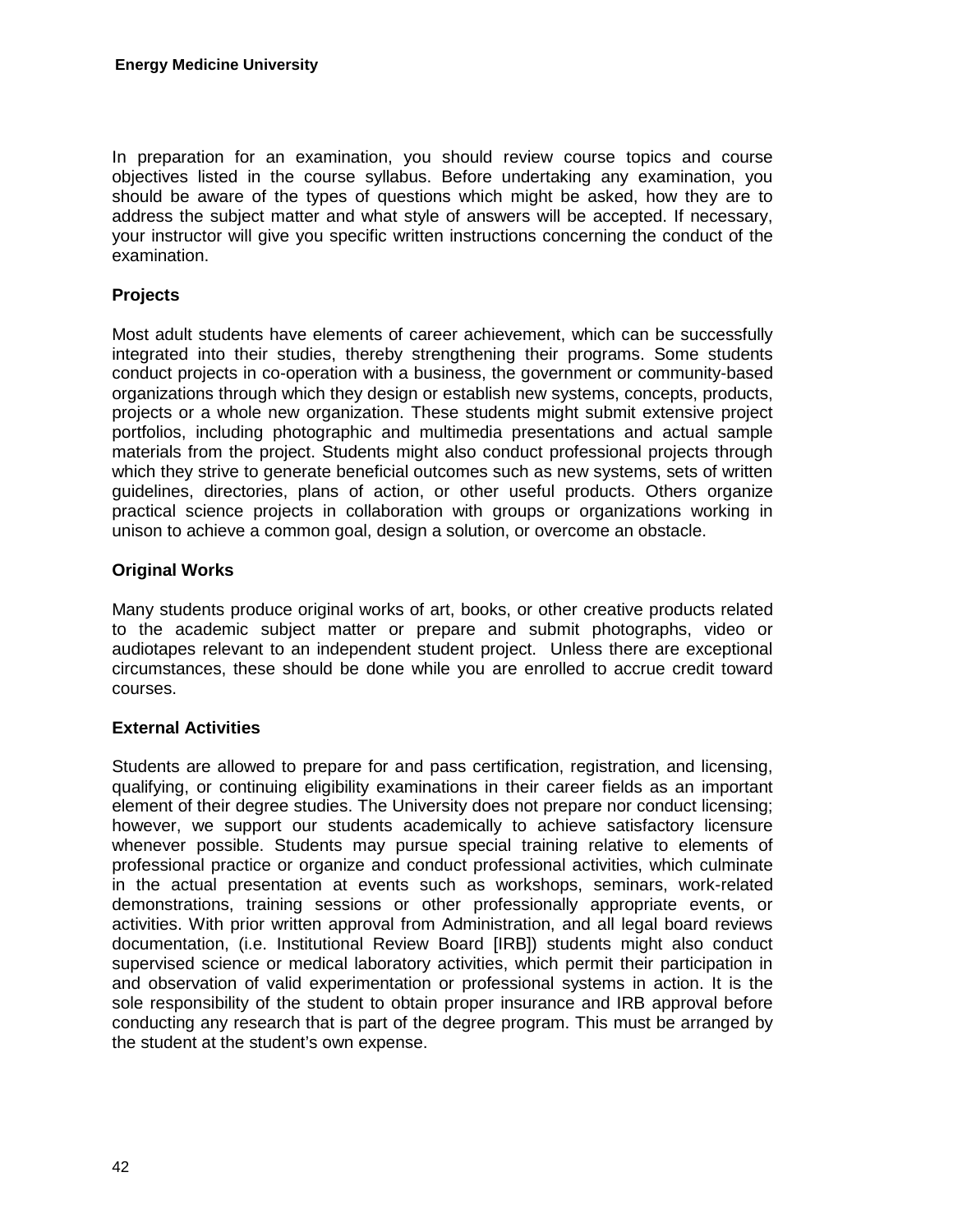In preparation for an examination, you should review course topics and course objectives listed in the course syllabus. Before undertaking any examination, you should be aware of the types of questions which might be asked, how they are to address the subject matter and what style of answers will be accepted. If necessary, your instructor will give you specific written instructions concerning the conduct of the examination.

## **Projects**

Most adult students have elements of career achievement, which can be successfully integrated into their studies, thereby strengthening their programs. Some students conduct projects in co-operation with a business, the government or community-based organizations through which they design or establish new systems, concepts, products, projects or a whole new organization. These students might submit extensive project portfolios, including photographic and multimedia presentations and actual sample materials from the project. Students might also conduct professional projects through which they strive to generate beneficial outcomes such as new systems, sets of written guidelines, directories, plans of action, or other useful products. Others organize practical science projects in collaboration with groups or organizations working in unison to achieve a common goal, design a solution, or overcome an obstacle.

## **Original Works**

Many students produce original works of art, books, or other creative products related to the academic subject matter or prepare and submit photographs, video or audiotapes relevant to an independent student project. Unless there are exceptional circumstances, these should be done while you are enrolled to accrue credit toward courses.

## **External Activities**

Students are allowed to prepare for and pass certification, registration, and licensing, qualifying, or continuing eligibility examinations in their career fields as an important element of their degree studies. The University does not prepare nor conduct licensing; however, we support our students academically to achieve satisfactory licensure whenever possible. Students may pursue special training relative to elements of professional practice or organize and conduct professional activities, which culminate in the actual presentation at events such as workshops, seminars, work-related demonstrations, training sessions or other professionally appropriate events, or activities. With prior written approval from Administration, and all legal board reviews documentation, (i.e. Institutional Review Board [IRB]) students might also conduct supervised science or medical laboratory activities, which permit their participation in and observation of valid experimentation or professional systems in action. It is the sole responsibility of the student to obtain proper insurance and IRB approval before conducting any research that is part of the degree program. This must be arranged by the student at the student's own expense.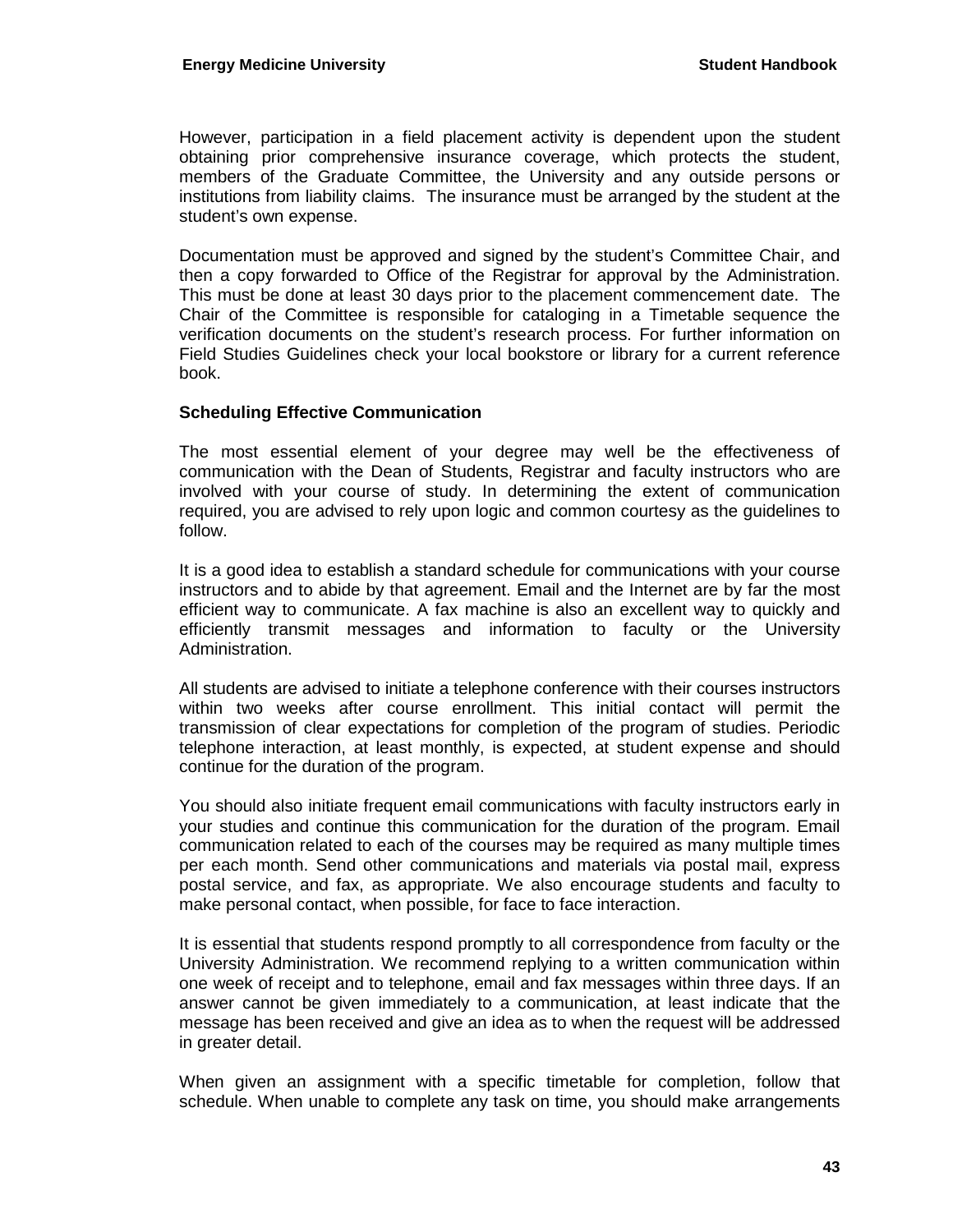However, participation in a field placement activity is dependent upon the student obtaining prior comprehensive insurance coverage, which protects the student, members of the Graduate Committee, the University and any outside persons or institutions from liability claims. The insurance must be arranged by the student at the student's own expense.

Documentation must be approved and signed by the student's Committee Chair, and then a copy forwarded to Office of the Registrar for approval by the Administration. This must be done at least 30 days prior to the placement commencement date. The Chair of the Committee is responsible for cataloging in a Timetable sequence the verification documents on the student's research process. For further information on Field Studies Guidelines check your local bookstore or library for a current reference book.

#### **Scheduling Effective Communication**

The most essential element of your degree may well be the effectiveness of communication with the Dean of Students, Registrar and faculty instructors who are involved with your course of study. In determining the extent of communication required, you are advised to rely upon logic and common courtesy as the guidelines to follow.

It is a good idea to establish a standard schedule for communications with your course instructors and to abide by that agreement. Email and the Internet are by far the most efficient way to communicate. A fax machine is also an excellent way to quickly and efficiently transmit messages and information to faculty or the University Administration.

All students are advised to initiate a telephone conference with their courses instructors within two weeks after course enrollment. This initial contact will permit the transmission of clear expectations for completion of the program of studies. Periodic telephone interaction, at least monthly, is expected, at student expense and should continue for the duration of the program.

You should also initiate frequent email communications with faculty instructors early in your studies and continue this communication for the duration of the program. Email communication related to each of the courses may be required as many multiple times per each month. Send other communications and materials via postal mail, express postal service, and fax, as appropriate. We also encourage students and faculty to make personal contact, when possible, for face to face interaction.

It is essential that students respond promptly to all correspondence from faculty or the University Administration. We recommend replying to a written communication within one week of receipt and to telephone, email and fax messages within three days. If an answer cannot be given immediately to a communication, at least indicate that the message has been received and give an idea as to when the request will be addressed in greater detail.

When given an assignment with a specific timetable for completion, follow that schedule. When unable to complete any task on time, you should make arrangements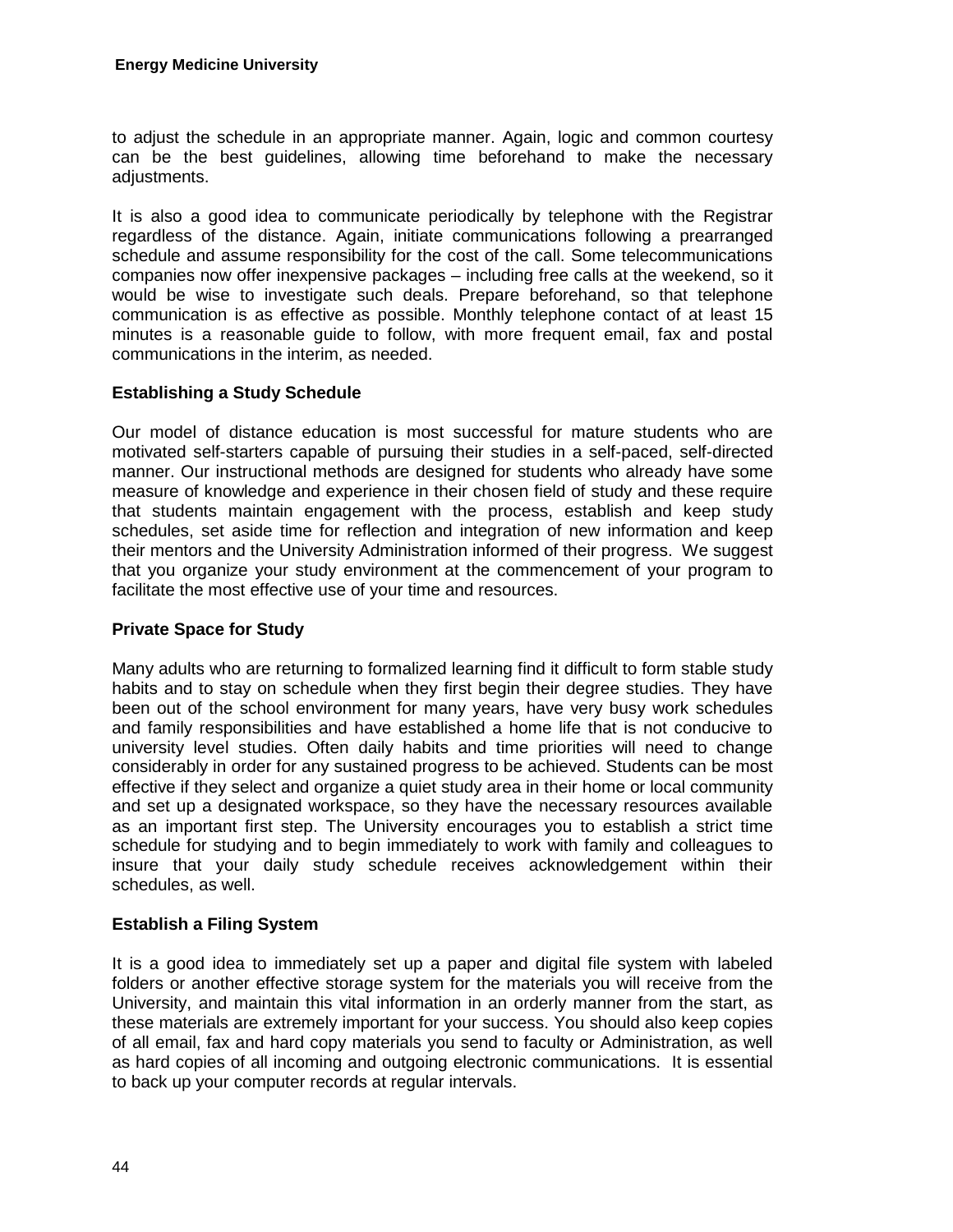to adjust the schedule in an appropriate manner. Again, logic and common courtesy can be the best guidelines, allowing time beforehand to make the necessary adjustments.

It is also a good idea to communicate periodically by telephone with the Registrar regardless of the distance. Again, initiate communications following a prearranged schedule and assume responsibility for the cost of the call. Some telecommunications companies now offer inexpensive packages – including free calls at the weekend, so it would be wise to investigate such deals. Prepare beforehand, so that telephone communication is as effective as possible. Monthly telephone contact of at least 15 minutes is a reasonable guide to follow, with more frequent email, fax and postal communications in the interim, as needed.

## **Establishing a Study Schedule**

Our model of distance education is most successful for mature students who are motivated self-starters capable of pursuing their studies in a self-paced, self-directed manner. Our instructional methods are designed for students who already have some measure of knowledge and experience in their chosen field of study and these require that students maintain engagement with the process, establish and keep study schedules, set aside time for reflection and integration of new information and keep their mentors and the University Administration informed of their progress. We suggest that you organize your study environment at the commencement of your program to facilitate the most effective use of your time and resources.

## **Private Space for Study**

Many adults who are returning to formalized learning find it difficult to form stable study habits and to stay on schedule when they first begin their degree studies. They have been out of the school environment for many years, have very busy work schedules and family responsibilities and have established a home life that is not conducive to university level studies. Often daily habits and time priorities will need to change considerably in order for any sustained progress to be achieved. Students can be most effective if they select and organize a quiet study area in their home or local community and set up a designated workspace, so they have the necessary resources available as an important first step. The University encourages you to establish a strict time schedule for studying and to begin immediately to work with family and colleagues to insure that your daily study schedule receives acknowledgement within their schedules, as well.

## **Establish a Filing System**

It is a good idea to immediately set up a paper and digital file system with labeled folders or another effective storage system for the materials you will receive from the University, and maintain this vital information in an orderly manner from the start, as these materials are extremely important for your success. You should also keep copies of all email, fax and hard copy materials you send to faculty or Administration, as well as hard copies of all incoming and outgoing electronic communications. It is essential to back up your computer records at regular intervals.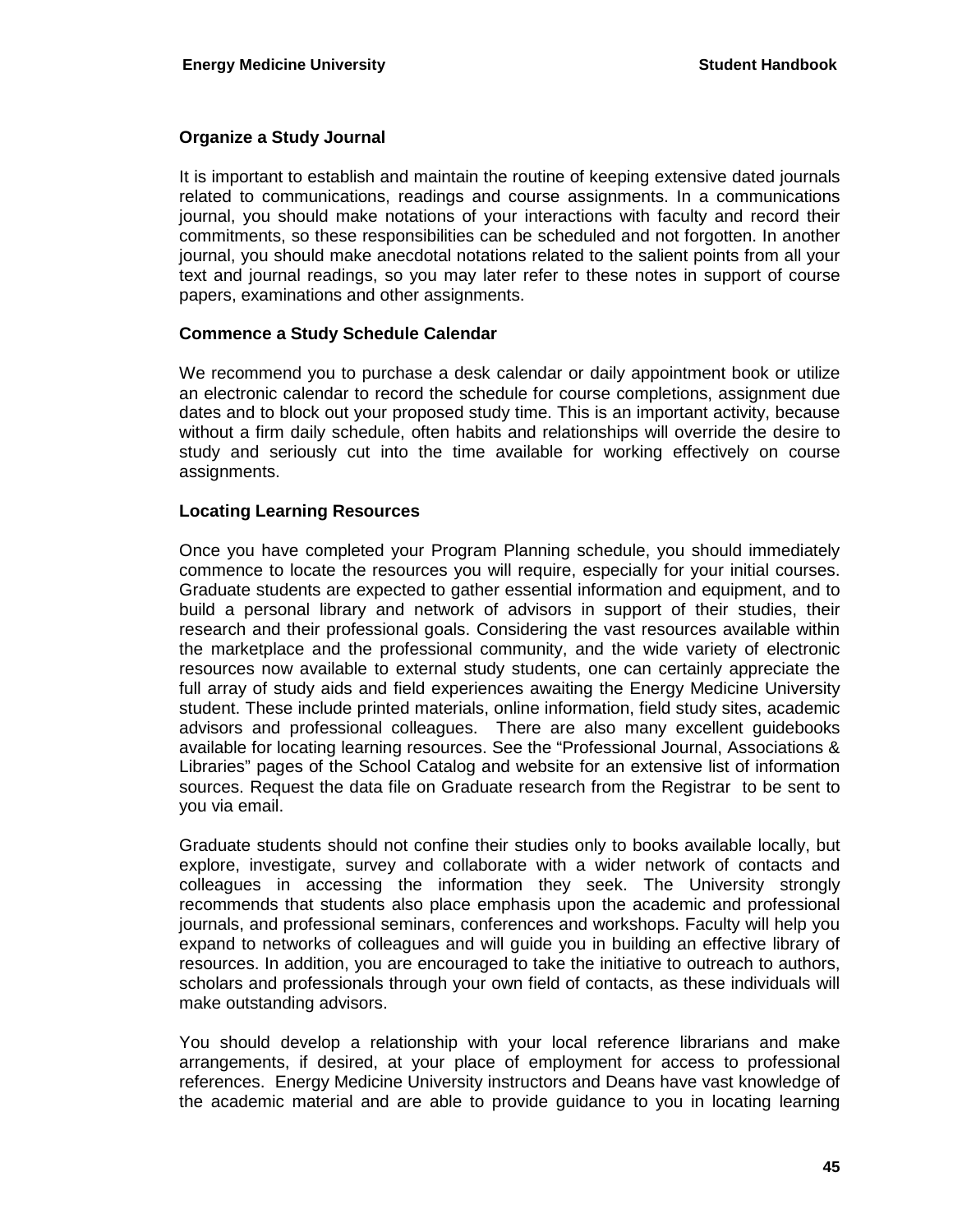#### **Organize a Study Journal**

It is important to establish and maintain the routine of keeping extensive dated journals related to communications, readings and course assignments. In a communications journal, you should make notations of your interactions with faculty and record their commitments, so these responsibilities can be scheduled and not forgotten. In another journal, you should make anecdotal notations related to the salient points from all your text and journal readings, so you may later refer to these notes in support of course papers, examinations and other assignments.

#### **Commence a Study Schedule Calendar**

We recommend you to purchase a desk calendar or daily appointment book or utilize an electronic calendar to record the schedule for course completions, assignment due dates and to block out your proposed study time. This is an important activity, because without a firm daily schedule, often habits and relationships will override the desire to study and seriously cut into the time available for working effectively on course assignments.

#### **Locating Learning Resources**

Once you have completed your Program Planning schedule, you should immediately commence to locate the resources you will require, especially for your initial courses. Graduate students are expected to gather essential information and equipment, and to build a personal library and network of advisors in support of their studies, their research and their professional goals. Considering the vast resources available within the marketplace and the professional community, and the wide variety of electronic resources now available to external study students, one can certainly appreciate the full array of study aids and field experiences awaiting the Energy Medicine University student. These include printed materials, online information, field study sites, academic advisors and professional colleagues. There are also many excellent guidebooks available for locating learning resources. See the "Professional Journal, Associations & Libraries" pages of the School Catalog and website for an extensive list of information sources. Request the data file on Graduate research from the Registrar to be sent to you via email.

Graduate students should not confine their studies only to books available locally, but explore, investigate, survey and collaborate with a wider network of contacts and colleagues in accessing the information they seek. The University strongly recommends that students also place emphasis upon the academic and professional journals, and professional seminars, conferences and workshops. Faculty will help you expand to networks of colleagues and will guide you in building an effective library of resources. In addition, you are encouraged to take the initiative to outreach to authors, scholars and professionals through your own field of contacts, as these individuals will make outstanding advisors.

You should develop a relationship with your local reference librarians and make arrangements, if desired, at your place of employment for access to professional references. Energy Medicine University instructors and Deans have vast knowledge of the academic material and are able to provide guidance to you in locating learning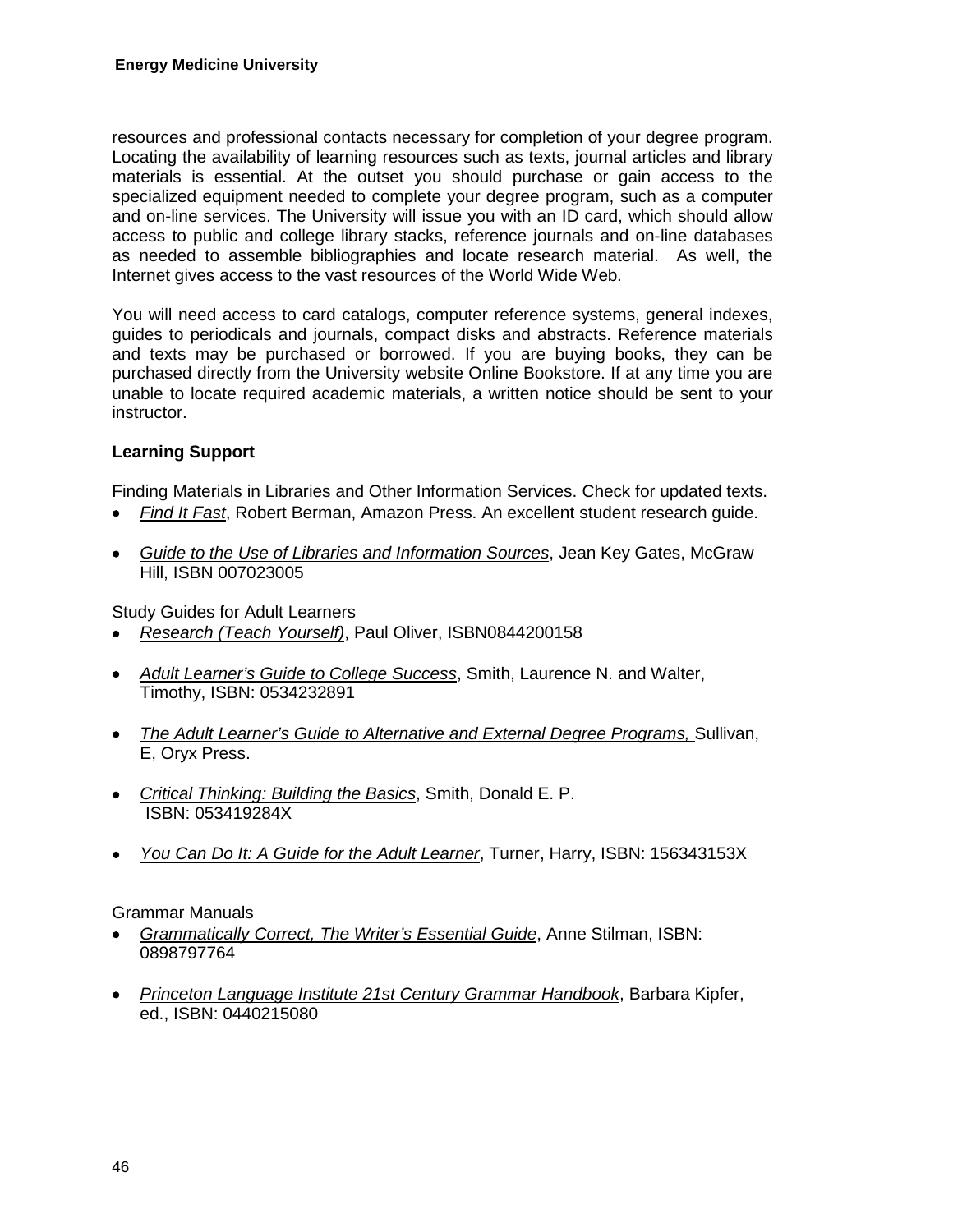resources and professional contacts necessary for completion of your degree program. Locating the availability of learning resources such as texts, journal articles and library materials is essential. At the outset you should purchase or gain access to the specialized equipment needed to complete your degree program, such as a computer and on-line services. The University will issue you with an ID card, which should allow access to public and college library stacks, reference journals and on-line databases as needed to assemble bibliographies and locate research material. As well, the Internet gives access to the vast resources of the World Wide Web.

You will need access to card catalogs, computer reference systems, general indexes, guides to periodicals and journals, compact disks and abstracts. Reference materials and texts may be purchased or borrowed. If you are buying books, they can be purchased directly from the University website Online Bookstore. If at any time you are unable to locate required academic materials, a written notice should be sent to your instructor.

## **Learning Support**

Finding Materials in Libraries and Other Information Services. Check for updated texts.

- *Find It Fast*, Robert Berman, Amazon Press. An excellent student research guide.
- *Guide to the Use of Libraries and Information Sources*, Jean Key Gates, McGraw Hill, ISBN 007023005

Study Guides for Adult Learners

- *Research (Teach Yourself)*, Paul Oliver, ISBN0844200158
- *Adult Learner's Guide to College Success*, Smith, Laurence N. and Walter, Timothy, ISBN: 0534232891
- *The Adult Learner's Guide to Alternative and External Degree Programs,* Sullivan, E, Oryx Press.
- *Critical Thinking: Building the Basics* , Smith, Donald E. P. ISBN: 053419284X
- *You Can Do It: A Guide for the Adult Learner*, Turner, Harry, ISBN: 156343153X

## Grammar Manuals

- *Grammatically Correct, The Writer's Essential Guide*, Anne Stilman, ISBN: 0898797764
- *Princeton Language Institute 21st Century Grammar Handbook*, Barbara Kipfer, ed., ISBN: 0440215080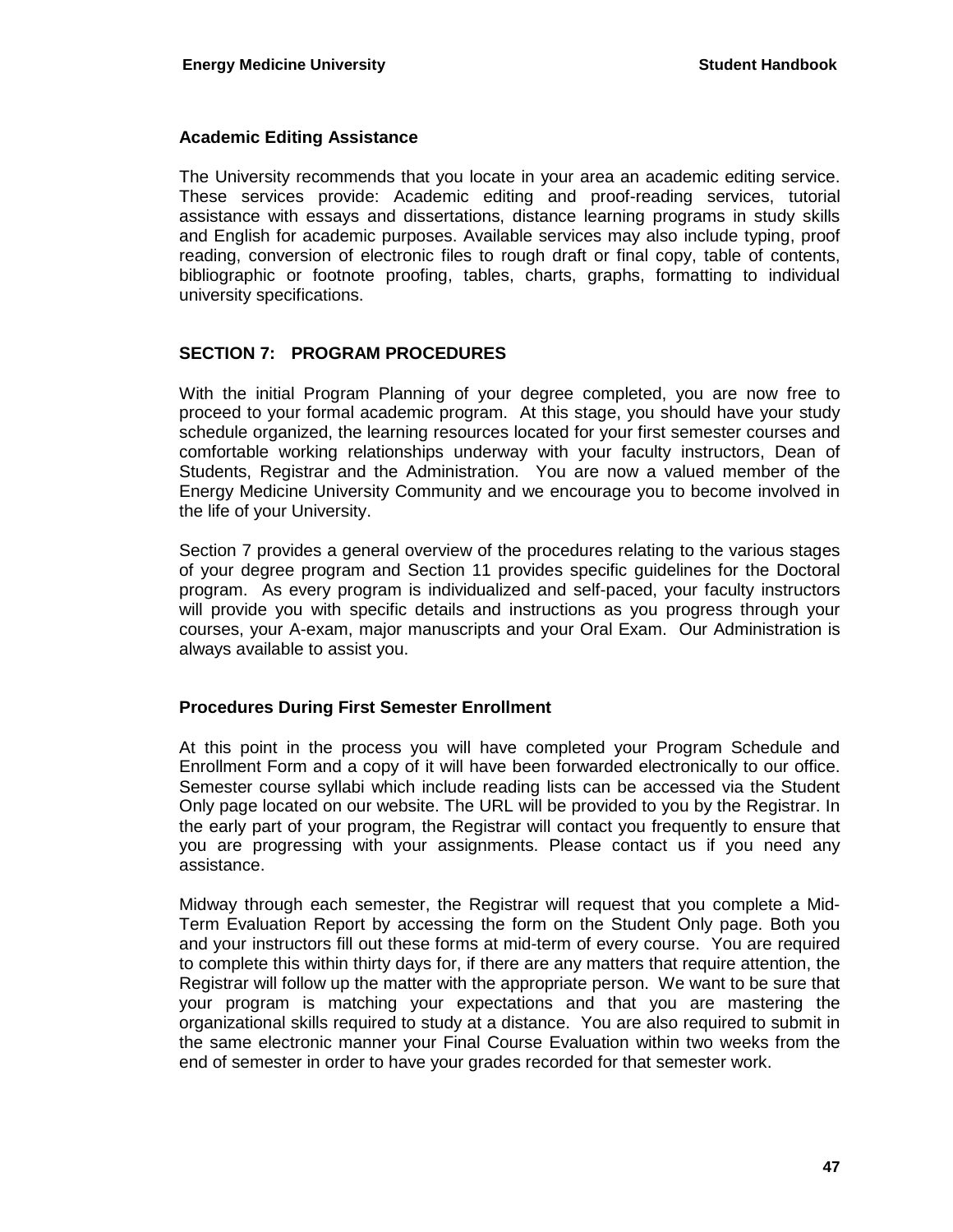#### **Academic Editing Assistance**

The University recommends that you locate in your area an academic editing service. These services provide: Academic editing and proof-reading services, tutorial assistance with essays and dissertations, distance learning programs in study skills and English for academic purposes. Available services may also include typing, proof reading, conversion of electronic files to rough draft or final copy, table of contents, bibliographic or footnote proofing, tables, charts, graphs, formatting to individual university specifications.

## **SECTION 7: PROGRAM PROCEDURES**

With the initial Program Planning of your degree completed, you are now free to proceed to your formal academic program. At this stage, you should have your study schedule organized, the learning resources located for your first semester courses and comfortable working relationships underway with your faculty instructors, Dean of Students, Registrar and the Administration. You are now a valued member of the Energy Medicine University Community and we encourage you to become involved in the life of your University.

Section 7 provides a general overview of the procedures relating to the various stages of your degree program and Section 11 provides specific guidelines for the Doctoral program. As every program is individualized and self-paced, your faculty instructors will provide you with specific details and instructions as you progress through your courses, your A-exam, major manuscripts and your Oral Exam. Our Administration is always available to assist you.

## **Procedures During First Semester Enrollment**

At this point in the process you will have completed your Program Schedule and Enrollment Form and a copy of it will have been forwarded electronically to our office. Semester course syllabi which include reading lists can be accessed via the Student Only page located on our website. The URL will be provided to you by the Registrar. In the early part of your program, the Registrar will contact you frequently to ensure that you are progressing with your assignments. Please contact us if you need any assistance.

Midway through each semester, the Registrar will request that you complete a Mid-Term Evaluation Report by accessing the form on the Student Only page. Both you and your instructors fill out these forms at mid-term of every course. You are required to complete this within thirty days for, if there are any matters that require attention, the Registrar will follow up the matter with the appropriate person. We want to be sure that your program is matching your expectations and that you are mastering the organizational skills required to study at a distance. You are also required to submit in the same electronic manner your Final Course Evaluation within two weeks from the end of semester in order to have your grades recorded for that semester work.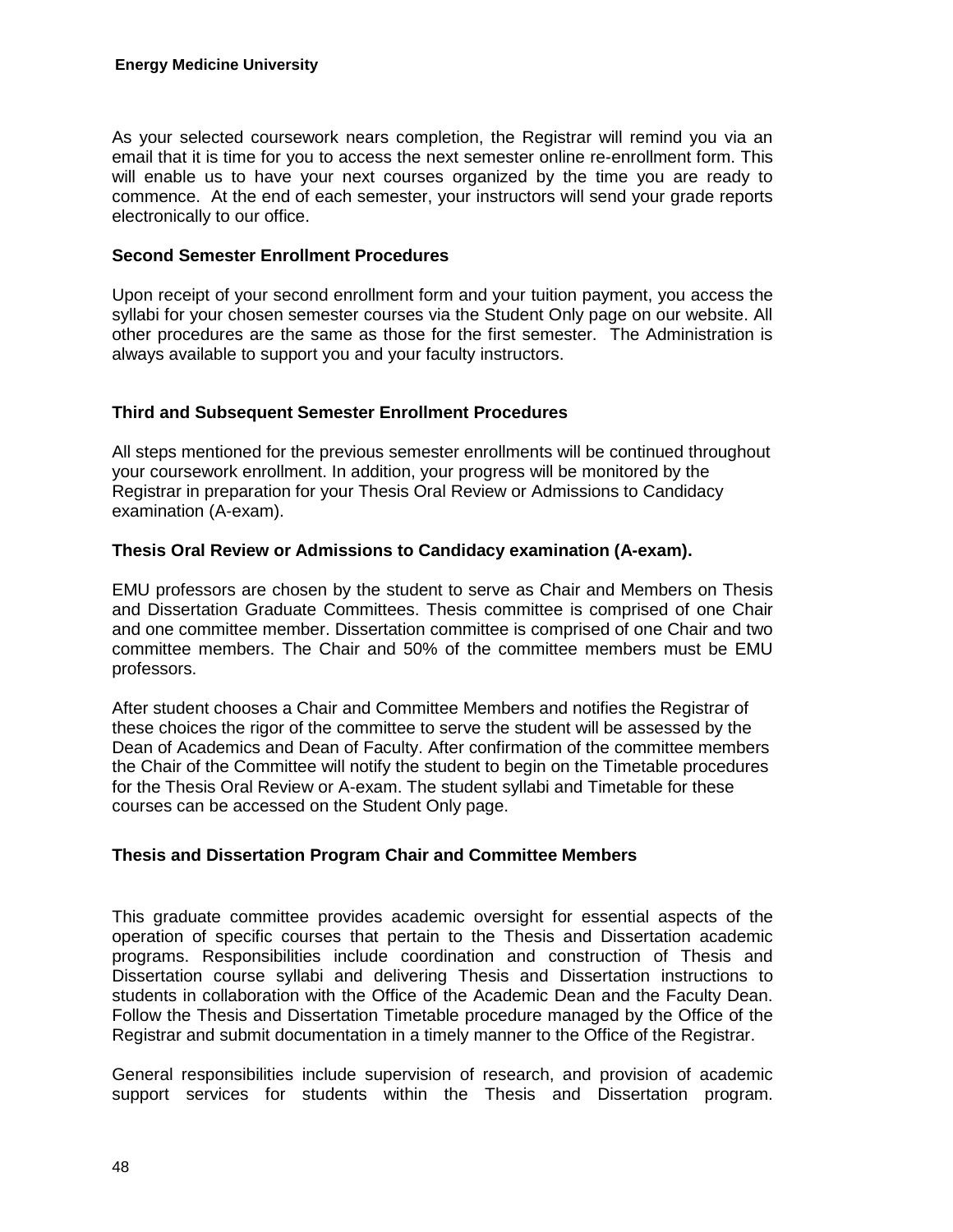As your selected coursework nears completion, the Registrar will remind you via an email that it is time for you to access the next semester online re-enrollment form. This will enable us to have your next courses organized by the time you are ready to commence. At the end of each semester, your instructors will send your grade reports electronically to our office.

#### **Second Semester Enrollment Procedures**

Upon receipt of your second enrollment form and your tuition payment, you access the syllabi for your chosen semester courses via the Student Only page on our website. All other procedures are the same as those for the first semester. The Administration is always available to support you and your faculty instructors.

#### **Third and Subsequent Semester Enrollment Procedures**

All steps mentioned for the previous semester enrollments will be continued throughout your coursework enrollment. In addition, your progress will be monitored by the Registrar in preparation for your Thesis Oral Review or Admissions to Candidacy examination (A-exam).

#### **Thesis Oral Review or Admissions to Candidacy examination (A-exam).**

EMU professors are chosen by the student to serve as Chair and Members on Thesis and Dissertation Graduate Committees. Thesis committee is comprised of one Chair and one committee member. Dissertation committee is comprised of one Chair and two committee members. The Chair and 50% of the committee members must be EMU professors.

After student chooses a Chair and Committee Members and notifies the Registrar of these choices the rigor of the committee to serve the student will be assessed by the Dean of Academics and Dean of Faculty. After confirmation of the committee members the Chair of the Committee will notify the student to begin on the Timetable procedures for the Thesis Oral Review or A-exam. The student syllabi and Timetable for these courses can be accessed on the Student Only page.

#### **Thesis and Dissertation Program Chair and Committee Members**

This graduate committee provides academic oversight for essential aspects of the operation of specific courses that pertain to the Thesis and Dissertation academic programs. Responsibilities include coordination and construction of Thesis and Dissertation course syllabi and delivering Thesis and Dissertation instructions to students in collaboration with the Office of the Academic Dean and the Faculty Dean. Follow the Thesis and Dissertation Timetable procedure managed by the Office of the Registrar and submit documentation in a timely manner to the Office of the Registrar.

General responsibilities include supervision of research, and provision of academic support services for students within the Thesis and Dissertation program.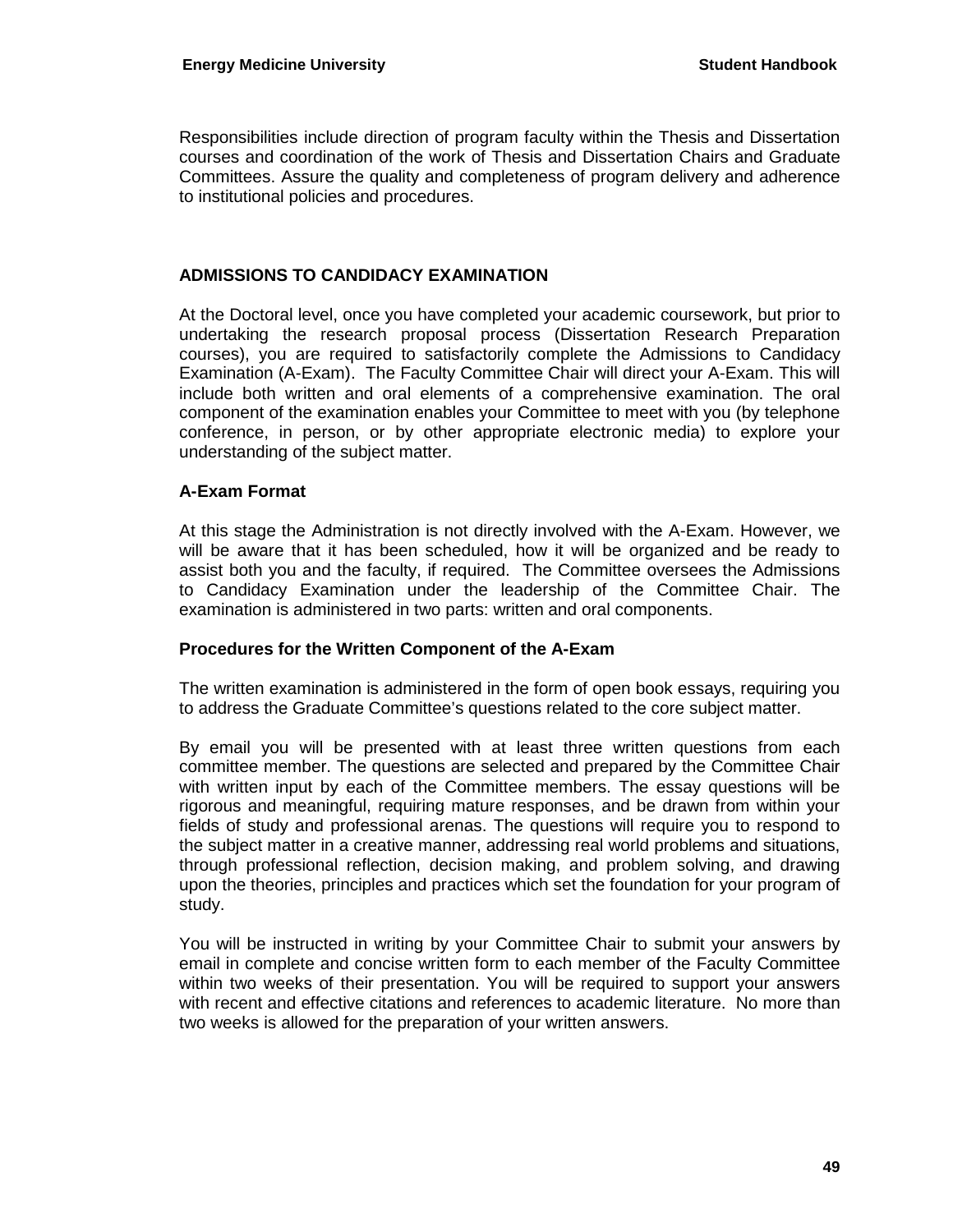Responsibilities include direction of program faculty within the Thesis and Dissertation courses and coordination of the work of Thesis and Dissertation Chairs and Graduate Committees. Assure the quality and completeness of program delivery and adherence to institutional policies and procedures.

#### **ADMISSIONS TO CANDIDACY EXAMINATION**

At the Doctoral level, once you have completed your academic coursework, but prior to undertaking the research proposal process (Dissertation Research Preparation courses), you are required to satisfactorily complete the Admissions to Candidacy Examination (A-Exam). The Faculty Committee Chair will direct your A-Exam. This will include both written and oral elements of a comprehensive examination. The oral component of the examination enables your Committee to meet with you (by telephone conference, in person, or by other appropriate electronic media) to explore your understanding of the subject matter.

#### **A-Exam Format**

At this stage the Administration is not directly involved with the A-Exam. However, we will be aware that it has been scheduled, how it will be organized and be ready to assist both you and the faculty, if required. The Committee oversees the Admissions to Candidacy Examination under the leadership of the Committee Chair. The examination is administered in two parts: written and oral components.

#### **Procedures for the Written Component of the A-Exam**

The written examination is administered in the form of open book essays, requiring you to address the Graduate Committee's questions related to the core subject matter.

By email you will be presented with at least three written questions from each committee member. The questions are selected and prepared by the Committee Chair with written input by each of the Committee members. The essay questions will be rigorous and meaningful, requiring mature responses, and be drawn from within your fields of study and professional arenas. The questions will require you to respond to the subject matter in a creative manner, addressing real world problems and situations, through professional reflection, decision making, and problem solving, and drawing upon the theories, principles and practices which set the foundation for your program of study.

You will be instructed in writing by your Committee Chair to submit your answers by email in complete and concise written form to each member of the Faculty Committee within two weeks of their presentation. You will be required to support your answers with recent and effective citations and references to academic literature. No more than two weeks is allowed for the preparation of your written answers.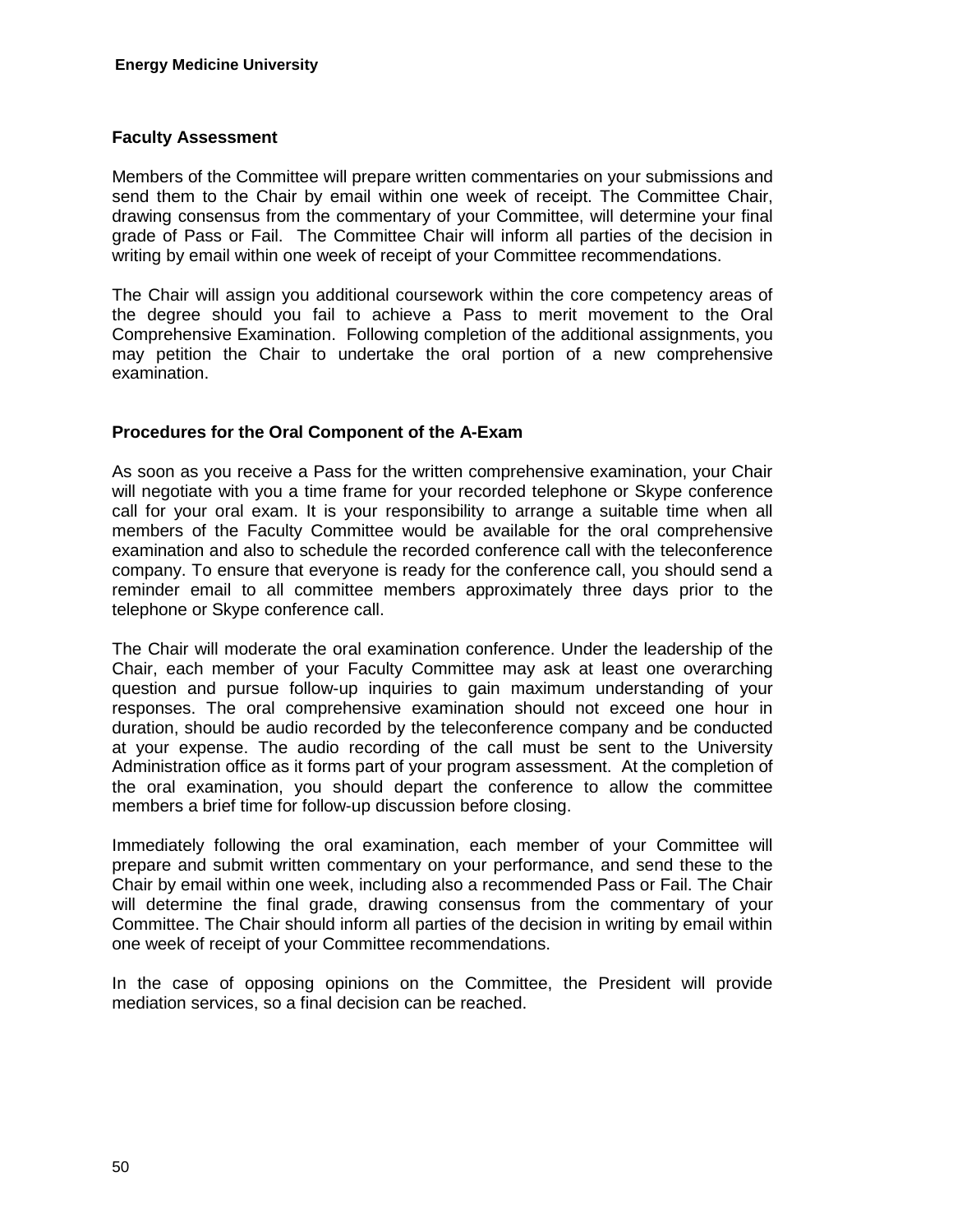#### **Faculty Assessment**

Members of the Committee will prepare written commentaries on your submissions and send them to the Chair by email within one week of receipt. The Committee Chair, drawing consensus from the commentary of your Committee, will determine your final grade of Pass or Fail. The Committee Chair will inform all parties of the decision in writing by email within one week of receipt of your Committee recommendations.

The Chair will assign you additional coursework within the core competency areas of the degree should you fail to achieve a Pass to merit movement to the Oral Comprehensive Examination. Following completion of the additional assignments, you may petition the Chair to undertake the oral portion of a new comprehensive examination.

## **Procedures for the Oral Component of the A-Exam**

As soon as you receive a Pass for the written comprehensive examination, your Chair will negotiate with you a time frame for your recorded telephone or Skype conference call for your oral exam. It is your responsibility to arrange a suitable time when all members of the Faculty Committee would be available for the oral comprehensive examination and also to schedule the recorded conference call with the teleconference company. To ensure that everyone is ready for the conference call, you should send a reminder email to all committee members approximately three days prior to the telephone or Skype conference call.

The Chair will moderate the oral examination conference. Under the leadership of the Chair, each member of your Faculty Committee may ask at least one overarching question and pursue follow-up inquiries to gain maximum understanding of your responses. The oral comprehensive examination should not exceed one hour in duration, should be audio recorded by the teleconference company and be conducted at your expense. The audio recording of the call must be sent to the University Administration office as it forms part of your program assessment. At the completion of the oral examination, you should depart the conference to allow the committee members a brief time for follow-up discussion before closing.

Immediately following the oral examination, each member of your Committee will prepare and submit written commentary on your performance, and send these to the Chair by email within one week, including also a recommended Pass or Fail. The Chair will determine the final grade, drawing consensus from the commentary of your Committee. The Chair should inform all parties of the decision in writing by email within one week of receipt of your Committee recommendations.

In the case of opposing opinions on the Committee, the President will provide mediation services, so a final decision can be reached.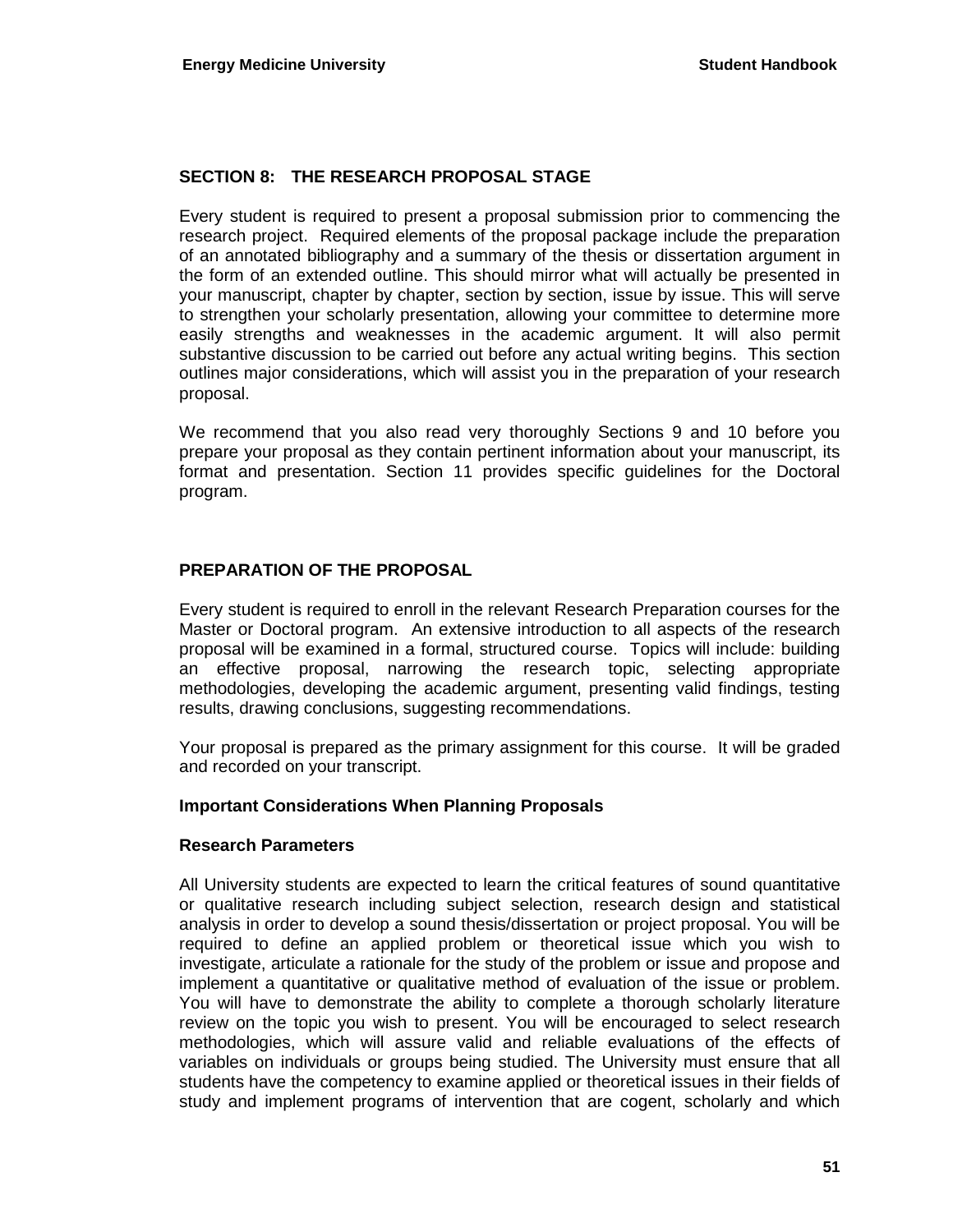## **SECTION 8: THE RESEARCH PROPOSAL STAGE**

Every student is required to present a proposal submission prior to commencing the research project. Required elements of the proposal package include the preparation of an annotated bibliography and a summary of the thesis or dissertation argument in the form of an extended outline. This should mirror what will actually be presented in your manuscript, chapter by chapter, section by section, issue by issue. This will serve to strengthen your scholarly presentation, allowing your committee to determine more easily strengths and weaknesses in the academic argument. It will also permit substantive discussion to be carried out before any actual writing begins. This section outlines major considerations, which will assist you in the preparation of your research proposal.

We recommend that you also read very thoroughly Sections 9 and 10 before you prepare your proposal as they contain pertinent information about your manuscript, its format and presentation. Section 11 provides specific guidelines for the Doctoral program.

#### **PREPARATION OF THE PROPOSAL**

Every student is required to enroll in the relevant Research Preparation courses for the Master or Doctoral program. An extensive introduction to all aspects of the research proposal will be examined in a formal, structured course. Topics will include: building an effective proposal, narrowing the research topic, selecting appropriate methodologies, developing the academic argument, presenting valid findings, testing results, drawing conclusions, suggesting recommendations.

Your proposal is prepared as the primary assignment for this course. It will be graded and recorded on your transcript.

#### **Important Considerations When Planning Proposals**

#### **Research Parameters**

All University students are expected to learn the critical features of sound quantitative or qualitative research including subject selection, research design and statistical analysis in order to develop a sound thesis/dissertation or project proposal. You will be required to define an applied problem or theoretical issue which you wish to investigate, articulate a rationale for the study of the problem or issue and propose and implement a quantitative or qualitative method of evaluation of the issue or problem. You will have to demonstrate the ability to complete a thorough scholarly literature review on the topic you wish to present. You will be encouraged to select research methodologies, which will assure valid and reliable evaluations of the effects of variables on individuals or groups being studied. The University must ensure that all students have the competency to examine applied or theoretical issues in their fields of study and implement programs of intervention that are cogent, scholarly and which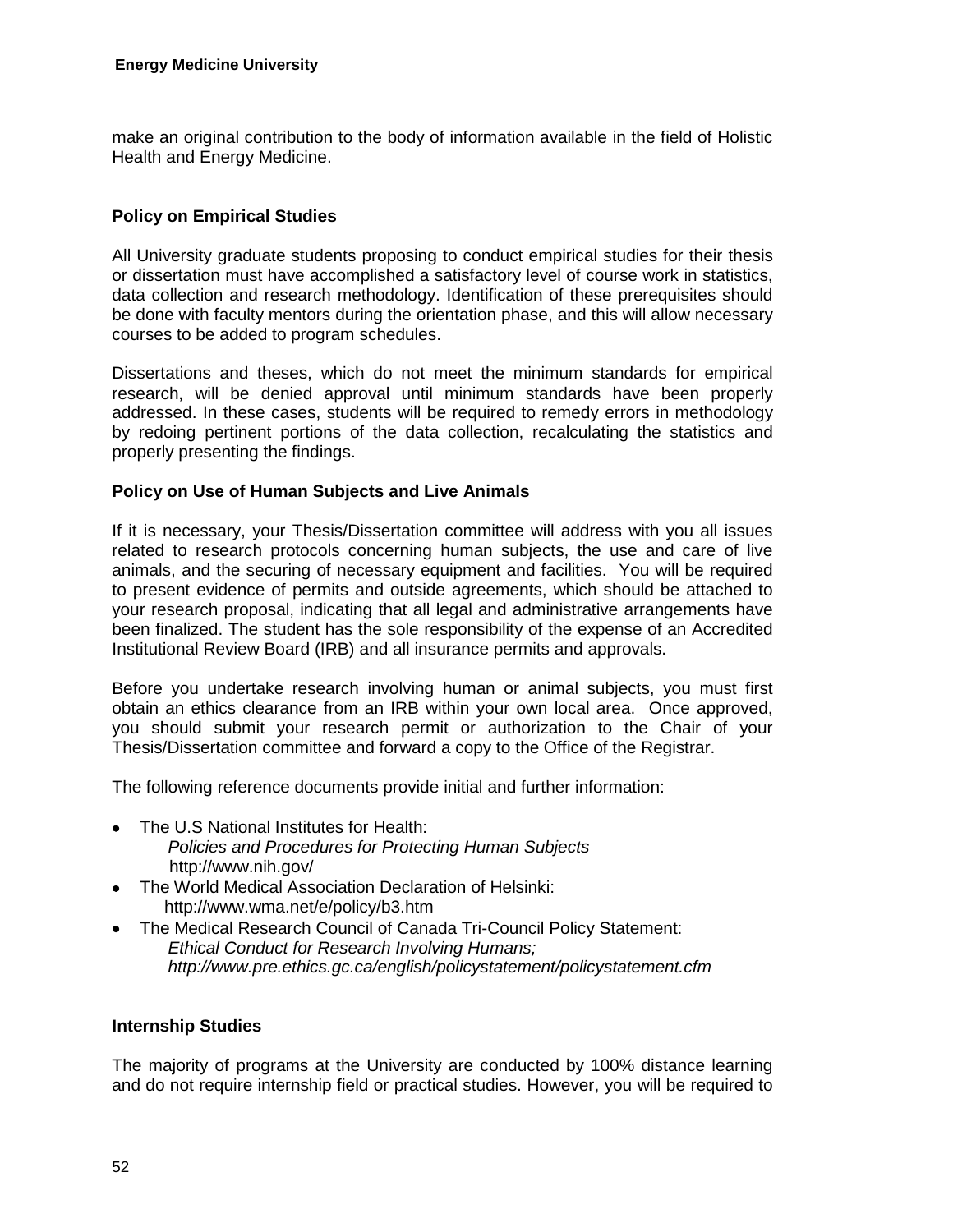make an original contribution to the body of information available in the field of Holistic Health and Energy Medicine.

## **Policy on Empirical Studies**

All University graduate students proposing to conduct empirical studies for their thesis or dissertation must have accomplished a satisfactory level of course work in statistics, data collection and research methodology. Identification of these prerequisites should be done with faculty mentors during the orientation phase, and this will allow necessary courses to be added to program schedules.

Dissertations and theses, which do not meet the minimum standards for empirical research, will be denied approval until minimum standards have been properly addressed. In these cases, students will be required to remedy errors in methodology by redoing pertinent portions of the data collection, recalculating the statistics and properly presenting the findings.

## **Policy on Use of Human Subjects and Live Animals**

If it is necessary, your Thesis/Dissertation committee will address with you all issues related to research protocols concerning human subjects, the use and care of live animals, and the securing of necessary equipment and facilities. You will be required to present evidence of permits and outside agreements, which should be attached to your research proposal, indicating that all legal and administrative arrangements have been finalized. The student has the sole responsibility of the expense of an Accredited Institutional Review Board (IRB) and all insurance permits and approvals.

Before you undertake research involving human or animal subjects, you must first obtain an ethics clearance from an IRB within your own local area. Once approved, you should submit your research permit or authorization to the Chair of your Thesis/Dissertation committee and forward a copy to the Office of the Registrar.

The following reference documents provide initial and further information:

- The U.S National Institutes for Health: *Policies and Procedures for Protecting Human Subjects* http://www.nih.gov/
- The World Medical Association Declaration of Helsinki: http://www.wma.net/e/policy/b3.htm
- The Medical Research Council of Canada Tri-Council Policy Statement: *Ethical Conduct for Research Involving Humans; http://www.pre.ethics.gc.ca/english/policystatement/policystatement.cfm*

## **Internship Studies**

The majority of programs at the University are conducted by 100% distance learning and do not require internship field or practical studies. However, you will be required to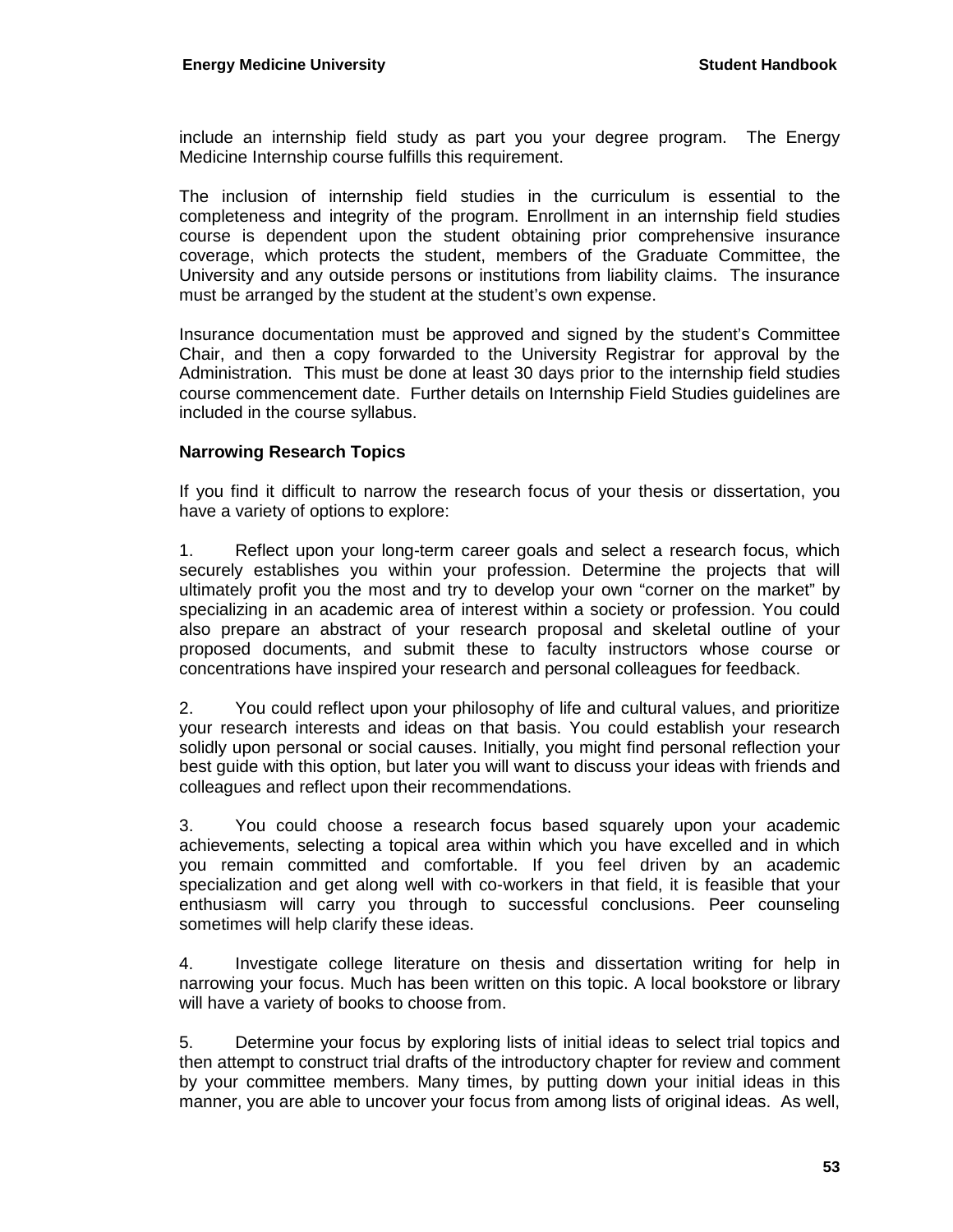include an internship field study as part you your degree program. The Energy Medicine Internship course fulfills this requirement.

The inclusion of internship field studies in the curriculum is essential to the completeness and integrity of the program. Enrollment in an internship field studies course is dependent upon the student obtaining prior comprehensive insurance coverage, which protects the student, members of the Graduate Committee, the University and any outside persons or institutions from liability claims. The insurance must be arranged by the student at the student's own expense.

Insurance documentation must be approved and signed by the student's Committee Chair, and then a copy forwarded to the University Registrar for approval by the Administration. This must be done at least 30 days prior to the internship field studies course commencement date. Further details on Internship Field Studies guidelines are included in the course syllabus.

## **Narrowing Research Topics**

If you find it difficult to narrow the research focus of your thesis or dissertation, you have a variety of options to explore:

1. Reflect upon your long-term career goals and select a research focus, which securely establishes you within your profession. Determine the projects that will ultimately profit you the most and try to develop your own "corner on the market" by specializing in an academic area of interest within a society or profession. You could also prepare an abstract of your research proposal and skeletal outline of your proposed documents, and submit these to faculty instructors whose course or concentrations have inspired your research and personal colleagues for feedback.

2. You could reflect upon your philosophy of life and cultural values, and prioritize your research interests and ideas on that basis. You could establish your research solidly upon personal or social causes. Initially, you might find personal reflection your best guide with this option, but later you will want to discuss your ideas with friends and colleagues and reflect upon their recommendations.

3. You could choose a research focus based squarely upon your academic achievements, selecting a topical area within which you have excelled and in which you remain committed and comfortable. If you feel driven by an academic specialization and get along well with co-workers in that field, it is feasible that your enthusiasm will carry you through to successful conclusions. Peer counseling sometimes will help clarify these ideas.

4. Investigate college literature on thesis and dissertation writing for help in narrowing your focus. Much has been written on this topic. A local bookstore or library will have a variety of books to choose from.

5. Determine your focus by exploring lists of initial ideas to select trial topics and then attempt to construct trial drafts of the introductory chapter for review and comment by your committee members. Many times, by putting down your initial ideas in this manner, you are able to uncover your focus from among lists of original ideas. As well,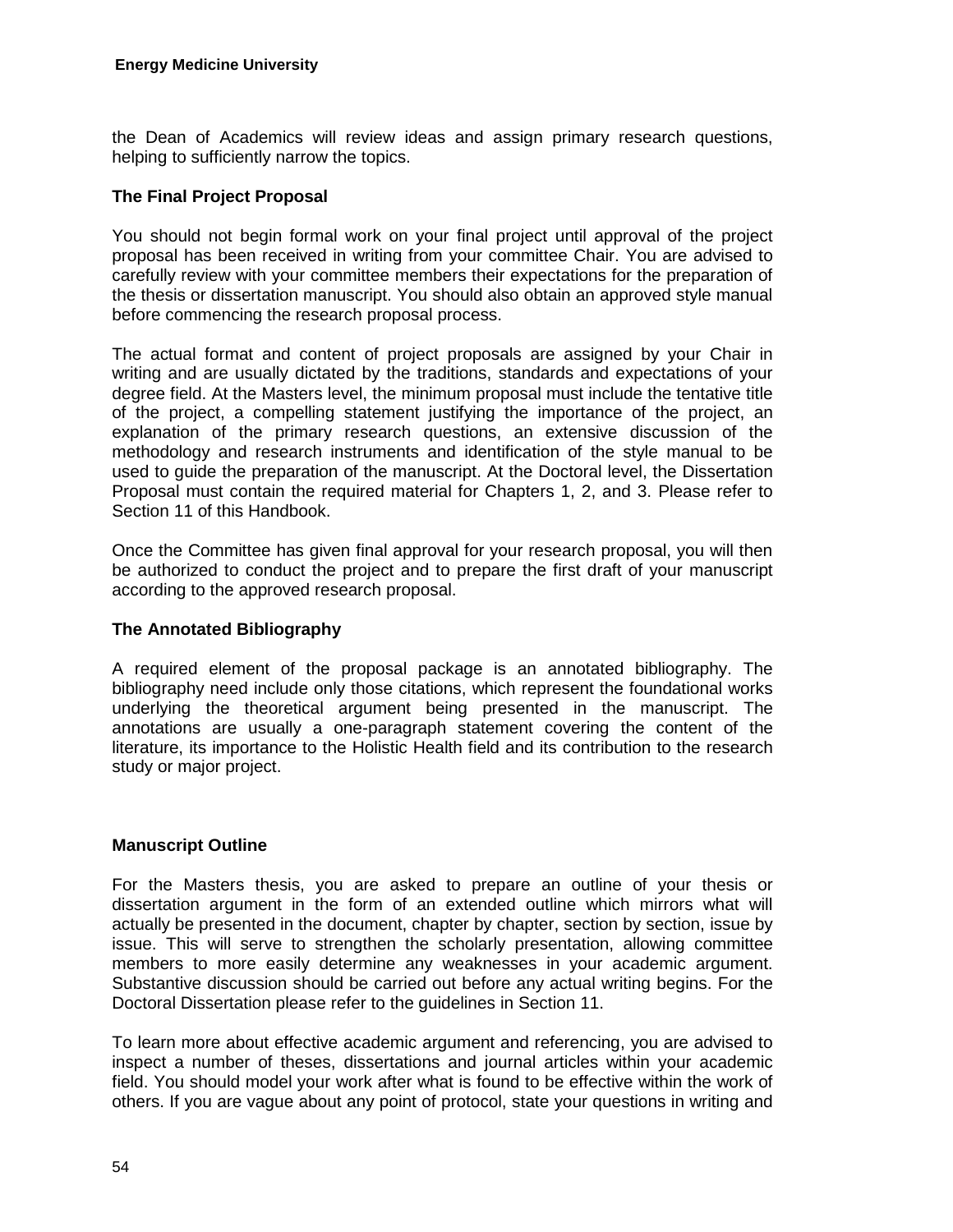the Dean of Academics will review ideas and assign primary research questions, helping to sufficiently narrow the topics.

#### **The Final Project Proposal**

You should not begin formal work on your final project until approval of the project proposal has been received in writing from your committee Chair. You are advised to carefully review with your committee members their expectations for the preparation of the thesis or dissertation manuscript. You should also obtain an approved style manual before commencing the research proposal process.

The actual format and content of project proposals are assigned by your Chair in writing and are usually dictated by the traditions, standards and expectations of your degree field. At the Masters level, the minimum proposal must include the tentative title of the project, a compelling statement justifying the importance of the project, an explanation of the primary research questions, an extensive discussion of the methodology and research instruments and identification of the style manual to be used to guide the preparation of the manuscript. At the Doctoral level, the Dissertation Proposal must contain the required material for Chapters 1, 2, and 3. Please refer to Section 11 of this Handbook.

Once the Committee has given final approval for your research proposal, you will then be authorized to conduct the project and to prepare the first draft of your manuscript according to the approved research proposal.

#### **The Annotated Bibliography**

A required element of the proposal package is an annotated bibliography. The bibliography need include only those citations, which represent the foundational works underlying the theoretical argument being presented in the manuscript. The annotations are usually a one-paragraph statement covering the content of the literature, its importance to the Holistic Health field and its contribution to the research study or major project.

#### **Manuscript Outline**

For the Masters thesis, you are asked to prepare an outline of your thesis or dissertation argument in the form of an extended outline which mirrors what will actually be presented in the document, chapter by chapter, section by section, issue by issue. This will serve to strengthen the scholarly presentation, allowing committee members to more easily determine any weaknesses in your academic argument. Substantive discussion should be carried out before any actual writing begins. For the Doctoral Dissertation please refer to the guidelines in Section 11.

To learn more about effective academic argument and referencing, you are advised to inspect a number of theses, dissertations and journal articles within your academic field. You should model your work after what is found to be effective within the work of others. If you are vague about any point of protocol, state your questions in writing and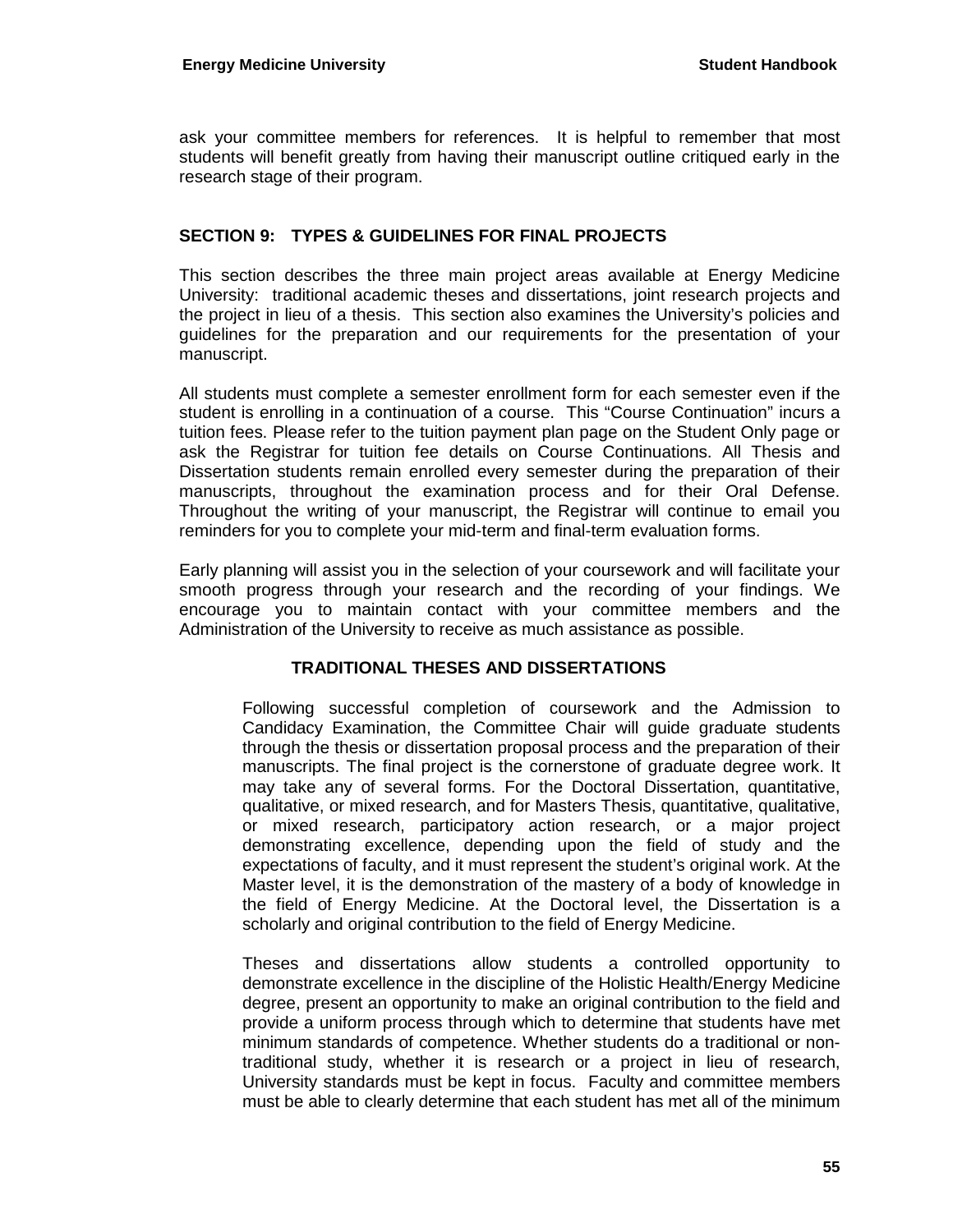ask your committee members for references. It is helpful to remember that most students will benefit greatly from having their manuscript outline critiqued early in the research stage of their program.

## **SECTION 9: TYPES & GUIDELINES FOR FINAL PROJECTS**

This section describes the three main project areas available at Energy Medicine University: traditional academic theses and dissertations, joint research projects and the project in lieu of a thesis. This section also examines the University's policies and guidelines for the preparation and our requirements for the presentation of your manuscript.

All students must complete a semester enrollment form for each semester even if the student is enrolling in a continuation of a course. This "Course Continuation" incurs a tuition fees. Please refer to the tuition payment plan page on the Student Only page or ask the Registrar for tuition fee details on Course Continuations. All Thesis and Dissertation students remain enrolled every semester during the preparation of their manuscripts, throughout the examination process and for their Oral Defense. Throughout the writing of your manuscript, the Registrar will continue to email you reminders for you to complete your mid-term and final-term evaluation forms.

Early planning will assist you in the selection of your coursework and will facilitate your smooth progress through your research and the recording of your findings. We encourage you to maintain contact with your committee members and the Administration of the University to receive as much assistance as possible.

## **TRADITIONAL THESES AND DISSERTATIONS**

Following successful completion of coursework and the Admission to Candidacy Examination, the Committee Chair will guide graduate students through the thesis or dissertation proposal process and the preparation of their manuscripts. The final project is the cornerstone of graduate degree work. It may take any of several forms. For the Doctoral Dissertation, quantitative, qualitative, or mixed research, and for Masters Thesis, quantitative, qualitative, or mixed research, participatory action research, or a major project demonstrating excellence, depending upon the field of study and the expectations of faculty, and it must represent the student's original work. At the Master level, it is the demonstration of the mastery of a body of knowledge in the field of Energy Medicine. At the Doctoral level, the Dissertation is a scholarly and original contribution to the field of Energy Medicine.

Theses and dissertations allow students a controlled opportunity to demonstrate excellence in the discipline of the Holistic Health/Energy Medicine degree, present an opportunity to make an original contribution to the field and provide a uniform process through which to determine that students have met minimum standards of competence. Whether students do a traditional or nontraditional study, whether it is research or a project in lieu of research, University standards must be kept in focus. Faculty and committee members must be able to clearly determine that each student has met all of the minimum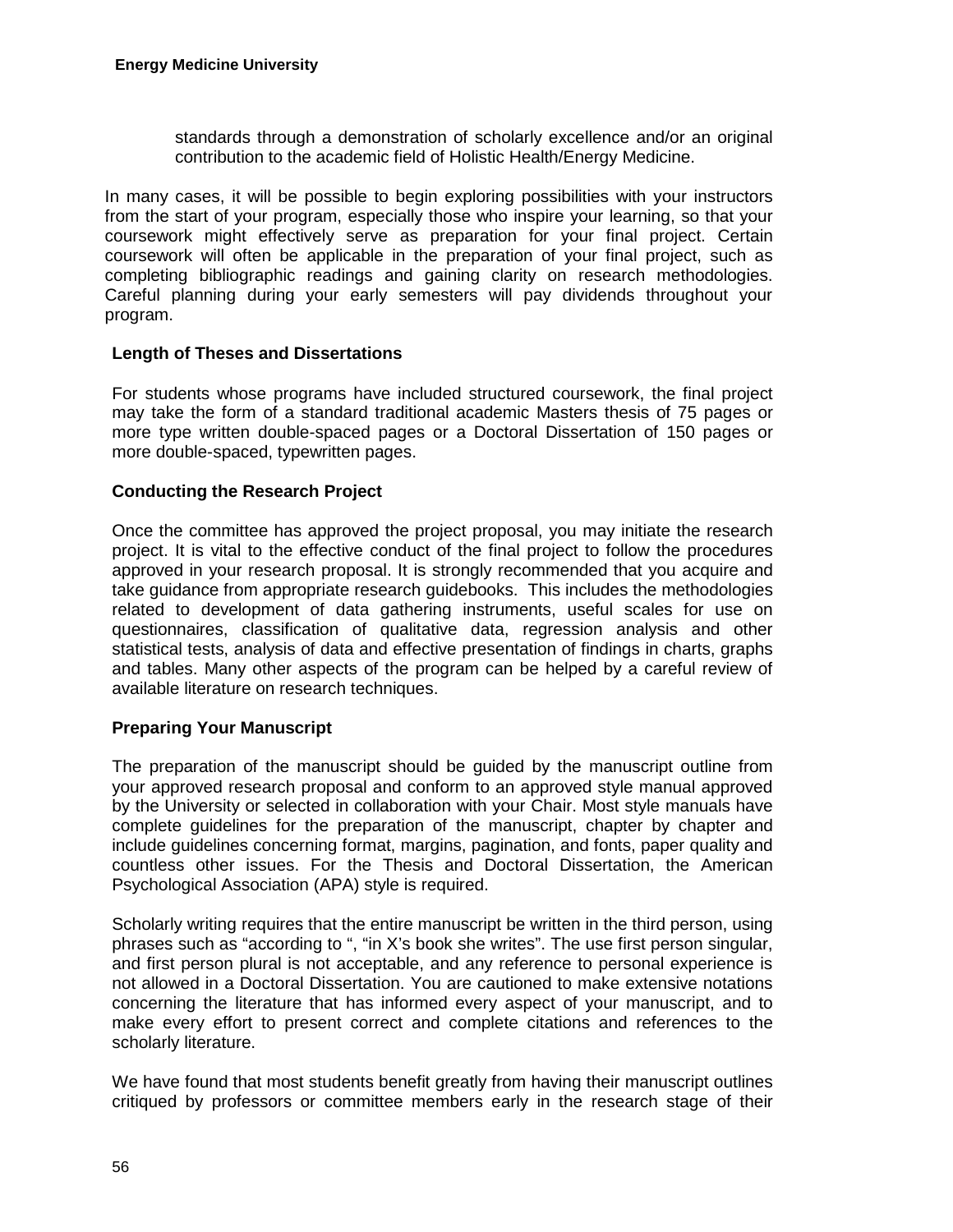standards through a demonstration of scholarly excellence and/or an original contribution to the academic field of Holistic Health/Energy Medicine.

In many cases, it will be possible to begin exploring possibilities with your instructors from the start of your program, especially those who inspire your learning, so that your coursework might effectively serve as preparation for your final project. Certain coursework will often be applicable in the preparation of your final project, such as completing bibliographic readings and gaining clarity on research methodologies. Careful planning during your early semesters will pay dividends throughout your program.

## **Length of Theses and Dissertations**

For students whose programs have included structured coursework, the final project may take the form of a standard traditional academic Masters thesis of 75 pages or more type written double-spaced pages or a Doctoral Dissertation of 150 pages or more double-spaced, typewritten pages.

## **Conducting the Research Project**

Once the committee has approved the project proposal, you may initiate the research project. It is vital to the effective conduct of the final project to follow the procedures approved in your research proposal. It is strongly recommended that you acquire and take guidance from appropriate research guidebooks. This includes the methodologies related to development of data gathering instruments, useful scales for use on questionnaires, classification of qualitative data, regression analysis and other statistical tests, analysis of data and effective presentation of findings in charts, graphs and tables. Many other aspects of the program can be helped by a careful review of available literature on research techniques.

## **Preparing Your Manuscript**

The preparation of the manuscript should be guided by the manuscript outline from your approved research proposal and conform to an approved style manual approved by the University or selected in collaboration with your Chair. Most style manuals have complete guidelines for the preparation of the manuscript, chapter by chapter and include guidelines concerning format, margins, pagination, and fonts, paper quality and countless other issues. For the Thesis and Doctoral Dissertation, the American Psychological Association (APA) style is required.

Scholarly writing requires that the entire manuscript be written in the third person, using phrases such as "according to ", "in X's book she writes". The use first person singular, and first person plural is not acceptable, and any reference to personal experience is not allowed in a Doctoral Dissertation. You are cautioned to make extensive notations concerning the literature that has informed every aspect of your manuscript, and to make every effort to present correct and complete citations and references to the scholarly literature.

We have found that most students benefit greatly from having their manuscript outlines critiqued by professors or committee members early in the research stage of their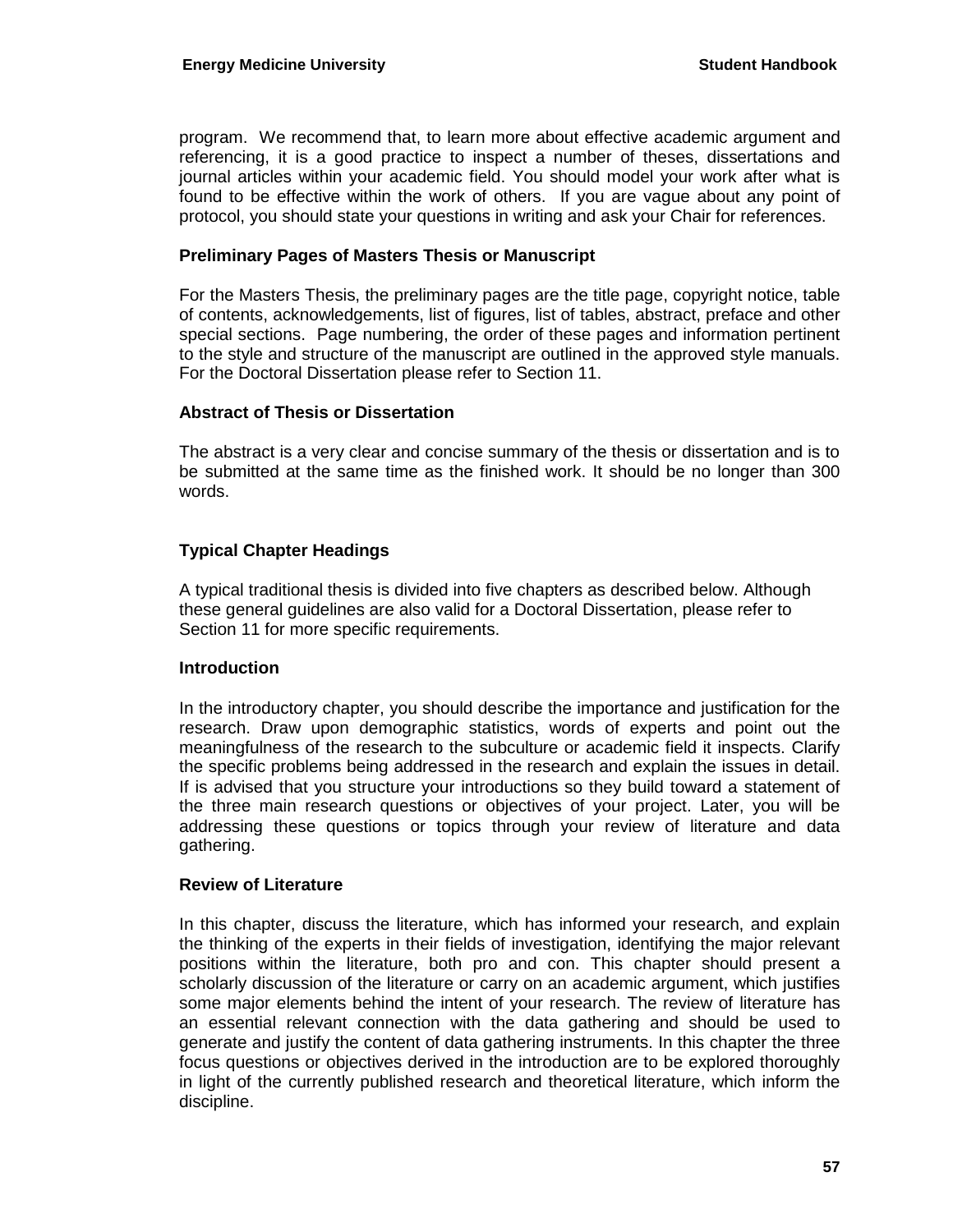program. We recommend that, to learn more about effective academic argument and referencing, it is a good practice to inspect a number of theses, dissertations and journal articles within your academic field. You should model your work after what is found to be effective within the work of others. If you are vague about any point of protocol, you should state your questions in writing and ask your Chair for references.

## **Preliminary Pages of Masters Thesis or Manuscript**

For the Masters Thesis, the preliminary pages are the title page, copyright notice, table of contents, acknowledgements, list of figures, list of tables, abstract, preface and other special sections. Page numbering, the order of these pages and information pertinent to the style and structure of the manuscript are outlined in the approved style manuals. For the Doctoral Dissertation please refer to Section 11.

## **Abstract of Thesis or Dissertation**

The abstract is a very clear and concise summary of the thesis or dissertation and is to be submitted at the same time as the finished work. It should be no longer than 300 words.

## **Typical Chapter Headings**

A typical traditional thesis is divided into five chapters as described below. Although these general guidelines are also valid for a Doctoral Dissertation, please refer to Section 11 for more specific requirements.

## **Introduction**

In the introductory chapter, you should describe the importance and justification for the research. Draw upon demographic statistics, words of experts and point out the meaningfulness of the research to the subculture or academic field it inspects. Clarify the specific problems being addressed in the research and explain the issues in detail. If is advised that you structure your introductions so they build toward a statement of the three main research questions or objectives of your project. Later, you will be addressing these questions or topics through your review of literature and data gathering.

#### **Review of Literature**

In this chapter, discuss the literature, which has informed your research, and explain the thinking of the experts in their fields of investigation, identifying the major relevant positions within the literature, both pro and con. This chapter should present a scholarly discussion of the literature or carry on an academic argument, which justifies some major elements behind the intent of your research. The review of literature has an essential relevant connection with the data gathering and should be used to generate and justify the content of data gathering instruments. In this chapter the three focus questions or objectives derived in the introduction are to be explored thoroughly in light of the currently published research and theoretical literature, which inform the discipline.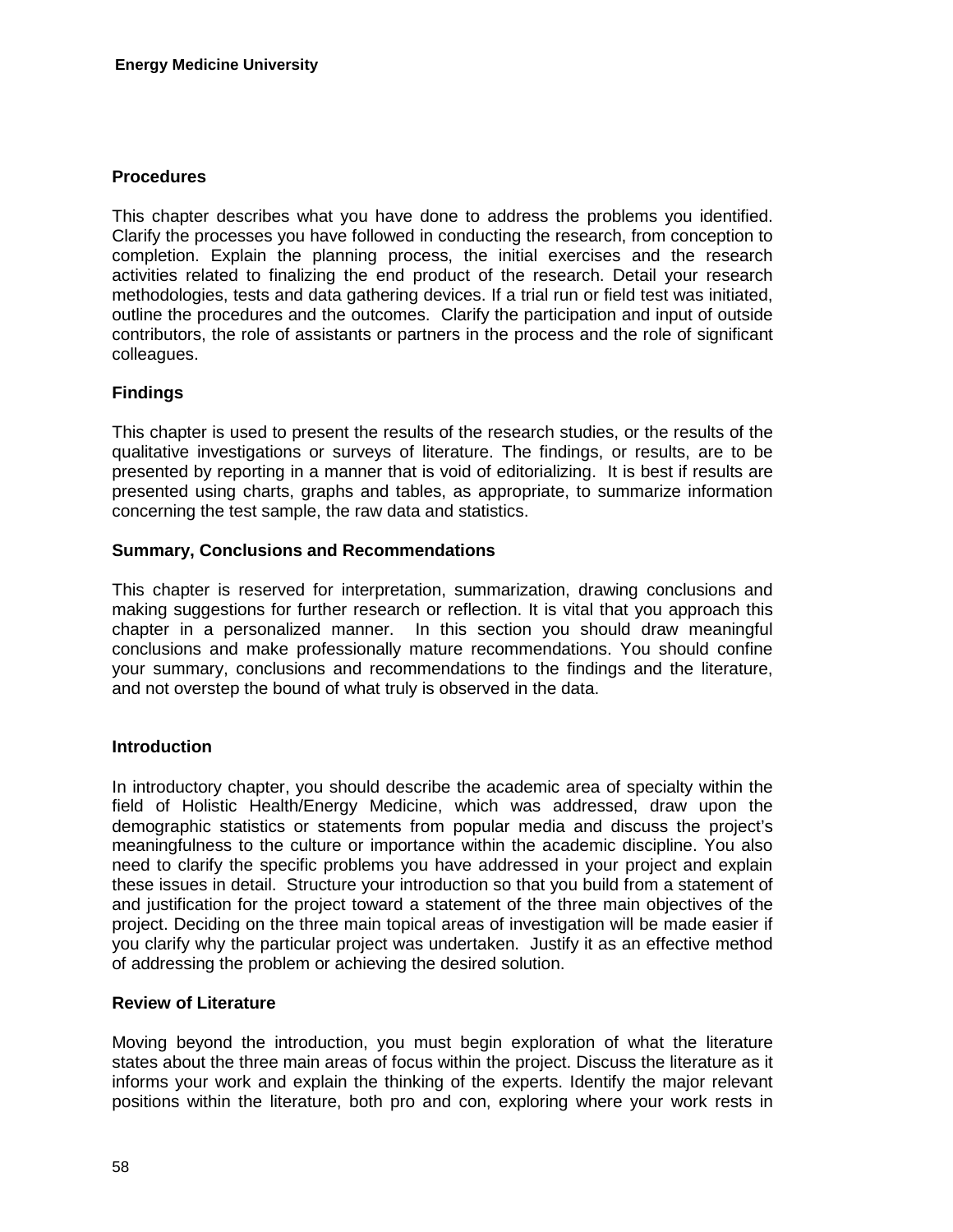## **Procedures**

This chapter describes what you have done to address the problems you identified. Clarify the processes you have followed in conducting the research, from conception to completion. Explain the planning process, the initial exercises and the research activities related to finalizing the end product of the research. Detail your research methodologies, tests and data gathering devices. If a trial run or field test was initiated, outline the procedures and the outcomes. Clarify the participation and input of outside contributors, the role of assistants or partners in the process and the role of significant colleagues.

## **Findings**

This chapter is used to present the results of the research studies, or the results of the qualitative investigations or surveys of literature. The findings, or results, are to be presented by reporting in a manner that is void of editorializing. It is best if results are presented using charts, graphs and tables, as appropriate, to summarize information concerning the test sample, the raw data and statistics.

## **Summary, Conclusions and Recommendations**

This chapter is reserved for interpretation, summarization, drawing conclusions and making suggestions for further research or reflection. It is vital that you approach this chapter in a personalized manner. In this section you should draw meaningful conclusions and make professionally mature recommendations. You should confine your summary, conclusions and recommendations to the findings and the literature, and not overstep the bound of what truly is observed in the data.

#### **Introduction**

In introductory chapter, you should describe the academic area of specialty within the field of Holistic Health/Energy Medicine, which was addressed, draw upon the demographic statistics or statements from popular media and discuss the project's meaningfulness to the culture or importance within the academic discipline. You also need to clarify the specific problems you have addressed in your project and explain these issues in detail. Structure your introduction so that you build from a statement of and justification for the project toward a statement of the three main objectives of the project. Deciding on the three main topical areas of investigation will be made easier if you clarify why the particular project was undertaken. Justify it as an effective method of addressing the problem or achieving the desired solution.

#### **Review of Literature**

Moving beyond the introduction, you must begin exploration of what the literature states about the three main areas of focus within the project. Discuss the literature as it informs your work and explain the thinking of the experts. Identify the major relevant positions within the literature, both pro and con, exploring where your work rests in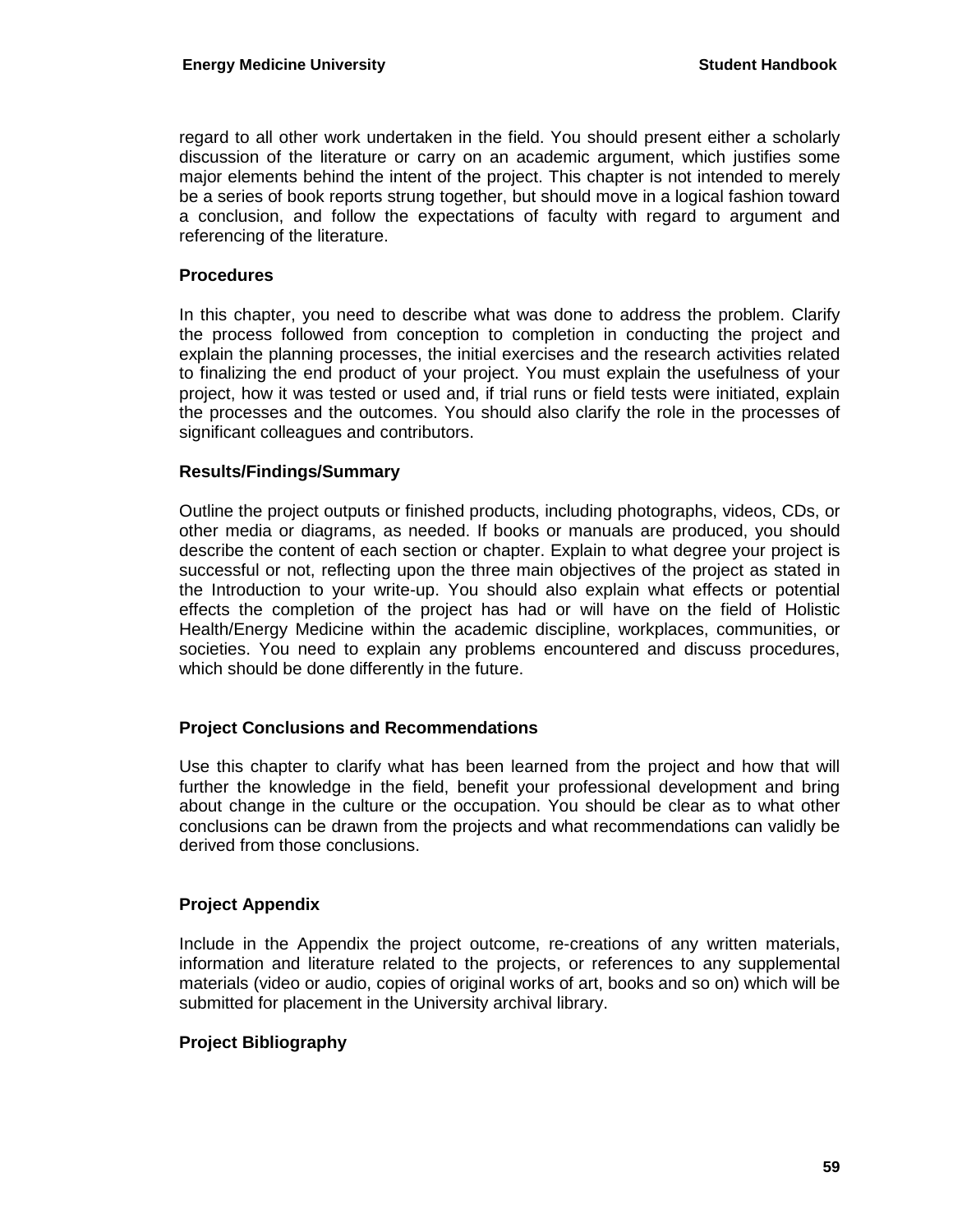regard to all other work undertaken in the field. You should present either a scholarly discussion of the literature or carry on an academic argument, which justifies some major elements behind the intent of the project. This chapter is not intended to merely be a series of book reports strung together, but should move in a logical fashion toward a conclusion, and follow the expectations of faculty with regard to argument and referencing of the literature.

#### **Procedures**

In this chapter, you need to describe what was done to address the problem. Clarify the process followed from conception to completion in conducting the project and explain the planning processes, the initial exercises and the research activities related to finalizing the end product of your project. You must explain the usefulness of your project, how it was tested or used and, if trial runs or field tests were initiated, explain the processes and the outcomes. You should also clarify the role in the processes of significant colleagues and contributors.

#### **Results/Findings/Summary**

Outline the project outputs or finished products, including photographs, videos, CDs, or other media or diagrams, as needed. If books or manuals are produced, you should describe the content of each section or chapter. Explain to what degree your project is successful or not, reflecting upon the three main objectives of the project as stated in the Introduction to your write-up. You should also explain what effects or potential effects the completion of the project has had or will have on the field of Holistic Health/Energy Medicine within the academic discipline, workplaces, communities, or societies. You need to explain any problems encountered and discuss procedures, which should be done differently in the future.

## **Project Conclusions and Recommendations**

Use this chapter to clarify what has been learned from the project and how that will further the knowledge in the field, benefit your professional development and bring about change in the culture or the occupation. You should be clear as to what other conclusions can be drawn from the projects and what recommendations can validly be derived from those conclusions.

## **Project Appendix**

Include in the Appendix the project outcome, re-creations of any written materials, information and literature related to the projects, or references to any supplemental materials (video or audio, copies of original works of art, books and so on) which will be submitted for placement in the University archival library.

## **Project Bibliography**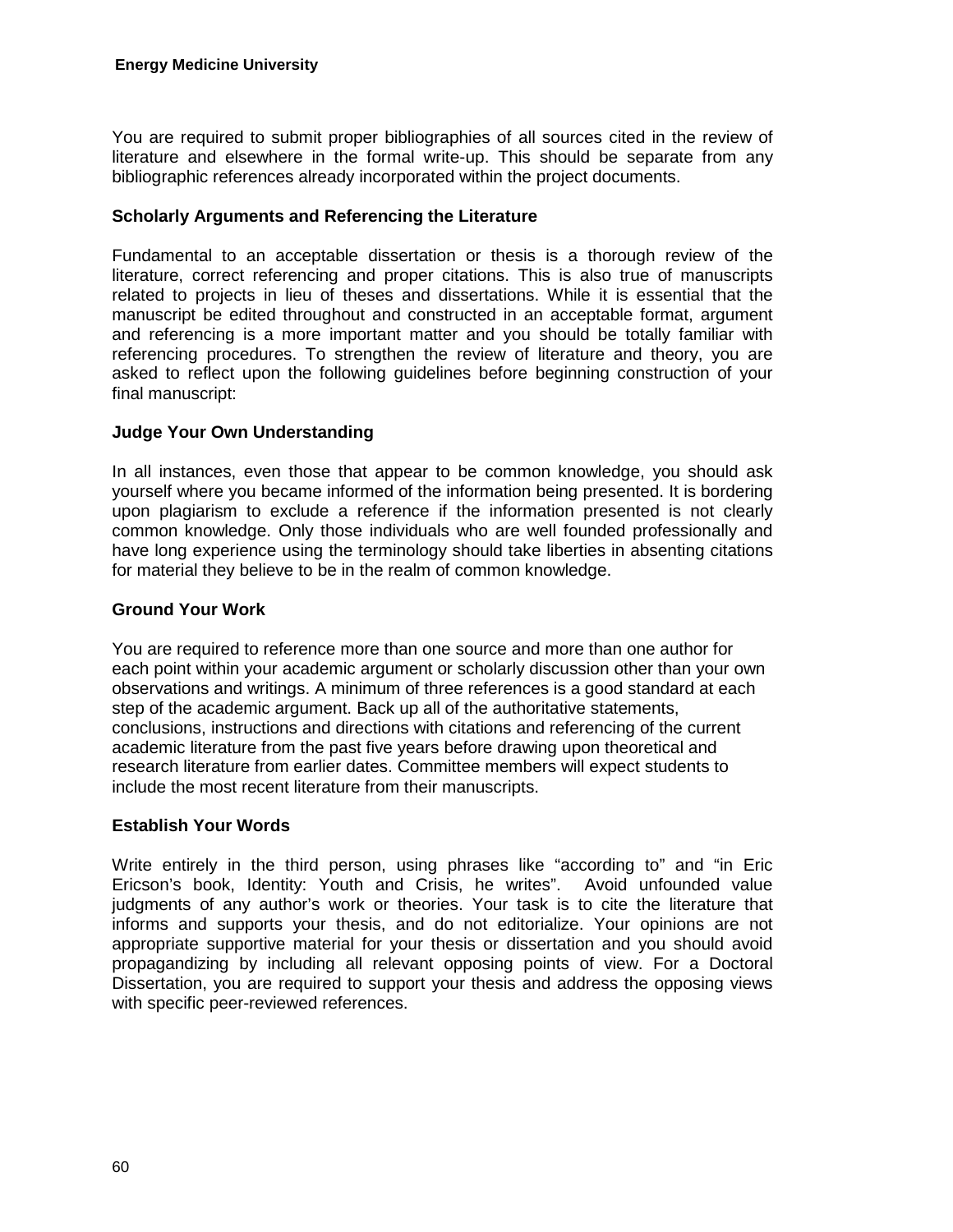You are required to submit proper bibliographies of all sources cited in the review of literature and elsewhere in the formal write-up. This should be separate from any bibliographic references already incorporated within the project documents.

## **Scholarly Arguments and Referencing the Literature**

Fundamental to an acceptable dissertation or thesis is a thorough review of the literature, correct referencing and proper citations. This is also true of manuscripts related to projects in lieu of theses and dissertations. While it is essential that the manuscript be edited throughout and constructed in an acceptable format, argument and referencing is a more important matter and you should be totally familiar with referencing procedures. To strengthen the review of literature and theory, you are asked to reflect upon the following guidelines before beginning construction of your final manuscript:

## **Judge Your Own Understanding**

In all instances, even those that appear to be common knowledge, you should ask yourself where you became informed of the information being presented. It is bordering upon plagiarism to exclude a reference if the information presented is not clearly common knowledge. Only those individuals who are well founded professionally and have long experience using the terminology should take liberties in absenting citations for material they believe to be in the realm of common knowledge.

## **Ground Your Work**

You are required to reference more than one source and more than one author for each point within your academic argument or scholarly discussion other than your own observations and writings. A minimum of three references is a good standard at each step of the academic argument. Back up all of the authoritative statements, conclusions, instructions and directions with citations and referencing of the current academic literature from the past five years before drawing upon theoretical and research literature from earlier dates. Committee members will expect students to include the most recent literature from their manuscripts.

## **Establish Your Words**

Write entirely in the third person, using phrases like "according to" and "in Eric Ericson's book, Identity: Youth and Crisis, he writes". Avoid unfounded value judgments of any author's work or theories. Your task is to cite the literature that informs and supports your thesis, and do not editorialize. Your opinions are not appropriate supportive material for your thesis or dissertation and you should avoid propagandizing by including all relevant opposing points of view. For a Doctoral Dissertation, you are required to support your thesis and address the opposing views with specific peer-reviewed references.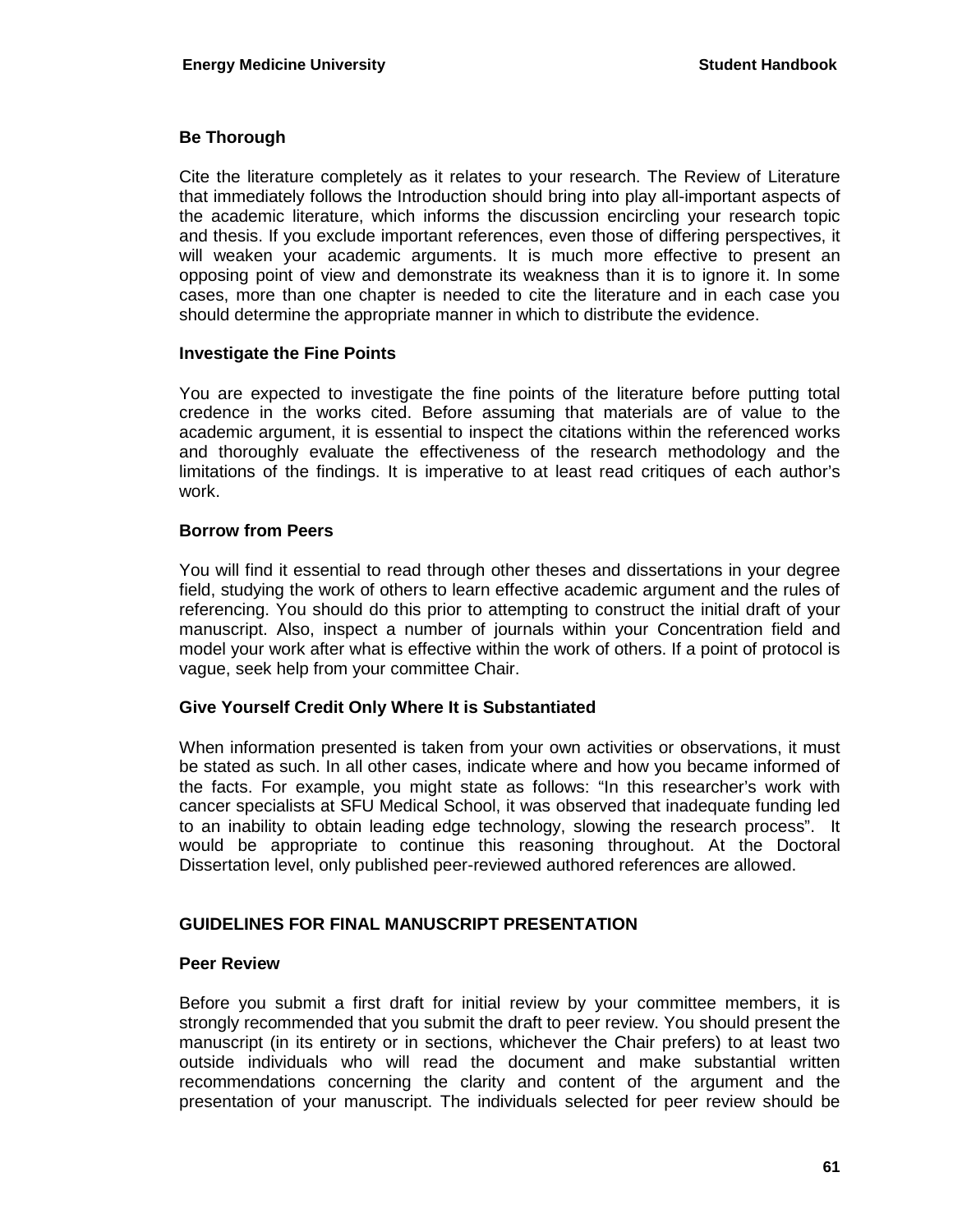## **Be Thorough**

Cite the literature completely as it relates to your research. The Review of Literature that immediately follows the Introduction should bring into play all-important aspects of the academic literature, which informs the discussion encircling your research topic and thesis. If you exclude important references, even those of differing perspectives, it will weaken your academic arguments. It is much more effective to present an opposing point of view and demonstrate its weakness than it is to ignore it. In some cases, more than one chapter is needed to cite the literature and in each case you should determine the appropriate manner in which to distribute the evidence.

## **Investigate the Fine Points**

You are expected to investigate the fine points of the literature before putting total credence in the works cited. Before assuming that materials are of value to the academic argument, it is essential to inspect the citations within the referenced works and thoroughly evaluate the effectiveness of the research methodology and the limitations of the findings. It is imperative to at least read critiques of each author's work.

## **Borrow from Peers**

You will find it essential to read through other theses and dissertations in your degree field, studying the work of others to learn effective academic argument and the rules of referencing. You should do this prior to attempting to construct the initial draft of your manuscript. Also, inspect a number of journals within your Concentration field and model your work after what is effective within the work of others. If a point of protocol is vague, seek help from your committee Chair.

## **Give Yourself Credit Only Where It is Substantiated**

When information presented is taken from your own activities or observations, it must be stated as such. In all other cases, indicate where and how you became informed of the facts. For example, you might state as follows: "In this researcher's work with cancer specialists at SFU Medical School, it was observed that inadequate funding led to an inability to obtain leading edge technology, slowing the research process". It would be appropriate to continue this reasoning throughout. At the Doctoral Dissertation level, only published peer-reviewed authored references are allowed.

## **GUIDELINES FOR FINAL MANUSCRIPT PRESENTATION**

#### **Peer Review**

Before you submit a first draft for initial review by your committee members, it is strongly recommended that you submit the draft to peer review. You should present the manuscript (in its entirety or in sections, whichever the Chair prefers) to at least two outside individuals who will read the document and make substantial written recommendations concerning the clarity and content of the argument and the presentation of your manuscript. The individuals selected for peer review should be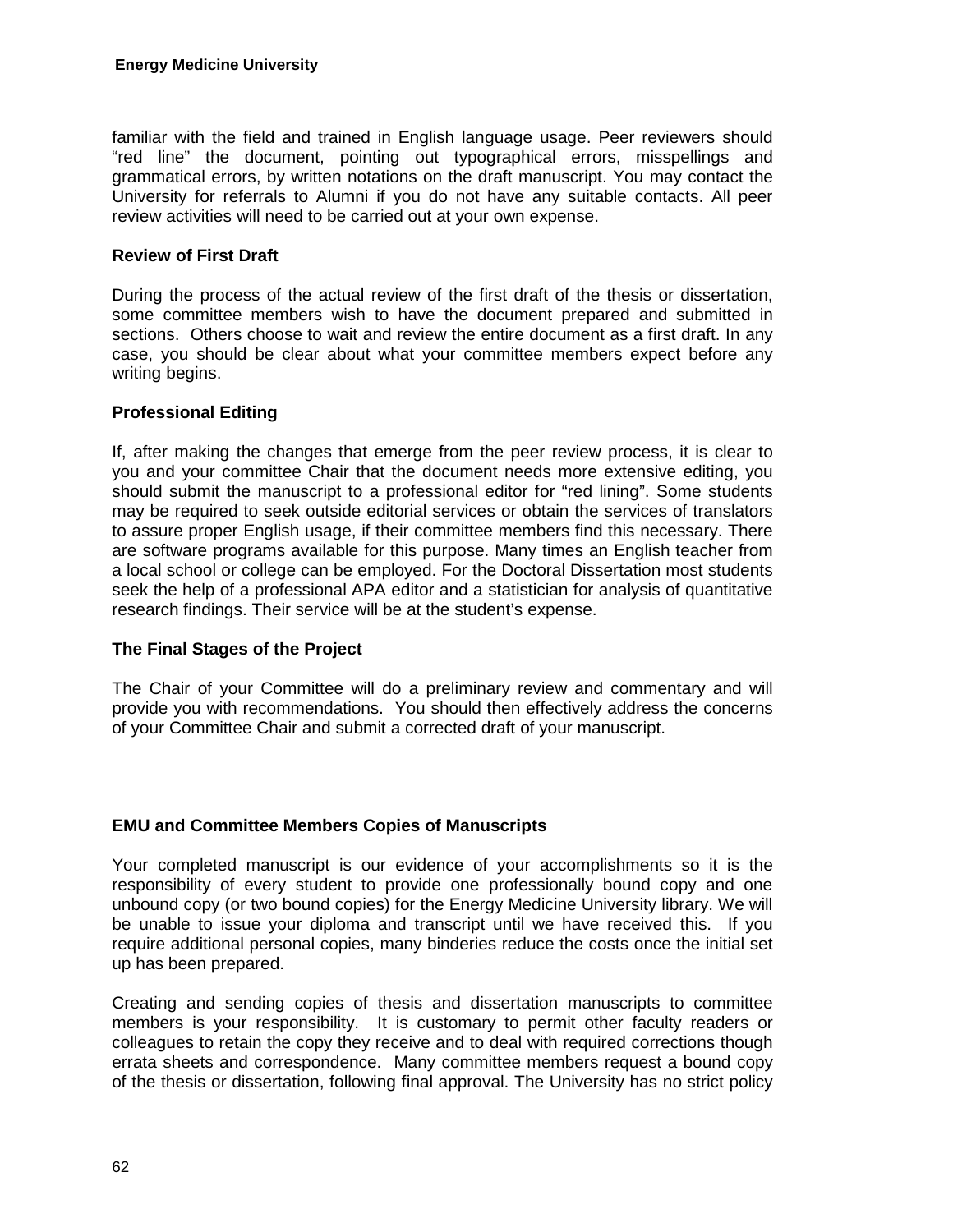familiar with the field and trained in English language usage. Peer reviewers should "red line" the document, pointing out typographical errors, misspellings and grammatical errors, by written notations on the draft manuscript. You may contact the University for referrals to Alumni if you do not have any suitable contacts. All peer review activities will need to be carried out at your own expense.

#### **Review of First Draft**

During the process of the actual review of the first draft of the thesis or dissertation, some committee members wish to have the document prepared and submitted in sections. Others choose to wait and review the entire document as a first draft. In any case, you should be clear about what your committee members expect before any writing begins.

#### **Professional Editing**

If, after making the changes that emerge from the peer review process, it is clear to you and your committee Chair that the document needs more extensive editing, you should submit the manuscript to a professional editor for "red lining". Some students may be required to seek outside editorial services or obtain the services of translators to assure proper English usage, if their committee members find this necessary. There are software programs available for this purpose. Many times an English teacher from a local school or college can be employed. For the Doctoral Dissertation most students seek the help of a professional APA editor and a statistician for analysis of quantitative research findings. Their service will be at the student's expense.

## **The Final Stages of the Project**

The Chair of your Committee will do a preliminary review and commentary and will provide you with recommendations. You should then effectively address the concerns of your Committee Chair and submit a corrected draft of your manuscript.

## **EMU and Committee Members Copies of Manuscripts**

Your completed manuscript is our evidence of your accomplishments so it is the responsibility of every student to provide one professionally bound copy and one unbound copy (or two bound copies) for the Energy Medicine University library. We will be unable to issue your diploma and transcript until we have received this. If you require additional personal copies, many binderies reduce the costs once the initial set up has been prepared.

Creating and sending copies of thesis and dissertation manuscripts to committee members is your responsibility. It is customary to permit other faculty readers or colleagues to retain the copy they receive and to deal with required corrections though errata sheets and correspondence. Many committee members request a bound copy of the thesis or dissertation, following final approval. The University has no strict policy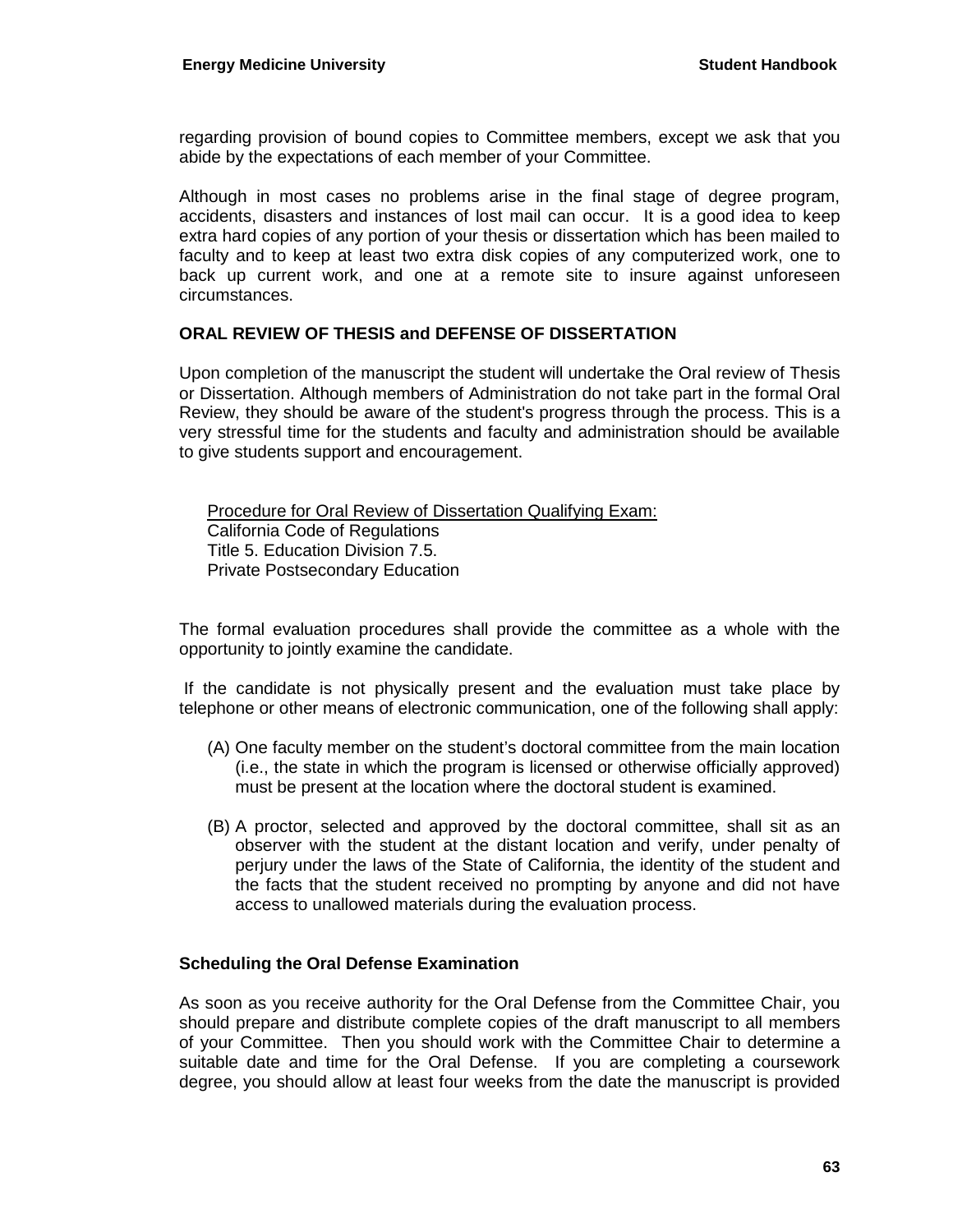regarding provision of bound copies to Committee members, except we ask that you abide by the expectations of each member of your Committee.

Although in most cases no problems arise in the final stage of degree program, accidents, disasters and instances of lost mail can occur. It is a good idea to keep extra hard copies of any portion of your thesis or dissertation which has been mailed to faculty and to keep at least two extra disk copies of any computerized work, one to back up current work, and one at a remote site to insure against unforeseen circumstances.

## **ORAL REVIEW OF THESIS and DEFENSE OF DISSERTATION**

Upon completion of the manuscript the student will undertake the Oral review of Thesis or Dissertation. Although members of Administration do not take part in the formal Oral Review, they should be aware of the student's progress through the process. This is a very stressful time for the students and faculty and administration should be available to give students support and encouragement.

California Code of Regulations Procedure for Oral Review of Dissertation Qualifying Exam: Title 5. Education Division 7.5. Private Postsecondary Education

The formal evaluation procedures shall provide the committee as a whole with the opportunity to jointly examine the candidate.

If the candidate is not physically present and the evaluation must take place by telephone or other means of electronic communication, one of the following shall apply:

- (A) One faculty member on the student's doctoral committee from the main location (i.e., the state in which the program is licensed or otherwise officially approved) must be present at the location where the doctoral student is examined.
- (B) A proctor, selected and approved by the doctoral committee, shall sit as an observer with the student at the distant location and verify, under penalty of perjury under the laws of the State of California, the identity of the student and the facts that the student received no prompting by anyone and did not have access to unallowed materials during the evaluation process.

#### **Scheduling the Oral Defense Examination**

As soon as you receive authority for the Oral Defense from the Committee Chair, you should prepare and distribute complete copies of the draft manuscript to all members of your Committee. Then you should work with the Committee Chair to determine a suitable date and time for the Oral Defense. If you are completing a coursework degree, you should allow at least four weeks from the date the manuscript is provided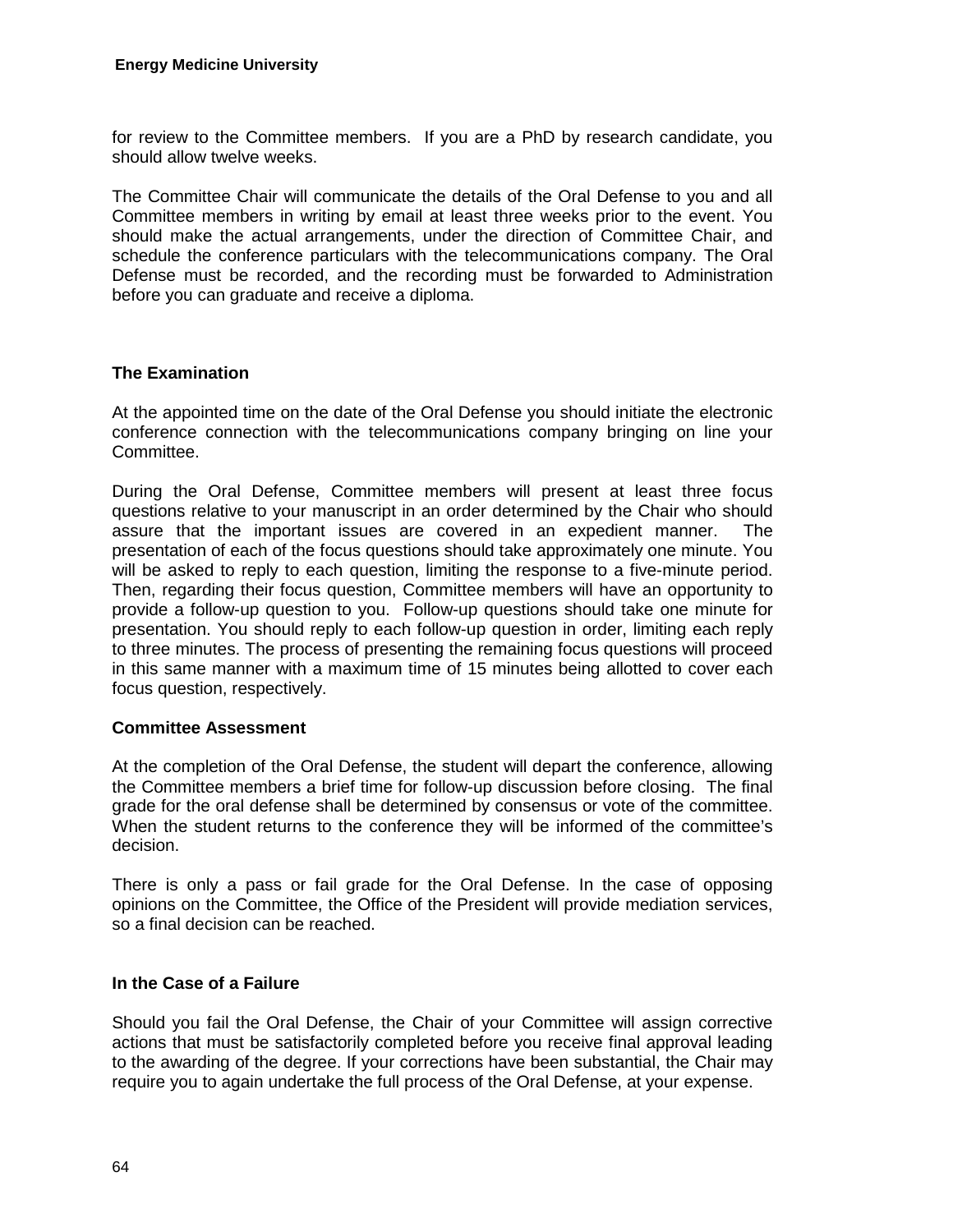for review to the Committee members. If you are a PhD by research candidate, you should allow twelve weeks.

The Committee Chair will communicate the details of the Oral Defense to you and all Committee members in writing by email at least three weeks prior to the event. You should make the actual arrangements, under the direction of Committee Chair, and schedule the conference particulars with the telecommunications company. The Oral Defense must be recorded, and the recording must be forwarded to Administration before you can graduate and receive a diploma.

## **The Examination**

At the appointed time on the date of the Oral Defense you should initiate the electronic conference connection with the telecommunications company bringing on line your Committee.

During the Oral Defense, Committee members will present at least three focus questions relative to your manuscript in an order determined by the Chair who should assure that the important issues are covered in an expedient manner. The presentation of each of the focus questions should take approximately one minute. You will be asked to reply to each question, limiting the response to a five-minute period. Then, regarding their focus question, Committee members will have an opportunity to provide a follow-up question to you. Follow-up questions should take one minute for presentation. You should reply to each follow-up question in order, limiting each reply to three minutes. The process of presenting the remaining focus questions will proceed in this same manner with a maximum time of 15 minutes being allotted to cover each focus question, respectively.

## **Committee Assessment**

At the completion of the Oral Defense, the student will depart the conference, allowing the Committee members a brief time for follow-up discussion before closing. The final grade for the oral defense shall be determined by consensus or vote of the committee. When the student returns to the conference they will be informed of the committee's decision.

There is only a pass or fail grade for the Oral Defense. In the case of opposing opinions on the Committee, the Office of the President will provide mediation services, so a final decision can be reached.

## **In the Case of a Failure**

Should you fail the Oral Defense, the Chair of your Committee will assign corrective actions that must be satisfactorily completed before you receive final approval leading to the awarding of the degree. If your corrections have been substantial, the Chair may require you to again undertake the full process of the Oral Defense, at your expense.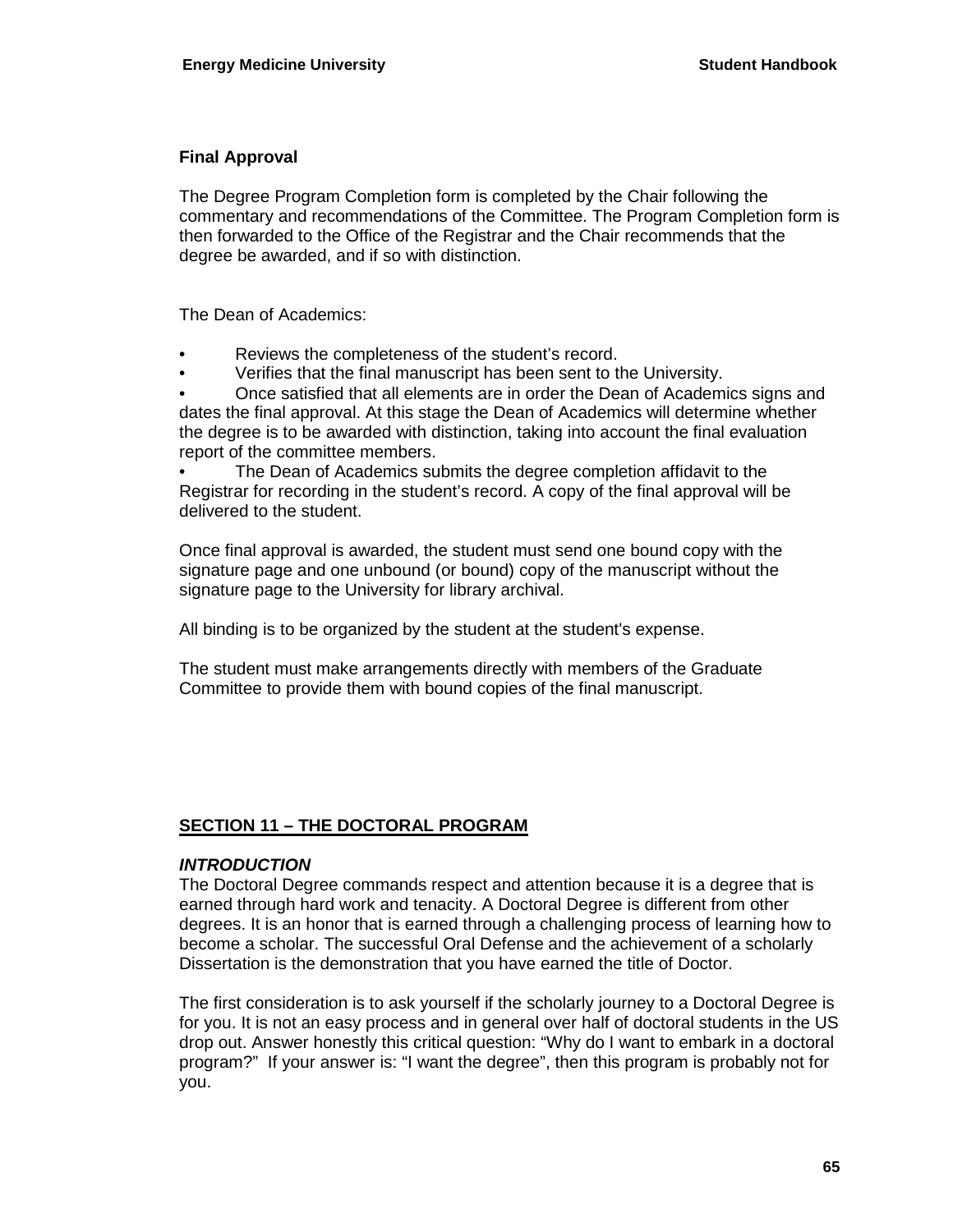#### **Final Approval**

The Degree Program Completion form is completed by the Chair following the commentary and recommendations of the Committee. The Program Completion form is then forwarded to the Office of the Registrar and the Chair recommends that the degree be awarded, and if so with distinction.

The Dean of Academics:

- Reviews the completeness of the student's record.
- Verifies that the final manuscript has been sent to the University.

• Once satisfied that all elements are in order the Dean of Academics signs and dates the final approval. At this stage the Dean of Academics will determine whether the degree is to be awarded with distinction, taking into account the final evaluation report of the committee members.

• The Dean of Academics submits the degree completion affidavit to the Registrar for recording in the student's record. A copy of the final approval will be delivered to the student.

Once final approval is awarded, the student must send one bound copy with the signature page and one unbound (or bound) copy of the manuscript without the signature page to the University for library archival.

All binding is to be organized by the student at the student's expense.

The student must make arrangements directly with members of the Graduate Committee to provide them with bound copies of the final manuscript.

## **SECTION 11 – THE DOCTORAL PROGRAM**

## *INTRODUCTION*

The Doctoral Degree commands respect and attention because it is a degree that is earned through hard work and tenacity. A Doctoral Degree is different from other degrees. It is an honor that is earned through a challenging process of learning how to become a scholar. The successful Oral Defense and the achievement of a scholarly Dissertation is the demonstration that you have earned the title of Doctor.

The first consideration is to ask yourself if the scholarly journey to a Doctoral Degree is for you. It is not an easy process and in general over half of doctoral students in the US drop out. Answer honestly this critical question: "Why do I want to embark in a doctoral program?" If your answer is: "I want the degree", then this program is probably not for you.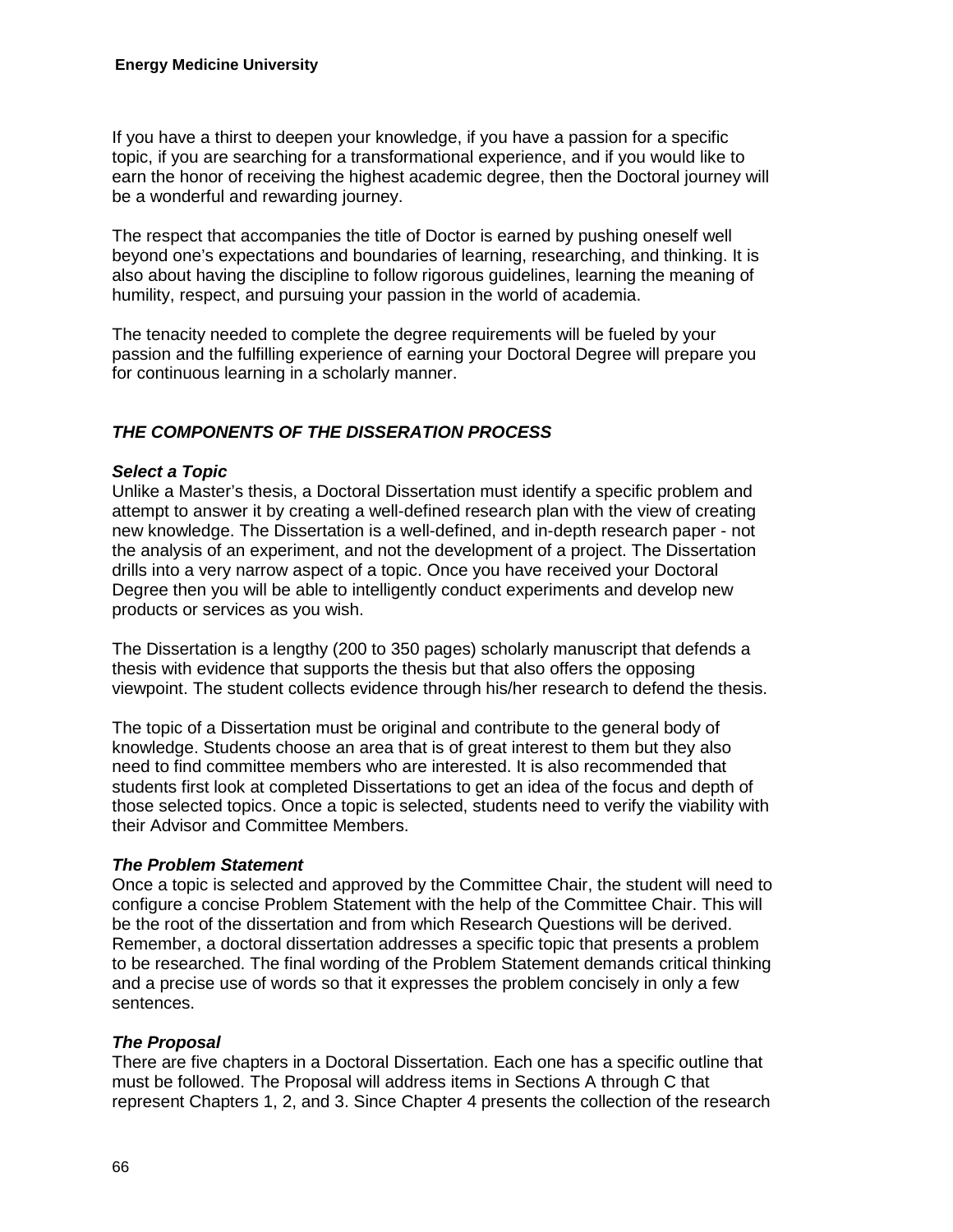If you have a thirst to deepen your knowledge, if you have a passion for a specific topic, if you are searching for a transformational experience, and if you would like to earn the honor of receiving the highest academic degree, then the Doctoral journey will be a wonderful and rewarding journey.

The respect that accompanies the title of Doctor is earned by pushing oneself well beyond one's expectations and boundaries of learning, researching, and thinking. It is also about having the discipline to follow rigorous guidelines, learning the meaning of humility, respect, and pursuing your passion in the world of academia.

The tenacity needed to complete the degree requirements will be fueled by your passion and the fulfilling experience of earning your Doctoral Degree will prepare you for continuous learning in a scholarly manner.

# *THE COMPONENTS OF THE DISSERATION PROCESS*

## *Select a Topic*

Unlike a Master's thesis, a Doctoral Dissertation must identify a specific problem and attempt to answer it by creating a well-defined research plan with the view of creating new knowledge. The Dissertation is a well-defined, and in-depth research paper - not the analysis of an experiment, and not the development of a project. The Dissertation drills into a very narrow aspect of a topic. Once you have received your Doctoral Degree then you will be able to intelligently conduct experiments and develop new products or services as you wish.

The Dissertation is a lengthy (200 to 350 pages) scholarly manuscript that defends a thesis with evidence that supports the thesis but that also offers the opposing viewpoint. The student collects evidence through his/her research to defend the thesis.

The topic of a Dissertation must be original and contribute to the general body of knowledge. Students choose an area that is of great interest to them but they also need to find committee members who are interested. It is also recommended that students first look at completed Dissertations to get an idea of the focus and depth of those selected topics. Once a topic is selected, students need to verify the viability with their Advisor and Committee Members.

# *The Problem Statement*

Once a topic is selected and approved by the Committee Chair, the student will need to configure a concise Problem Statement with the help of the Committee Chair. This will be the root of the dissertation and from which Research Questions will be derived. Remember, a doctoral dissertation addresses a specific topic that presents a problem to be researched. The final wording of the Problem Statement demands critical thinking and a precise use of words so that it expresses the problem concisely in only a few sentences.

# *The Proposal*

There are five chapters in a Doctoral Dissertation. Each one has a specific outline that must be followed. The Proposal will address items in Sections A through C that represent Chapters 1, 2, and 3. Since Chapter 4 presents the collection of the research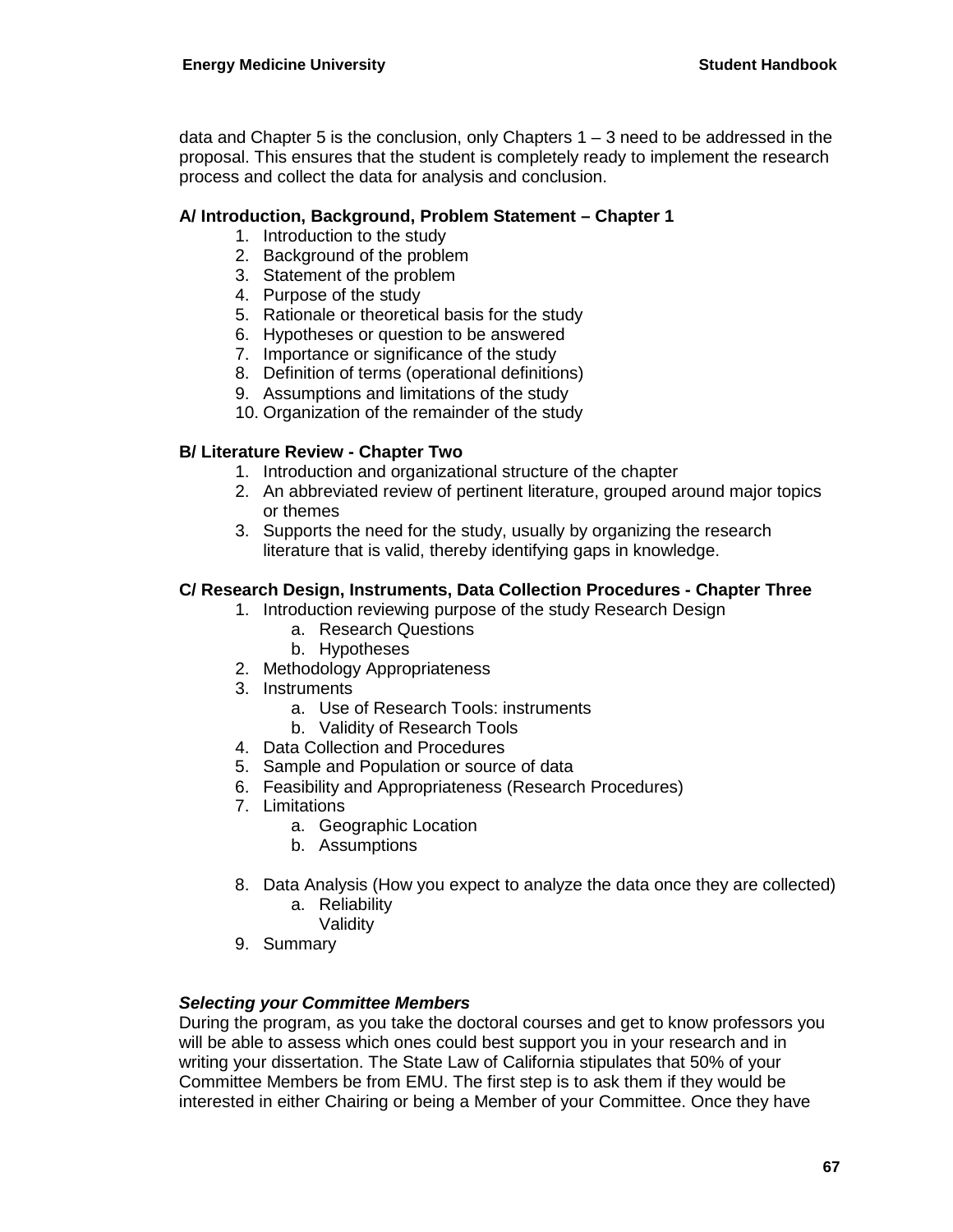data and Chapter 5 is the conclusion, only Chapters  $1 - 3$  need to be addressed in the proposal. This ensures that the student is completely ready to implement the research process and collect the data for analysis and conclusion.

## **A/ Introduction, Background, Problem Statement – Chapter 1**

- 1. Introduction to the study
- 2. Background of the problem
- 3. Statement of the problem
- 4. Purpose of the study
- 5. Rationale or theoretical basis for the study
- 6. Hypotheses or question to be answered
- 7. Importance or significance of the study
- 8. Definition of terms (operational definitions)
- 9. Assumptions and limitations of the study
- 10. Organization of the remainder of the study

## **B/ Literature Review - Chapter Two**

- 1. Introduction and organizational structure of the chapter
- 2. An abbreviated review of pertinent literature, grouped around major topics or themes
- 3. Supports the need for the study, usually by organizing the research literature that is valid, thereby identifying gaps in knowledge.

## **C/ Research Design, Instruments, Data Collection Procedures - Chapter Three**

- 1. Introduction reviewing purpose of the study Research Design
	- a. Research Questions
	- b. Hypotheses
- 2. Methodology Appropriateness
- 3. Instruments
	- a. Use of Research Tools: instruments
	- b. Validity of Research Tools
- 4. Data Collection and Procedures
- 5. Sample and Population or source of data
- 6. Feasibility and Appropriateness (Research Procedures)
- 7. Limitations
	- a. Geographic Location
	- b. Assumptions
- 8. Data Analysis (How you expect to analyze the data once they are collected) a. Reliability
	- Validity
- 9. Summary

# *Selecting your Committee Members*

During the program, as you take the doctoral courses and get to know professors you will be able to assess which ones could best support you in your research and in writing your dissertation. The State Law of California stipulates that 50% of your Committee Members be from EMU. The first step is to ask them if they would be interested in either Chairing or being a Member of your Committee. Once they have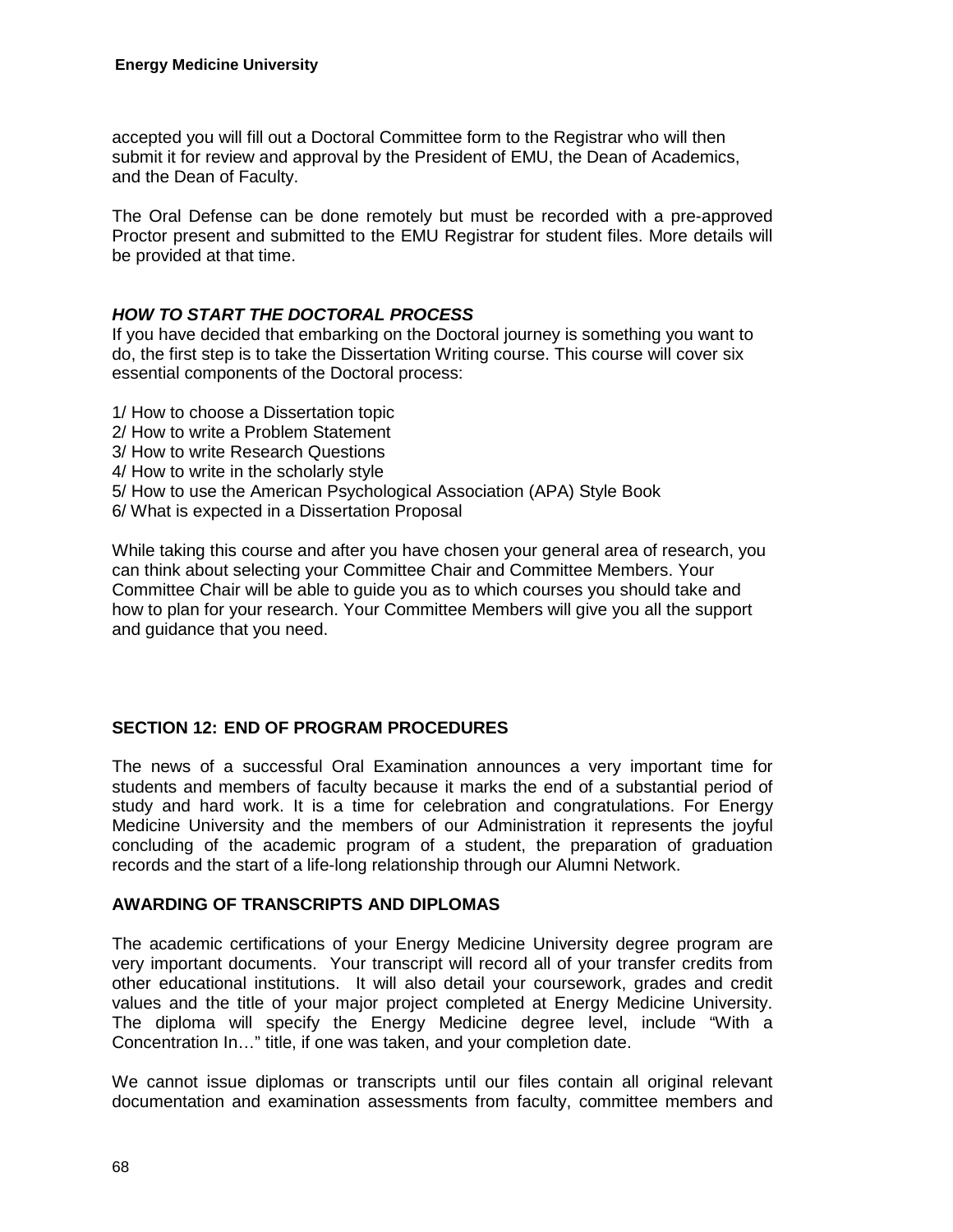accepted you will fill out a Doctoral Committee form to the Registrar who will then submit it for review and approval by the President of EMU, the Dean of Academics, and the Dean of Faculty.

The Oral Defense can be done remotely but must be recorded with a pre-approved Proctor present and submitted to the EMU Registrar for student files. More details will be provided at that time.

# *HOW TO START THE DOCTORAL PROCESS*

If you have decided that embarking on the Doctoral journey is something you want to do, the first step is to take the Dissertation Writing course. This course will cover six essential components of the Doctoral process:

1/ How to choose a Dissertation topic 2/ How to write a Problem Statement 3/ How to write Research Questions 4/ How to write in the scholarly style 5/ How to use the American Psychological Association (APA) Style Book 6/ What is expected in a Dissertation Proposal

While taking this course and after you have chosen your general area of research, you can think about selecting your Committee Chair and Committee Members. Your Committee Chair will be able to guide you as to which courses you should take and how to plan for your research. Your Committee Members will give you all the support and guidance that you need.

# **SECTION 12: END OF PROGRAM PROCEDURES**

The news of a successful Oral Examination announces a very important time for students and members of faculty because it marks the end of a substantial period of study and hard work. It is a time for celebration and congratulations. For Energy Medicine University and the members of our Administration it represents the joyful concluding of the academic program of a student, the preparation of graduation records and the start of a life-long relationship through our Alumni Network.

# **AWARDING OF TRANSCRIPTS AND DIPLOMAS**

The academic certifications of your Energy Medicine University degree program are very important documents. Your transcript will record all of your transfer credits from other educational institutions. It will also detail your coursework, grades and credit values and the title of your major project completed at Energy Medicine University. The diploma will specify the Energy Medicine degree level, include "With a Concentration In…" title, if one was taken, and your completion date.

We cannot issue diplomas or transcripts until our files contain all original relevant documentation and examination assessments from faculty, committee members and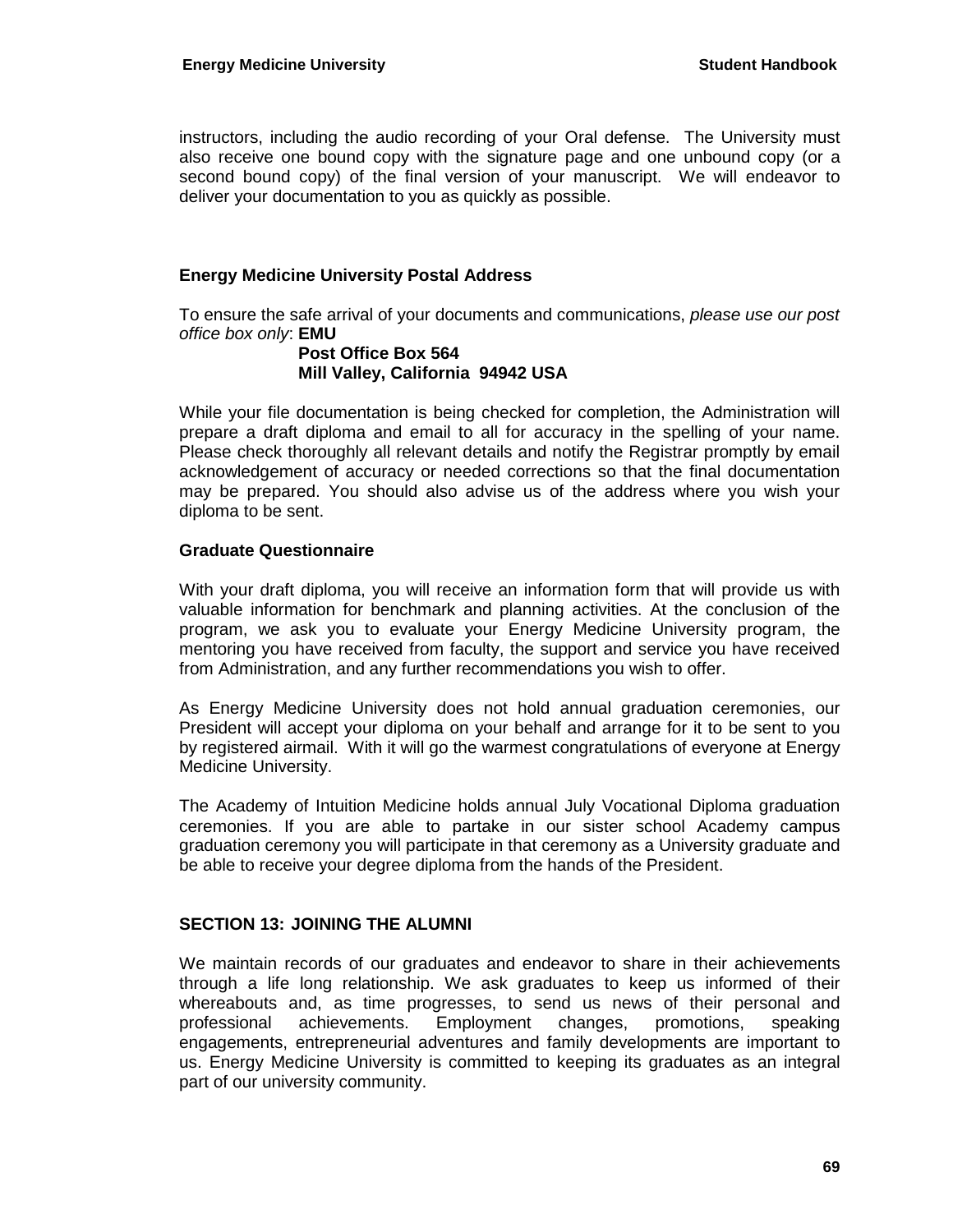instructors, including the audio recording of your Oral defense. The University must also receive one bound copy with the signature page and one unbound copy (or a second bound copy) of the final version of your manuscript. We will endeavor to deliver your documentation to you as quickly as possible.

# **Energy Medicine University Postal Address**

To ensure the safe arrival of your documents and communications, *please use our post office box only*: **EMU** 

#### **Post Office Box 564 Mill Valley, California 94942 USA**

While your file documentation is being checked for completion, the Administration will prepare a draft diploma and email to all for accuracy in the spelling of your name. Please check thoroughly all relevant details and notify the Registrar promptly by email acknowledgement of accuracy or needed corrections so that the final documentation may be prepared. You should also advise us of the address where you wish your diploma to be sent.

#### **Graduate Questionnaire**

With your draft diploma, you will receive an information form that will provide us with valuable information for benchmark and planning activities. At the conclusion of the program, we ask you to evaluate your Energy Medicine University program, the mentoring you have received from faculty, the support and service you have received from Administration, and any further recommendations you wish to offer.

As Energy Medicine University does not hold annual graduation ceremonies, our President will accept your diploma on your behalf and arrange for it to be sent to you by registered airmail. With it will go the warmest congratulations of everyone at Energy Medicine University.

The Academy of Intuition Medicine holds annual July Vocational Diploma graduation ceremonies. If you are able to partake in our sister school Academy campus graduation ceremony you will participate in that ceremony as a University graduate and be able to receive your degree diploma from the hands of the President.

### **SECTION 13: JOINING THE ALUMNI**

We maintain records of our graduates and endeavor to share in their achievements through a life long relationship. We ask graduates to keep us informed of their whereabouts and, as time progresses, to send us news of their personal and professional achievements. Employment changes, promotions, speaking engagements, entrepreneurial adventures and family developments are important to us. Energy Medicine University is committed to keeping its graduates as an integral part of our university community.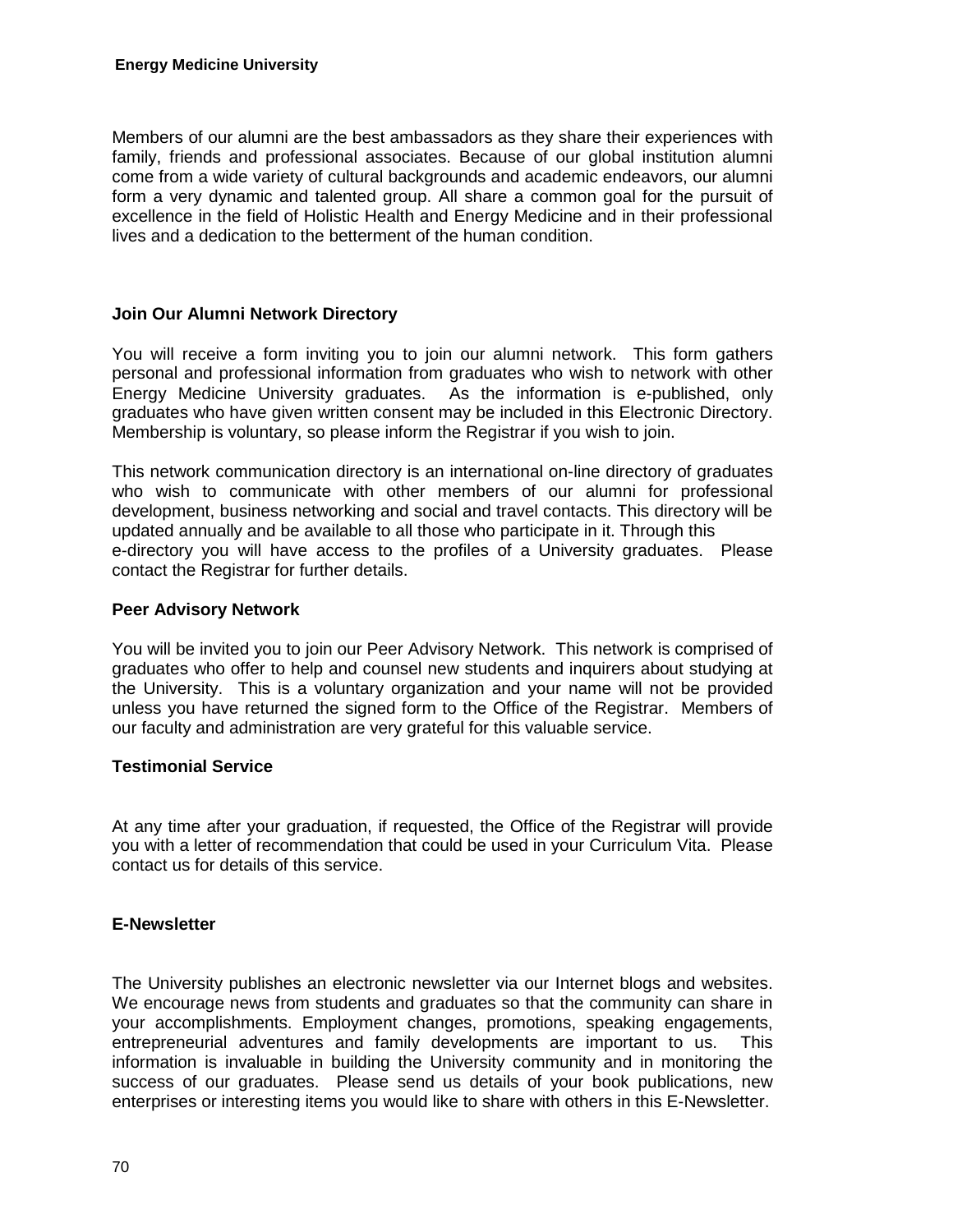Members of our alumni are the best ambassadors as they share their experiences with family, friends and professional associates. Because of our global institution alumni come from a wide variety of cultural backgrounds and academic endeavors, our alumni form a very dynamic and talented group. All share a common goal for the pursuit of excellence in the field of Holistic Health and Energy Medicine and in their professional lives and a dedication to the betterment of the human condition.

# **Join Our Alumni Network Directory**

You will receive a form inviting you to join our alumni network. This form gathers personal and professional information from graduates who wish to network with other Energy Medicine University graduates. As the information is e-published, only graduates who have given written consent may be included in this Electronic Directory. Membership is voluntary, so please inform the Registrar if you wish to join.

This network communication directory is an international on-line directory of graduates who wish to communicate with other members of our alumni for professional development, business networking and social and travel contacts. This directory will be updated annually and be available to all those who participate in it. Through this e-directory you will have access to the profiles of a University graduates. Please contact the Registrar for further details.

#### **Peer Advisory Network**

You will be invited you to join our Peer Advisory Network. This network is comprised of graduates who offer to help and counsel new students and inquirers about studying at the University. This is a voluntary organization and your name will not be provided unless you have returned the signed form to the Office of the Registrar. Members of our faculty and administration are very grateful for this valuable service.

# **Testimonial Service**

At any time after your graduation, if requested, the Office of the Registrar will provide you with a letter of recommendation that could be used in your Curriculum Vita. Please contact us for details of this service.

# **E-Newsletter**

The University publishes an electronic newsletter via our Internet blogs and websites. We encourage news from students and graduates so that the community can share in your accomplishments. Employment changes, promotions, speaking engagements, entrepreneurial adventures and family developments are important to us. This information is invaluable in building the University community and in monitoring the success of our graduates. Please send us details of your book publications, new enterprises or interesting items you would like to share with others in this E-Newsletter.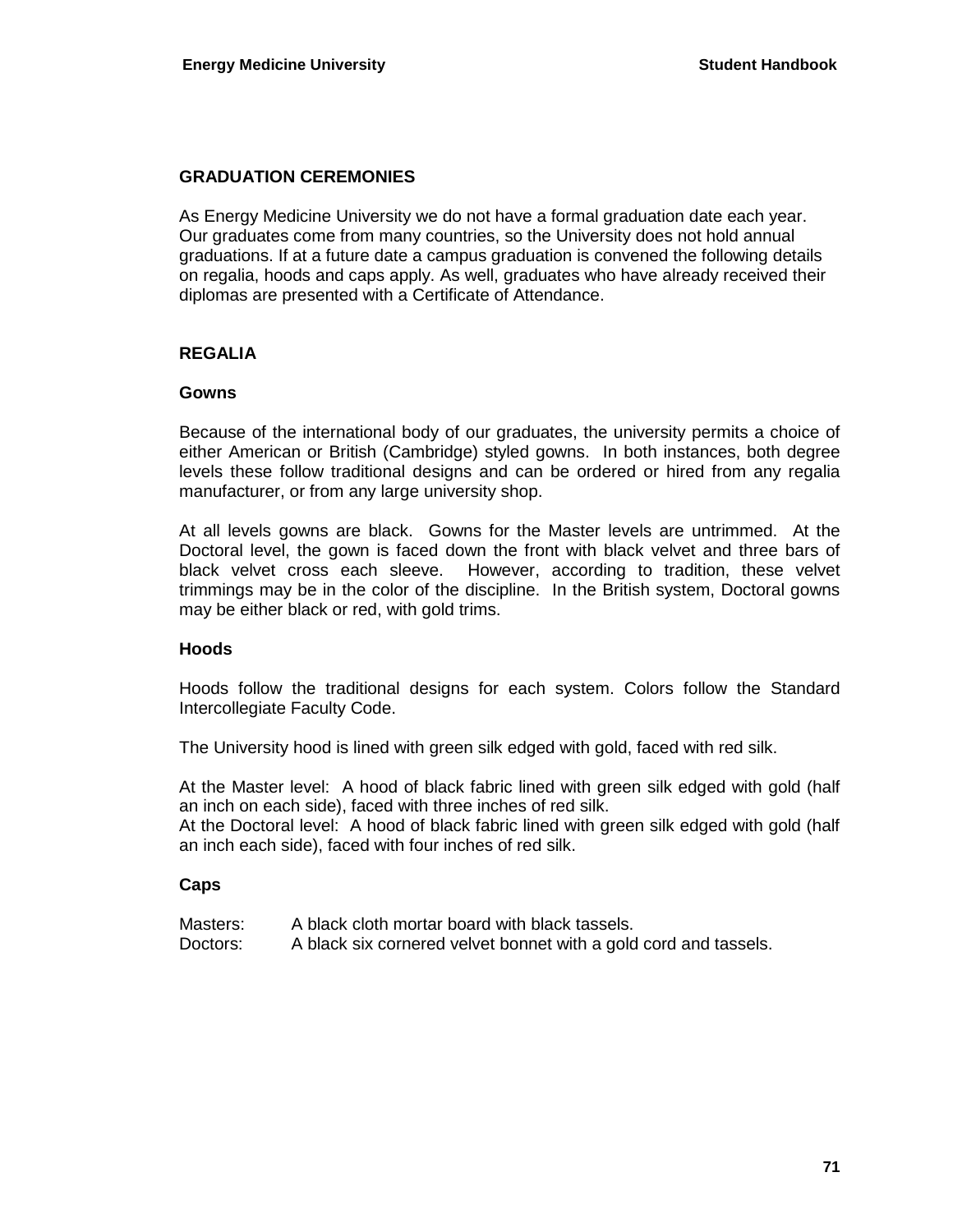#### **GRADUATION CEREMONIES**

As Energy Medicine University we do not have a formal graduation date each year. Our graduates come from many countries, so the University does not hold annual graduations. If at a future date a campus graduation is convened the following details on regalia, hoods and caps apply. As well, graduates who have already received their diplomas are presented with a Certificate of Attendance.

# **REGALIA**

#### **Gowns**

Because of the international body of our graduates, the university permits a choice of either American or British (Cambridge) styled gowns. In both instances, both degree levels these follow traditional designs and can be ordered or hired from any regalia manufacturer, or from any large university shop.

At all levels gowns are black. Gowns for the Master levels are untrimmed. At the Doctoral level, the gown is faced down the front with black velvet and three bars of black velvet cross each sleeve. However, according to tradition, these velvet trimmings may be in the color of the discipline. In the British system, Doctoral gowns may be either black or red, with gold trims.

#### **Hoods**

Hoods follow the traditional designs for each system. Colors follow the Standard Intercollegiate Faculty Code.

The University hood is lined with green silk edged with gold, faced with red silk.

At the Master level: A hood of black fabric lined with green silk edged with gold (half an inch on each side), faced with three inches of red silk.

At the Doctoral level: A hood of black fabric lined with green silk edged with gold (half an inch each side), faced with four inches of red silk.

#### **Caps**

- Masters: A black cloth mortar board with black tassels.
- Doctors: A black six cornered velvet bonnet with a gold cord and tassels.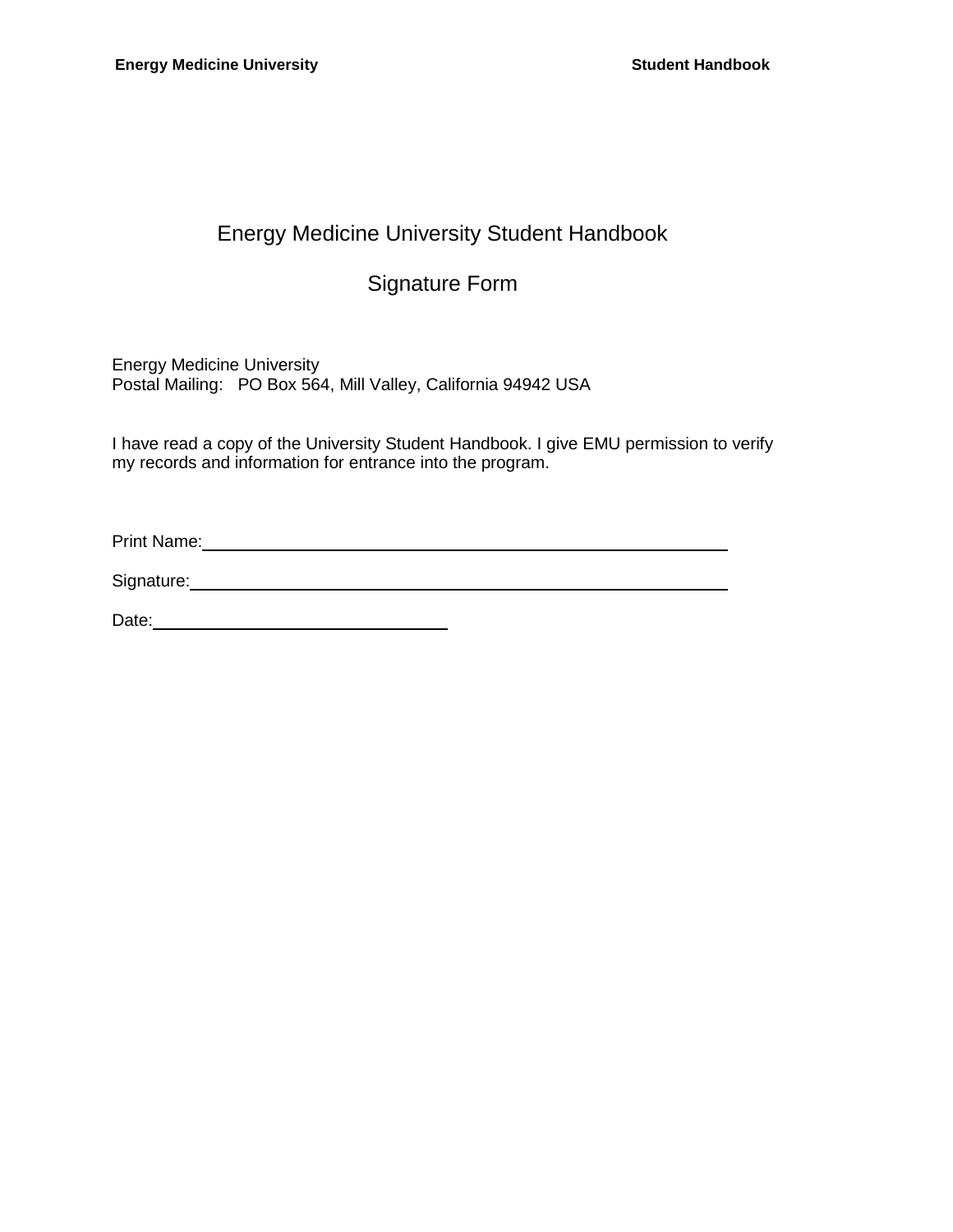# Energy Medicine University Student Handbook

# Signature Form

Energy Medicine University Postal Mailing: PO Box 564, Mill Valley, California 94942 USA

I have read a copy of the University Student Handbook. I give EMU permission to verify my records and information for entrance into the program.

Print Name:

Signature: with the state of the state of the state of the state of the state of the state of the state of the state of the state of the state of the state of the state of the state of the state of the state of the state o

Date: